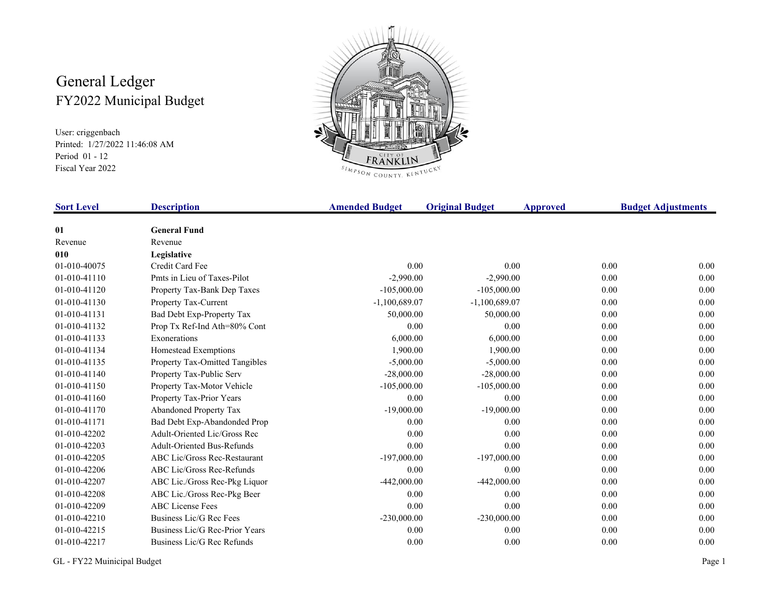## General Ledger FY2022 Municipal Budget

User: criggenbach Printed: 1/27/2022 11:46:08 AM Period 01 - 12 Fiscal Year 2022



| <b>Sort Level</b> | <b>Description</b>                | <b>Amended Budget</b> | <b>Original Budget</b> | <b>Approved</b> | <b>Budget Adjustments</b> |
|-------------------|-----------------------------------|-----------------------|------------------------|-----------------|---------------------------|
| 01                | <b>General Fund</b>               |                       |                        |                 |                           |
| Revenue           | Revenue                           |                       |                        |                 |                           |
| 010               | Legislative                       |                       |                        |                 |                           |
| 01-010-40075      | Credit Card Fee                   | 0.00                  | 0.00                   | 0.00            | 0.00                      |
| 01-010-41110      | Pmts in Lieu of Taxes-Pilot       | $-2,990.00$           | $-2,990.00$            | 0.00            | 0.00                      |
| 01-010-41120      | Property Tax-Bank Dep Taxes       | $-105,000.00$         | $-105,000.00$          | 0.00            | 0.00                      |
| 01-010-41130      | Property Tax-Current              | $-1,100,689.07$       | $-1,100,689.07$        | 0.00            | 0.00                      |
| 01-010-41131      | Bad Debt Exp-Property Tax         | 50,000.00             | 50,000.00              | 0.00            | 0.00                      |
| 01-010-41132      | Prop Tx Ref-Ind Ath=80% Cont      | 0.00                  | 0.00                   | 0.00            | 0.00                      |
| 01-010-41133      | Exonerations                      | 6,000.00              | 6,000.00               | 0.00            | 0.00                      |
| 01-010-41134      | Homestead Exemptions              | 1,900.00              | 1,900.00               | 0.00            | 0.00                      |
| 01-010-41135      | Property Tax-Omitted Tangibles    | $-5,000.00$           | $-5,000.00$            | 0.00            | 0.00                      |
| 01-010-41140      | Property Tax-Public Serv          | $-28,000.00$          | $-28,000.00$           | 0.00            | 0.00                      |
| 01-010-41150      | Property Tax-Motor Vehicle        | $-105,000.00$         | $-105,000.00$          | 0.00            | 0.00                      |
| 01-010-41160      | Property Tax-Prior Years          | 0.00                  | 0.00                   | 0.00            | 0.00                      |
| 01-010-41170      | Abandoned Property Tax            | $-19,000.00$          | $-19,000.00$           | 0.00            | 0.00                      |
| 01-010-41171      | Bad Debt Exp-Abandonded Prop      | 0.00                  | 0.00                   | 0.00            | 0.00                      |
| 01-010-42202      | Adult-Oriented Lic/Gross Rec      | 0.00                  | 0.00                   | 0.00            | 0.00                      |
| 01-010-42203      | <b>Adult-Oriented Bus-Refunds</b> | 0.00                  | 0.00                   | 0.00            | 0.00                      |
| 01-010-42205      | ABC Lic/Gross Rec-Restaurant      | $-197,000.00$         | $-197,000.00$          | 0.00            | 0.00                      |
| 01-010-42206      | ABC Lic/Gross Rec-Refunds         | 0.00                  | 0.00                   | 0.00            | 0.00                      |
| 01-010-42207      | ABC Lic./Gross Rec-Pkg Liquor     | $-442,000.00$         | $-442,000.00$          | 0.00            | 0.00                      |
| 01-010-42208      | ABC Lic./Gross Rec-Pkg Beer       | 0.00                  | 0.00                   | 0.00            | 0.00                      |
| 01-010-42209      | <b>ABC</b> License Fees           | 0.00                  | 0.00                   | 0.00            | 0.00                      |
| 01-010-42210      | Business Lic/G Rec Fees           | $-230,000.00$         | $-230,000.00$          | 0.00            | 0.00                      |
| 01-010-42215      | Business Lic/G Rec-Prior Years    | 0.00                  | 0.00                   | 0.00            | 0.00                      |
| 01-010-42217      | Business Lic/G Rec Refunds        | 0.00                  | 0.00                   | 0.00            | 0.00                      |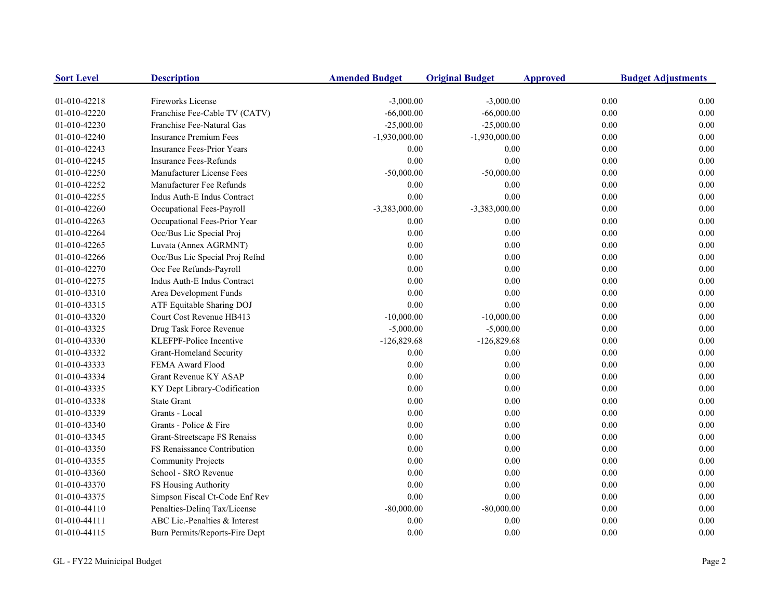| <b>Sort Level</b> | <b>Description</b>                | <b>Amended Budget</b> | <b>Original Budget</b> | <b>Approved</b> | <b>Budget Adjustments</b> |
|-------------------|-----------------------------------|-----------------------|------------------------|-----------------|---------------------------|
| 01-010-42218      | Fireworks License                 | $-3,000.00$           | $-3,000.00$            | 0.00            | 0.00                      |
| 01-010-42220      | Franchise Fee-Cable TV (CATV)     | $-66,000.00$          | $-66,000.00$           | 0.00            | 0.00                      |
| 01-010-42230      | Franchise Fee-Natural Gas         | $-25,000.00$          | $-25,000.00$           | $0.00\,$        | 0.00                      |
| 01-010-42240      | <b>Insurance Premium Fees</b>     | $-1,930,000.00$       | $-1,930,000.00$        | 0.00            | 0.00                      |
| 01-010-42243      | <b>Insurance Fees-Prior Years</b> | 0.00                  | 0.00                   | 0.00            | 0.00                      |
| 01-010-42245      | <b>Insurance Fees-Refunds</b>     | 0.00                  | 0.00                   | 0.00            | 0.00                      |
| 01-010-42250      | Manufacturer License Fees         | $-50,000.00$          | $-50,000.00$           | 0.00            | 0.00                      |
| 01-010-42252      | Manufacturer Fee Refunds          | 0.00                  | 0.00                   | 0.00            | 0.00                      |
| 01-010-42255      | Indus Auth-E Indus Contract       | 0.00                  | 0.00                   | 0.00            | 0.00                      |
| 01-010-42260      | Occupational Fees-Payroll         | -3,383,000.00         | $-3,383,000.00$        | 0.00            | 0.00                      |
| 01-010-42263      | Occupational Fees-Prior Year      | 0.00                  | 0.00                   | 0.00            | 0.00                      |
| 01-010-42264      | Occ/Bus Lic Special Proj          | 0.00                  | $0.00\,$               | 0.00            | 0.00                      |
| 01-010-42265      | Luvata (Annex AGRMNT)             | 0.00                  | 0.00                   | 0.00            | 0.00                      |
| 01-010-42266      | Occ/Bus Lic Special Proj Refnd    | 0.00                  | 0.00                   | 0.00            | 0.00                      |
| 01-010-42270      | Occ Fee Refunds-Payroll           | 0.00                  | 0.00                   | 0.00            | 0.00                      |
| 01-010-42275      | Indus Auth-E Indus Contract       | 0.00                  | 0.00                   | 0.00            | 0.00                      |
| 01-010-43310      | Area Development Funds            | 0.00                  | 0.00                   | 0.00            | 0.00                      |
| 01-010-43315      | ATF Equitable Sharing DOJ         | 0.00                  | 0.00                   | 0.00            | 0.00                      |
| 01-010-43320      | Court Cost Revenue HB413          | $-10,000.00$          | $-10,000.00$           | 0.00            | 0.00                      |
| 01-010-43325      | Drug Task Force Revenue           | $-5,000.00$           | $-5,000.00$            | 0.00            | 0.00                      |
| 01-010-43330      | KLEFPF-Police Incentive           | $-126,829.68$         | $-126,829.68$          | 0.00            | 0.00                      |
| 01-010-43332      | Grant-Homeland Security           | 0.00                  | 0.00                   | 0.00            | 0.00                      |
| 01-010-43333      | FEMA Award Flood                  | 0.00                  | 0.00                   | 0.00            | 0.00                      |
| 01-010-43334      | Grant Revenue KY ASAP             | 0.00                  | 0.00                   | 0.00            | 0.00                      |
| 01-010-43335      | KY Dept Library-Codification      | 0.00                  | 0.00                   | 0.00            | 0.00                      |
| 01-010-43338      | <b>State Grant</b>                | 0.00                  | $0.00\,$               | 0.00            | 0.00                      |
| 01-010-43339      | Grants - Local                    | 0.00                  | 0.00                   | 0.00            | 0.00                      |
| 01-010-43340      | Grants - Police & Fire            | 0.00                  | 0.00                   | $0.00\,$        | 0.00                      |
| 01-010-43345      | Grant-Streetscape FS Renaiss      | 0.00                  | 0.00                   | 0.00            | 0.00                      |
| 01-010-43350      | FS Renaissance Contribution       | 0.00                  | $0.00\,$               | 0.00            | 0.00                      |
| 01-010-43355      | <b>Community Projects</b>         | 0.00                  | 0.00                   | 0.00            | 0.00                      |
| 01-010-43360      | School - SRO Revenue              | 0.00                  | 0.00                   | 0.00            | 0.00                      |
| 01-010-43370      | FS Housing Authority              | 0.00                  | 0.00                   | 0.00            | 0.00                      |
| 01-010-43375      | Simpson Fiscal Ct-Code Enf Rev    | 0.00                  | 0.00                   | 0.00            | 0.00                      |
| 01-010-44110      | Penalties-Delinq Tax/License      | $-80,000.00$          | $-80,000.00$           | 0.00            | 0.00                      |
| 01-010-44111      | ABC Lic.-Penalties & Interest     | 0.00                  | 0.00                   | 0.00            | 0.00                      |
| 01-010-44115      | Burn Permits/Reports-Fire Dept    | 0.00                  | 0.00                   | 0.00            | 0.00                      |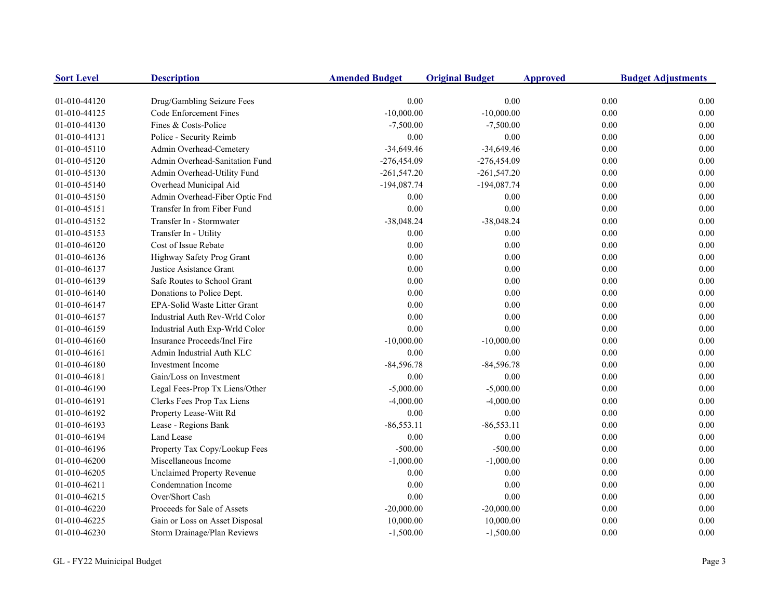| <b>Sort Level</b> | <b>Description</b>                | <b>Amended Budget</b> | <b>Original Budget</b> | <b>Approved</b> | <b>Budget Adjustments</b> |
|-------------------|-----------------------------------|-----------------------|------------------------|-----------------|---------------------------|
| 01-010-44120      | Drug/Gambling Seizure Fees        | 0.00                  | 0.00                   | 0.00            | 0.00                      |
| 01-010-44125      | Code Enforcement Fines            | $-10,000.00$          | $-10,000.00$           | 0.00            | 0.00                      |
| 01-010-44130      | Fines & Costs-Police              | $-7,500.00$           | $-7,500.00$            | 0.00            | 0.00                      |
| 01-010-44131      | Police - Security Reimb           | 0.00                  | 0.00                   | 0.00            | 0.00                      |
| 01-010-45110      | Admin Overhead-Cemetery           | $-34,649.46$          | $-34,649.46$           | 0.00            | 0.00                      |
| 01-010-45120      | Admin Overhead-Sanitation Fund    | $-276,454.09$         | $-276,454.09$          | 0.00            | 0.00                      |
| 01-010-45130      | Admin Overhead-Utility Fund       | $-261,547.20$         | $-261,547.20$          | 0.00            | 0.00                      |
| 01-010-45140      | Overhead Municipal Aid            | $-194,087.74$         | $-194,087.74$          | 0.00            | 0.00                      |
| 01-010-45150      | Admin Overhead-Fiber Optic Fnd    | 0.00                  | 0.00                   | 0.00            | 0.00                      |
| 01-010-45151      | Transfer In from Fiber Fund       | 0.00                  | 0.00                   | 0.00            | 0.00                      |
| 01-010-45152      | Transfer In - Stormwater          | $-38,048.24$          | $-38,048.24$           | 0.00            | 0.00                      |
| 01-010-45153      | Transfer In - Utility             | 0.00                  | 0.00                   | 0.00            | 0.00                      |
| 01-010-46120      | Cost of Issue Rebate              | 0.00                  | 0.00                   | 0.00            | 0.00                      |
| 01-010-46136      | Highway Safety Prog Grant         | 0.00                  | 0.00                   | 0.00            | 0.00                      |
| 01-010-46137      | Justice Asistance Grant           | 0.00                  | $0.00\,$               | 0.00            | 0.00                      |
| 01-010-46139      | Safe Routes to School Grant       | 0.00                  | 0.00                   | 0.00            | 0.00                      |
| 01-010-46140      | Donations to Police Dept.         | 0.00                  | 0.00                   | 0.00            | 0.00                      |
| 01-010-46147      | EPA-Solid Waste Litter Grant      | 0.00                  | 0.00                   | 0.00            | 0.00                      |
| 01-010-46157      | Industrial Auth Rev-Wrld Color    | 0.00                  | 0.00                   | 0.00            | 0.00                      |
| 01-010-46159      | Industrial Auth Exp-Wrld Color    | 0.00                  | 0.00                   | 0.00            | 0.00                      |
| 01-010-46160      | Insurance Proceeds/Incl Fire      | $-10,000.00$          | $-10,000.00$           | 0.00            | 0.00                      |
| 01-010-46161      | Admin Industrial Auth KLC         | $0.00\,$              | 0.00                   | 0.00            | 0.00                      |
| 01-010-46180      | <b>Investment Income</b>          | $-84,596.78$          | $-84,596.78$           | 0.00            | 0.00                      |
| 01-010-46181      | Gain/Loss on Investment           | 0.00                  | 0.00                   | 0.00            | 0.00                      |
| 01-010-46190      | Legal Fees-Prop Tx Liens/Other    | $-5,000.00$           | $-5,000.00$            | 0.00            | 0.00                      |
| 01-010-46191      | Clerks Fees Prop Tax Liens        | $-4,000.00$           | $-4,000.00$            | $0.00\,$        | 0.00                      |
| 01-010-46192      | Property Lease-Witt Rd            | 0.00                  | 0.00                   | 0.00            | 0.00                      |
| 01-010-46193      | Lease - Regions Bank              | $-86,553.11$          | $-86,553.11$           | 0.00            | 0.00                      |
| 01-010-46194      | Land Lease                        | 0.00                  | 0.00                   | 0.00            | 0.00                      |
| 01-010-46196      | Property Tax Copy/Lookup Fees     | $-500.00$             | $-500.00$              | 0.00            | 0.00                      |
| 01-010-46200      | Miscellaneous Income              | $-1,000.00$           | $-1,000.00$            | 0.00            | 0.00                      |
| 01-010-46205      | <b>Unclaimed Property Revenue</b> | 0.00                  | 0.00                   | 0.00            | 0.00                      |
| 01-010-46211      | Condemnation Income               | 0.00                  | 0.00                   | 0.00            | 0.00                      |
| 01-010-46215      | Over/Short Cash                   | 0.00                  | 0.00                   | 0.00            | 0.00                      |
| 01-010-46220      | Proceeds for Sale of Assets       | $-20,000.00$          | $-20,000.00$           | 0.00            | 0.00                      |
| 01-010-46225      | Gain or Loss on Asset Disposal    | 10,000.00             | 10,000.00              | 0.00            | 0.00                      |
| 01-010-46230      | Storm Drainage/Plan Reviews       | $-1,500.00$           | $-1,500.00$            | 0.00            | 0.00                      |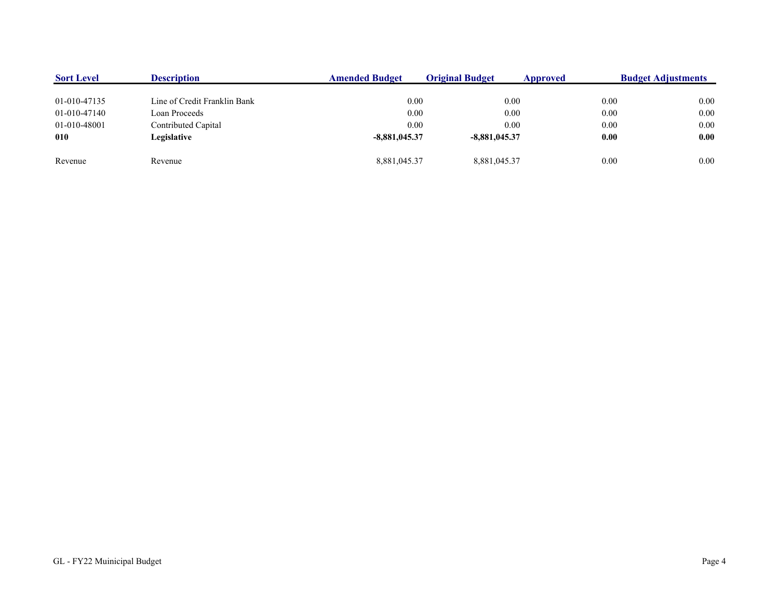| <b>Sort Level</b> | <b>Description</b>           | <b>Amended Budget</b> | <b>Original Budget</b> | Approved | <b>Budget Adjustments</b> |
|-------------------|------------------------------|-----------------------|------------------------|----------|---------------------------|
|                   |                              |                       |                        |          |                           |
| 01-010-47135      | Line of Credit Franklin Bank | 0.00                  | 0.00                   | 0.00     | 0.00                      |
| 01-010-47140      | Loan Proceeds                | 0.00                  | 0.00                   | 0.00     | 0.00                      |
| 01-010-48001      | Contributed Capital          | 0.00                  | 0.00                   | 0.00     | 0.00                      |
| 010               | Legislative                  | $-8,881,045.37$       | $-8.881.045.37$        | 0.00     | 0.00                      |
| Revenue           | Revenue                      | 8.881.045.37          | 8,881,045.37           | 0.00     | 0.00                      |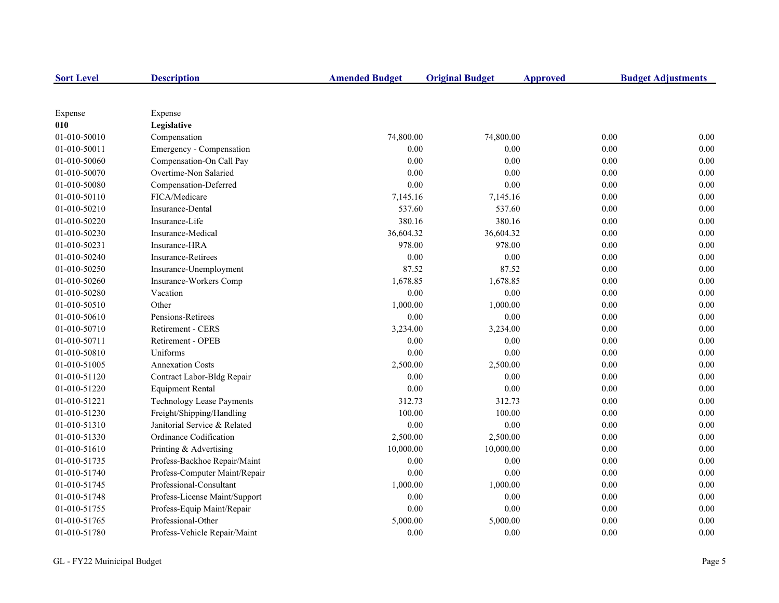| <b>Sort Level</b> | <b>Description</b>               | <b>Amended Budget</b> | <b>Original Budget</b> | <b>Approved</b> | <b>Budget Adjustments</b> |
|-------------------|----------------------------------|-----------------------|------------------------|-----------------|---------------------------|
|                   |                                  |                       |                        |                 |                           |
| Expense           | Expense                          |                       |                        |                 |                           |
| 010               | Legislative                      |                       |                        |                 |                           |
| 01-010-50010      | Compensation                     | 74,800.00             | 74,800.00              |                 | 0.00<br>0.00              |
| 01-010-50011      | Emergency - Compensation         | 0.00                  | 0.00                   |                 | 0.00<br>$0.00\,$          |
| 01-010-50060      | Compensation-On Call Pay         | 0.00                  | 0.00                   |                 | $0.00\,$<br>0.00          |
| 01-010-50070      | Overtime-Non Salaried            | 0.00                  | 0.00                   |                 | 0.00<br>0.00              |
| 01-010-50080      | Compensation-Deferred            | 0.00                  | 0.00                   |                 | 0.00<br>0.00              |
| 01-010-50110      | FICA/Medicare                    | 7,145.16              | 7,145.16               |                 | 0.00<br>0.00              |
| 01-010-50210      | Insurance-Dental                 | 537.60                | 537.60                 |                 | 0.00<br>0.00              |
| 01-010-50220      | Insurance-Life                   | 380.16                | 380.16                 |                 | 0.00<br>0.00              |
| 01-010-50230      | Insurance-Medical                | 36,604.32             | 36,604.32              |                 | 0.00<br>$0.00\,$          |
| 01-010-50231      | Insurance-HRA                    | 978.00                | 978.00                 |                 | $0.00\,$<br>0.00          |
| 01-010-50240      | Insurance-Retirees               | 0.00                  | 0.00                   |                 | 0.00<br>0.00              |
| 01-010-50250      | Insurance-Unemployment           | 87.52                 | 87.52                  |                 | 0.00<br>0.00              |
| 01-010-50260      | Insurance-Workers Comp           | 1,678.85              | 1,678.85               |                 | 0.00<br>0.00              |
| 01-010-50280      | Vacation                         | 0.00                  | $0.00\,$               |                 | 0.00<br>0.00              |
| 01-010-50510      | Other                            | 1,000.00              | 1,000.00               |                 | 0.00<br>0.00              |
| 01-010-50610      | Pensions-Retirees                | 0.00                  | 0.00                   |                 | 0.00<br>0.00              |
| 01-010-50710      | Retirement - CERS                | 3,234.00              | 3,234.00               |                 | 0.00<br>0.00              |
| 01-010-50711      | Retirement - OPEB                | 0.00                  | 0.00                   |                 | 0.00<br>0.00              |
| 01-010-50810      | Uniforms                         | 0.00                  | 0.00                   |                 | 0.00<br>0.00              |
| 01-010-51005      | <b>Annexation Costs</b>          | 2,500.00              | 2,500.00               |                 | 0.00<br>0.00              |
| 01-010-51120      | Contract Labor-Bldg Repair       | 0.00                  | 0.00                   |                 | 0.00<br>0.00              |
| 01-010-51220      | <b>Equipment Rental</b>          | 0.00                  | 0.00                   |                 | 0.00<br>0.00              |
| 01-010-51221      | <b>Technology Lease Payments</b> | 312.73                | 312.73                 |                 | 0.00<br>0.00              |
| 01-010-51230      | Freight/Shipping/Handling        | 100.00                | 100.00                 |                 | 0.00<br>0.00              |
| 01-010-51310      | Janitorial Service & Related     | 0.00                  | 0.00                   |                 | 0.00<br>0.00              |
| 01-010-51330      | Ordinance Codification           | 2,500.00              | 2,500.00               |                 | $0.00\,$<br>0.00          |
| 01-010-51610      | Printing & Advertising           | 10,000.00             | 10,000.00              |                 | 0.00<br>0.00              |
| 01-010-51735      | Profess-Backhoe Repair/Maint     | 0.00                  | 0.00                   |                 | 0.00<br>0.00              |
| 01-010-51740      | Profess-Computer Maint/Repair    | 0.00                  | 0.00                   |                 | 0.00<br>0.00              |
| 01-010-51745      | Professional-Consultant          | 1,000.00              | 1,000.00               |                 | 0.00<br>0.00              |
| 01-010-51748      | Profess-License Maint/Support    | 0.00                  | 0.00                   |                 | 0.00<br>0.00              |
| 01-010-51755      | Profess-Equip Maint/Repair       | 0.00                  | 0.00                   |                 | 0.00<br>0.00              |
| 01-010-51765      | Professional-Other               | 5,000.00              | 5,000.00               |                 | 0.00<br>0.00              |
| 01-010-51780      | Profess-Vehicle Repair/Maint     | 0.00                  | 0.00                   |                 | 0.00<br>0.00              |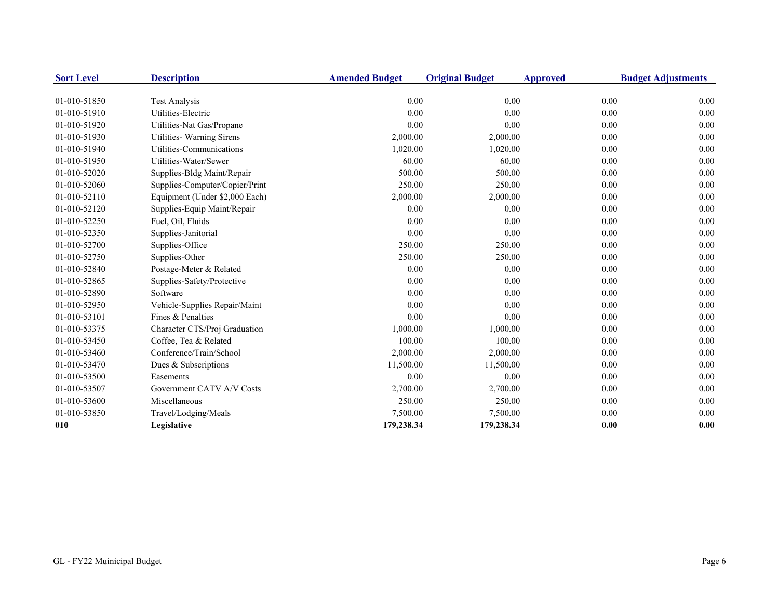| <b>Sort Level</b>            | <b>Description</b>                         | <b>Amended Budget</b> | <b>Original Budget</b> | <b>Approved</b> | <b>Budget Adjustments</b> |
|------------------------------|--------------------------------------------|-----------------------|------------------------|-----------------|---------------------------|
|                              |                                            |                       |                        |                 |                           |
| 01-010-51850<br>01-010-51910 | <b>Test Analysis</b><br>Utilities-Electric | 0.00<br>0.00          | 0.00<br>0.00           | 0.00            | 0.00<br>0.00              |
|                              |                                            |                       |                        | 0.00            |                           |
| 01-010-51920                 | Utilities-Nat Gas/Propane                  | 0.00                  | 0.00                   | 0.00            | 0.00                      |
| 01-010-51930                 | Utilities- Warning Sirens                  | 2,000.00              | 2,000.00               | 0.00            | 0.00                      |
| 01-010-51940                 | Utilities-Communications                   | 1,020.00              | 1,020.00               | 0.00            | 0.00                      |
| 01-010-51950                 | Utilities-Water/Sewer                      | 60.00                 | 60.00                  | 0.00            | 0.00                      |
| 01-010-52020                 | Supplies-Bldg Maint/Repair                 | 500.00                | 500.00                 | 0.00            | 0.00                      |
| 01-010-52060                 | Supplies-Computer/Copier/Print             | 250.00                | 250.00                 | 0.00            | 0.00                      |
| 01-010-52110                 | Equipment (Under \$2,000 Each)             | 2,000.00              | 2,000.00               | 0.00            | 0.00                      |
| 01-010-52120                 | Supplies-Equip Maint/Repair                | 0.00                  | 0.00                   | 0.00            | 0.00                      |
| 01-010-52250                 | Fuel, Oil, Fluids                          | 0.00                  | 0.00                   | 0.00            | 0.00                      |
| 01-010-52350                 | Supplies-Janitorial                        | 0.00                  | 0.00                   | 0.00            | 0.00                      |
| 01-010-52700                 | Supplies-Office                            | 250.00                | 250.00                 | 0.00            | 0.00                      |
| 01-010-52750                 | Supplies-Other                             | 250.00                | 250.00                 | 0.00            | 0.00                      |
| 01-010-52840                 | Postage-Meter & Related                    | 0.00                  | 0.00                   | 0.00            | 0.00                      |
| 01-010-52865                 | Supplies-Safety/Protective                 | 0.00                  | 0.00                   | 0.00            | 0.00                      |
| 01-010-52890                 | Software                                   | 0.00                  | 0.00                   | 0.00            | 0.00                      |
| 01-010-52950                 | Vehicle-Supplies Repair/Maint              | 0.00                  | 0.00                   | 0.00            | 0.00                      |
| 01-010-53101                 | Fines & Penalties                          | 0.00                  | 0.00                   | 0.00            | 0.00                      |
| 01-010-53375                 | Character CTS/Proj Graduation              | 1,000.00              | 1,000.00               | 0.00            | 0.00                      |
| 01-010-53450                 | Coffee, Tea & Related                      | 100.00                | 100.00                 | 0.00            | 0.00                      |
| 01-010-53460                 | Conference/Train/School                    | 2,000.00              | 2,000.00               | 0.00            | 0.00                      |
| 01-010-53470                 | Dues & Subscriptions                       | 11,500.00             | 11,500.00              | 0.00            | 0.00                      |
| 01-010-53500                 | Easements                                  | 0.00                  | 0.00                   | 0.00            | 0.00                      |
| 01-010-53507                 | Government CATV A/V Costs                  | 2,700.00              | 2,700.00               | 0.00            | 0.00                      |
| 01-010-53600                 | Miscellaneous                              | 250.00                | 250.00                 | 0.00            | 0.00                      |
| 01-010-53850                 | Travel/Lodging/Meals                       | 7,500.00              | 7,500.00               | 0.00            | 0.00                      |
| 010                          | Legislative                                | 179,238.34            | 179,238.34             | 0.00            | 0.00                      |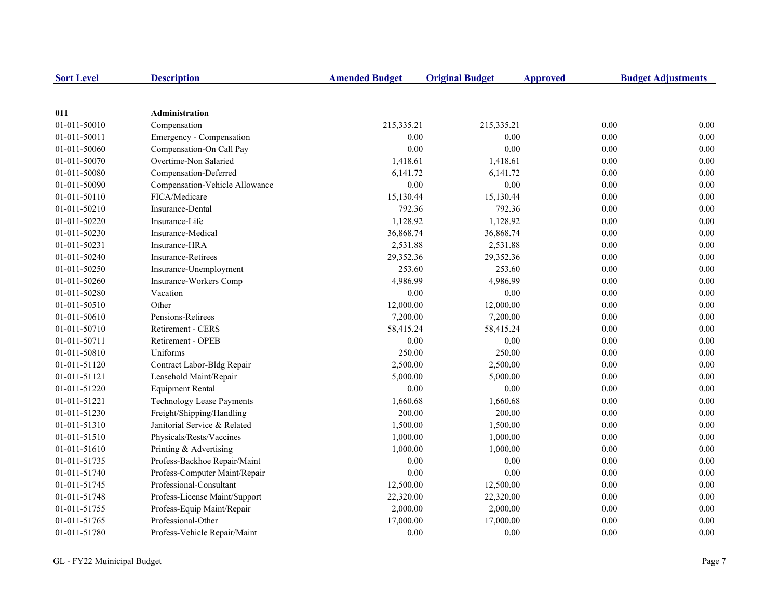| <b>Sort Level</b> | <b>Description</b>               | <b>Amended Budget</b> | <b>Original Budget</b> | <b>Approved</b> | <b>Budget Adjustments</b> |
|-------------------|----------------------------------|-----------------------|------------------------|-----------------|---------------------------|
|                   |                                  |                       |                        |                 |                           |
| 011               | <b>Administration</b>            |                       |                        |                 |                           |
| 01-011-50010      | Compensation                     | 215,335.21            | 215,335.21             | 0.00            | 0.00                      |
| 01-011-50011      | Emergency - Compensation         | 0.00                  | 0.00                   | 0.00            | 0.00                      |
| 01-011-50060      | Compensation-On Call Pay         | 0.00                  | 0.00                   | 0.00            | $0.00\,$                  |
| 01-011-50070      | Overtime-Non Salaried            | 1,418.61              | 1,418.61               | 0.00            | 0.00                      |
| 01-011-50080      | Compensation-Deferred            | 6,141.72              | 6,141.72               | 0.00            | 0.00                      |
| 01-011-50090      | Compensation-Vehicle Allowance   | $0.00\,$              | $0.00\,$               | 0.00            | 0.00                      |
| 01-011-50110      | FICA/Medicare                    | 15,130.44             | 15,130.44              | 0.00            | 0.00                      |
| 01-011-50210      | Insurance-Dental                 | 792.36                | 792.36                 | 0.00            | 0.00                      |
| 01-011-50220      | Insurance-Life                   | 1,128.92              | 1,128.92               | 0.00            | 0.00                      |
| 01-011-50230      | Insurance-Medical                | 36,868.74             | 36,868.74              | 0.00            | 0.00                      |
| 01-011-50231      | Insurance-HRA                    | 2,531.88              | 2,531.88               | 0.00            | 0.00                      |
| 01-011-50240      | <b>Insurance-Retirees</b>        | 29,352.36             | 29,352.36              | 0.00            | 0.00                      |
| 01-011-50250      | Insurance-Unemployment           | 253.60                | 253.60                 | 0.00            | 0.00                      |
| 01-011-50260      | Insurance-Workers Comp           | 4,986.99              | 4,986.99               | 0.00            | 0.00                      |
| 01-011-50280      | Vacation                         | 0.00                  | 0.00                   | 0.00            | 0.00                      |
| 01-011-50510      | Other                            | 12,000.00             | 12,000.00              | 0.00            | 0.00                      |
| 01-011-50610      | Pensions-Retirees                | 7,200.00              | 7,200.00               | 0.00            | 0.00                      |
| 01-011-50710      | Retirement - CERS                | 58,415.24             | 58,415.24              | 0.00            | 0.00                      |
| 01-011-50711      | Retirement - OPEB                | 0.00                  | 0.00                   | 0.00            | 0.00                      |
| 01-011-50810      | Uniforms                         | 250.00                | 250.00                 | 0.00            | 0.00                      |
| 01-011-51120      | Contract Labor-Bldg Repair       | 2,500.00              | 2,500.00               | 0.00            | 0.00                      |
| 01-011-51121      | Leasehold Maint/Repair           | 5,000.00              | 5,000.00               | 0.00            | $0.00\,$                  |
| 01-011-51220      | <b>Equipment Rental</b>          | 0.00                  | 0.00                   | 0.00            | 0.00                      |
| 01-011-51221      | <b>Technology Lease Payments</b> | 1,660.68              | 1,660.68               | 0.00            | 0.00                      |
| 01-011-51230      | Freight/Shipping/Handling        | 200.00                | 200.00                 | 0.00            | 0.00                      |
| 01-011-51310      | Janitorial Service & Related     | 1,500.00              | 1,500.00               | 0.00            | 0.00                      |
| 01-011-51510      | Physicals/Rests/Vaccines         | 1,000.00              | 1,000.00               | 0.00            | 0.00                      |
| 01-011-51610      | Printing & Advertising           | 1,000.00              | 1,000.00               | 0.00            | 0.00                      |
| 01-011-51735      | Profess-Backhoe Repair/Maint     | 0.00                  | 0.00                   | 0.00            | 0.00                      |
| 01-011-51740      | Profess-Computer Maint/Repair    | 0.00                  | 0.00                   | 0.00            | 0.00                      |
| 01-011-51745      | Professional-Consultant          | 12,500.00             | 12,500.00              | 0.00            | 0.00                      |
| 01-011-51748      | Profess-License Maint/Support    | 22,320.00             | 22,320.00              | 0.00            | 0.00                      |
| 01-011-51755      | Profess-Equip Maint/Repair       | 2,000.00              | 2,000.00               | 0.00            | 0.00                      |
| 01-011-51765      | Professional-Other               | 17,000.00             | 17,000.00              | 0.00            | 0.00                      |
| 01-011-51780      | Profess-Vehicle Repair/Maint     | 0.00                  | 0.00                   | 0.00            | 0.00                      |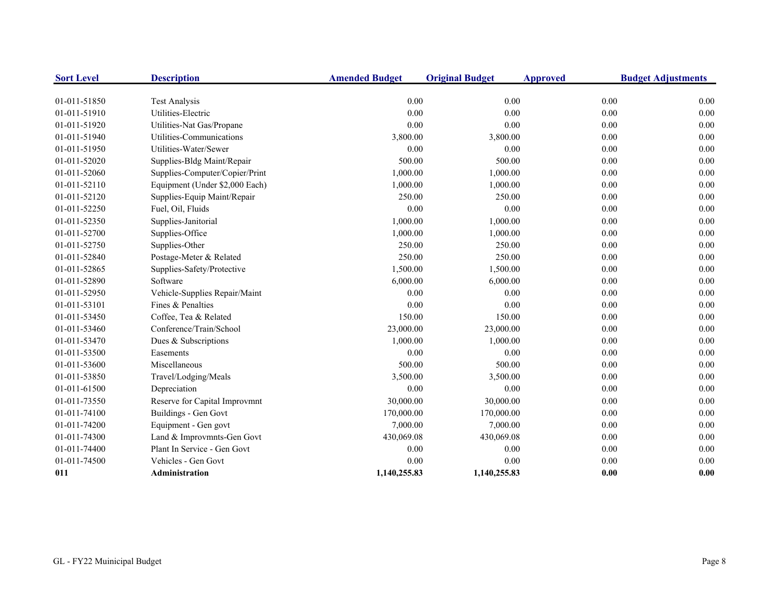| <b>Sort Level</b> | <b>Description</b>             | <b>Amended Budget</b> | <b>Original Budget</b> | <b>Approved</b> | <b>Budget Adjustments</b> |
|-------------------|--------------------------------|-----------------------|------------------------|-----------------|---------------------------|
| 01-011-51850      | <b>Test Analysis</b>           | 0.00                  | 0.00                   | 0.00            | 0.00                      |
| 01-011-51910      | Utilities-Electric             | 0.00                  | 0.00                   | 0.00            | 0.00                      |
| 01-011-51920      | Utilities-Nat Gas/Propane      | 0.00                  | 0.00                   | 0.00            | 0.00                      |
| 01-011-51940      | Utilities-Communications       | 3,800.00              | 3,800.00               | 0.00            | 0.00                      |
| 01-011-51950      | Utilities-Water/Sewer          | 0.00                  | 0.00                   | 0.00            | 0.00                      |
| 01-011-52020      | Supplies-Bldg Maint/Repair     | 500.00                | 500.00                 | 0.00            | 0.00                      |
| 01-011-52060      | Supplies-Computer/Copier/Print | 1,000.00              | 1,000.00               | 0.00            | 0.00                      |
| 01-011-52110      | Equipment (Under \$2,000 Each) | 1,000.00              | 1,000.00               | 0.00            | 0.00                      |
| 01-011-52120      | Supplies-Equip Maint/Repair    | 250.00                | 250.00                 | 0.00            | 0.00                      |
| 01-011-52250      | Fuel, Oil, Fluids              | 0.00                  | 0.00                   | 0.00            | 0.00                      |
| 01-011-52350      | Supplies-Janitorial            | 1,000.00              | 1,000.00               | 0.00            | 0.00                      |
| 01-011-52700      | Supplies-Office                | 1,000.00              | 1,000.00               | 0.00            | 0.00                      |
| 01-011-52750      | Supplies-Other                 | 250.00                | 250.00                 | 0.00            | 0.00                      |
| 01-011-52840      | Postage-Meter & Related        | 250.00                | 250.00                 | 0.00            | 0.00                      |
| 01-011-52865      | Supplies-Safety/Protective     | 1,500.00              | 1,500.00               | 0.00            | 0.00                      |
| 01-011-52890      | Software                       | 6,000.00              | 6,000.00               | 0.00            | 0.00                      |
| 01-011-52950      | Vehicle-Supplies Repair/Maint  | 0.00                  | 0.00                   | 0.00            | 0.00                      |
| 01-011-53101      | Fines & Penalties              | 0.00                  | 0.00                   | 0.00            | 0.00                      |
| 01-011-53450      | Coffee, Tea & Related          | 150.00                | 150.00                 | 0.00            | 0.00                      |
| 01-011-53460      | Conference/Train/School        | 23,000.00             | 23,000.00              | 0.00            | 0.00                      |
| 01-011-53470      | Dues & Subscriptions           | 1,000.00              | 1,000.00               | 0.00            | 0.00                      |
| 01-011-53500      | Easements                      | 0.00                  | 0.00                   | 0.00            | 0.00                      |
| 01-011-53600      | Miscellaneous                  | 500.00                | 500.00                 | 0.00            | 0.00                      |
| 01-011-53850      | Travel/Lodging/Meals           | 3,500.00              | 3,500.00               | 0.00            | 0.00                      |
| 01-011-61500      | Depreciation                   | 0.00                  | 0.00                   | 0.00            | 0.00                      |
| 01-011-73550      | Reserve for Capital Improvmnt  | 30,000.00             | 30,000.00              | 0.00            | 0.00                      |
| 01-011-74100      | Buildings - Gen Govt           | 170,000.00            | 170,000.00             | 0.00            | 0.00                      |
| 01-011-74200      | Equipment - Gen govt           | 7,000.00              | 7,000.00               | 0.00            | 0.00                      |
| 01-011-74300      | Land & Improvmnts-Gen Govt     | 430,069.08            | 430,069.08             | 0.00            | 0.00                      |
| 01-011-74400      | Plant In Service - Gen Govt    | 0.00                  | 0.00                   | 0.00            | 0.00                      |
| 01-011-74500      | Vehicles - Gen Govt            | 0.00                  | 0.00                   | 0.00            | 0.00                      |
| 011               | Administration                 | 1,140,255.83          | 1,140,255.83           | 0.00            | 0.00                      |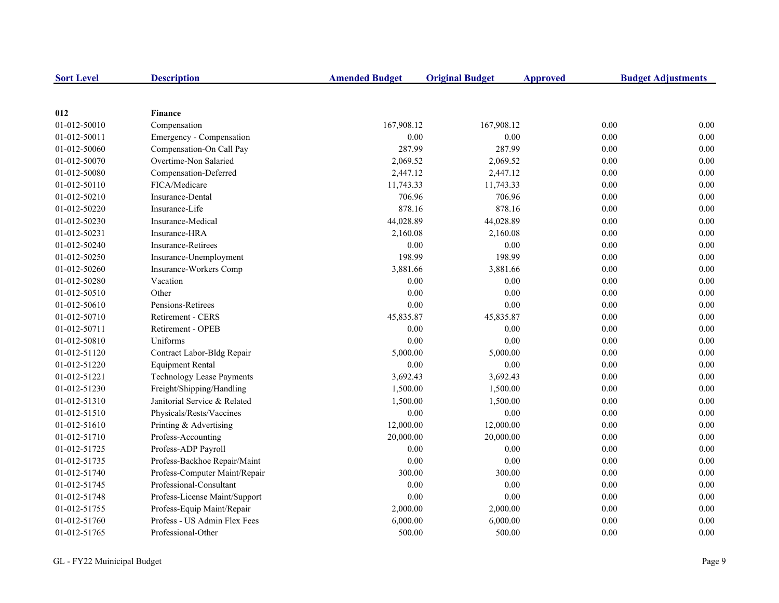| <b>Sort Level</b> | <b>Description</b>            | <b>Amended Budget</b> | <b>Original Budget</b> | <b>Approved</b> | <b>Budget Adjustments</b> |
|-------------------|-------------------------------|-----------------------|------------------------|-----------------|---------------------------|
|                   |                               |                       |                        |                 |                           |
| 012               | <b>Finance</b>                |                       |                        |                 |                           |
| 01-012-50010      | Compensation                  | 167,908.12            | 167,908.12             |                 | 0.00<br>0.00              |
| 01-012-50011      | Emergency - Compensation      | 0.00                  | 0.00                   |                 | 0.00<br>0.00              |
| 01-012-50060      | Compensation-On Call Pay      | 287.99                | 287.99                 |                 | 0.00<br>0.00              |
| 01-012-50070      | Overtime-Non Salaried         | 2,069.52              | 2,069.52               |                 | 0.00<br>0.00              |
| 01-012-50080      | Compensation-Deferred         | 2,447.12              | 2,447.12               |                 | 0.00<br>0.00              |
| 01-012-50110      | FICA/Medicare                 | 11,743.33             | 11,743.33              |                 | 0.00<br>0.00              |
| 01-012-50210      | Insurance-Dental              | 706.96                | 706.96                 |                 | 0.00<br>0.00              |
| 01-012-50220      | Insurance-Life                | 878.16                | 878.16                 |                 | 0.00<br>0.00              |
| 01-012-50230      | Insurance-Medical             | 44,028.89             | 44,028.89              |                 | 0.00<br>0.00              |
| 01-012-50231      | Insurance-HRA                 | 2,160.08              | 2,160.08               |                 | 0.00<br>0.00              |
| 01-012-50240      | Insurance-Retirees            | 0.00                  | 0.00                   |                 | 0.00<br>0.00              |
| 01-012-50250      | Insurance-Unemployment        | 198.99                | 198.99                 |                 | 0.00<br>0.00              |
| 01-012-50260      | Insurance-Workers Comp        | 3,881.66              | 3,881.66               |                 | 0.00<br>0.00              |
| 01-012-50280      | Vacation                      | 0.00                  | 0.00                   |                 | 0.00<br>0.00              |
| 01-012-50510      | Other                         | 0.00                  | 0.00                   |                 | 0.00<br>0.00              |
| 01-012-50610      | Pensions-Retirees             | 0.00                  | 0.00                   |                 | 0.00<br>0.00              |
| 01-012-50710      | Retirement - CERS             | 45,835.87             | 45,835.87              |                 | 0.00<br>0.00              |
| 01-012-50711      | Retirement - OPEB             | 0.00                  | 0.00                   |                 | 0.00<br>0.00              |
| 01-012-50810      | Uniforms                      | 0.00                  | 0.00                   |                 | 0.00<br>0.00              |
| 01-012-51120      | Contract Labor-Bldg Repair    | 5,000.00              | 5,000.00               |                 | 0.00<br>0.00              |
| 01-012-51220      | <b>Equipment Rental</b>       | 0.00                  | 0.00                   |                 | 0.00<br>0.00              |
| 01-012-51221      | Technology Lease Payments     | 3,692.43              | 3,692.43               |                 | 0.00<br>0.00              |
| 01-012-51230      | Freight/Shipping/Handling     | 1,500.00              | 1,500.00               |                 | 0.00<br>0.00              |
| 01-012-51310      | Janitorial Service & Related  | 1,500.00              | 1,500.00               |                 | 0.00<br>0.00              |
| 01-012-51510      | Physicals/Rests/Vaccines      | 0.00                  | 0.00                   |                 | 0.00<br>0.00              |
| 01-012-51610      | Printing & Advertising        | 12,000.00             | 12,000.00              |                 | 0.00<br>0.00              |
| 01-012-51710      | Profess-Accounting            | 20,000.00             | 20,000.00              |                 | 0.00<br>0.00              |
| 01-012-51725      | Profess-ADP Payroll           | 0.00                  | 0.00                   |                 | 0.00<br>0.00              |
| 01-012-51735      | Profess-Backhoe Repair/Maint  | 0.00                  | 0.00                   |                 | 0.00<br>0.00              |
| 01-012-51740      | Profess-Computer Maint/Repair | 300.00                | 300.00                 |                 | 0.00<br>0.00              |
| 01-012-51745      | Professional-Consultant       | 0.00                  | 0.00                   |                 | 0.00<br>0.00              |
| 01-012-51748      | Profess-License Maint/Support | 0.00                  | 0.00                   |                 | 0.00<br>0.00              |
| 01-012-51755      | Profess-Equip Maint/Repair    | 2,000.00              | 2,000.00               |                 | $0.00\,$<br>0.00          |
| 01-012-51760      | Profess - US Admin Flex Fees  | 6,000.00              | 6,000.00               |                 | 0.00<br>0.00              |
| 01-012-51765      | Professional-Other            | 500.00                | 500.00                 |                 | 0.00<br>0.00              |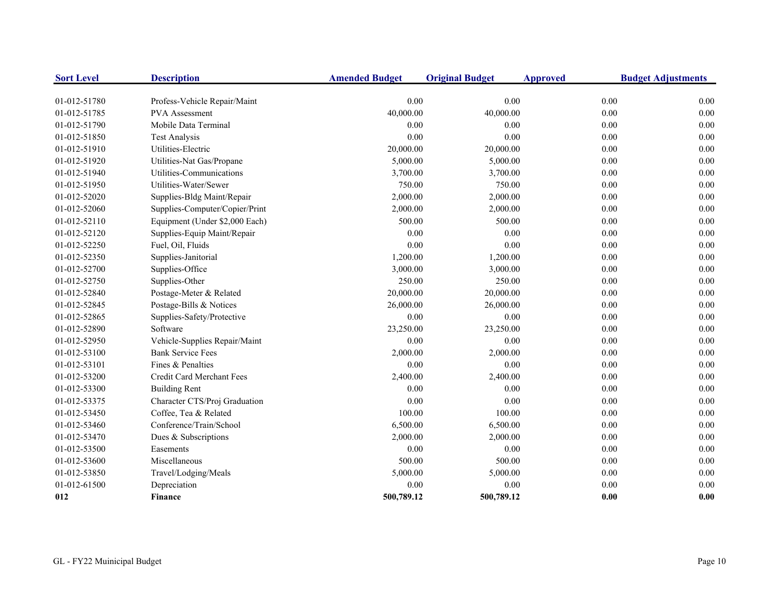| <b>Sort Level</b> | <b>Description</b>             | <b>Amended Budget</b> | <b>Original Budget</b> | <b>Approved</b> | <b>Budget Adjustments</b> |
|-------------------|--------------------------------|-----------------------|------------------------|-----------------|---------------------------|
| 01-012-51780      | Profess-Vehicle Repair/Maint   | 0.00                  | 0.00                   | 0.00            | 0.00                      |
| 01-012-51785      | <b>PVA</b> Assessment          | 40,000.00             | 40,000.00              | 0.00            | 0.00                      |
| 01-012-51790      | Mobile Data Terminal           | 0.00                  | 0.00                   | 0.00            | 0.00                      |
| 01-012-51850      | <b>Test Analysis</b>           | 0.00                  | 0.00                   | 0.00            | 0.00                      |
| 01-012-51910      | Utilities-Electric             | 20,000.00             | 20,000.00              | 0.00            | 0.00                      |
| 01-012-51920      | Utilities-Nat Gas/Propane      | 5,000.00              | 5,000.00               | 0.00            | 0.00                      |
| 01-012-51940      | Utilities-Communications       | 3,700.00              | 3,700.00               | 0.00            | 0.00                      |
| 01-012-51950      | Utilities-Water/Sewer          | 750.00                | 750.00                 | 0.00            | 0.00                      |
| 01-012-52020      | Supplies-Bldg Maint/Repair     | 2,000.00              | 2,000.00               | 0.00            | 0.00                      |
| 01-012-52060      | Supplies-Computer/Copier/Print | 2,000.00              | 2,000.00               | 0.00            | 0.00                      |
| 01-012-52110      | Equipment (Under \$2,000 Each) | 500.00                | 500.00                 | 0.00            | 0.00                      |
| 01-012-52120      | Supplies-Equip Maint/Repair    | 0.00                  | 0.00                   | 0.00            | 0.00                      |
| 01-012-52250      | Fuel, Oil, Fluids              | 0.00                  | 0.00                   | 0.00            | 0.00                      |
| 01-012-52350      | Supplies-Janitorial            | 1,200.00              | 1,200.00               | 0.00            | 0.00                      |
| 01-012-52700      | Supplies-Office                | 3,000.00              | 3,000.00               | 0.00            | 0.00                      |
| 01-012-52750      | Supplies-Other                 | 250.00                | 250.00                 | 0.00            | 0.00                      |
| 01-012-52840      | Postage-Meter & Related        | 20,000.00             | 20,000.00              | 0.00            | 0.00                      |
| 01-012-52845      | Postage-Bills & Notices        | 26,000.00             | 26,000.00              | 0.00            | 0.00                      |
| 01-012-52865      | Supplies-Safety/Protective     | 0.00                  | 0.00                   | 0.00            | 0.00                      |
| 01-012-52890      | Software                       | 23,250.00             | 23,250.00              | 0.00            | 0.00                      |
| 01-012-52950      | Vehicle-Supplies Repair/Maint  | 0.00                  | $0.00\,$               | 0.00            | 0.00                      |
| 01-012-53100      | <b>Bank Service Fees</b>       | 2,000.00              | 2,000.00               | 0.00            | 0.00                      |
| 01-012-53101      | Fines & Penalties              | 0.00                  | 0.00                   | 0.00            | 0.00                      |
| 01-012-53200      | Credit Card Merchant Fees      | 2,400.00              | 2,400.00               | 0.00            | 0.00                      |
| 01-012-53300      | <b>Building Rent</b>           | 0.00                  | 0.00                   | 0.00            | 0.00                      |
| 01-012-53375      | Character CTS/Proj Graduation  | 0.00                  | 0.00                   | 0.00            | 0.00                      |
| 01-012-53450      | Coffee, Tea & Related          | 100.00                | 100.00                 | 0.00            | 0.00                      |
| 01-012-53460      | Conference/Train/School        | 6,500.00              | 6,500.00               | 0.00            | 0.00                      |
| 01-012-53470      | Dues & Subscriptions           | 2,000.00              | 2,000.00               | 0.00            | 0.00                      |
| 01-012-53500      | Easements                      | 0.00                  | 0.00                   | 0.00            | 0.00                      |
| 01-012-53600      | Miscellaneous                  | 500.00                | 500.00                 | 0.00            | 0.00                      |
| 01-012-53850      | Travel/Lodging/Meals           | 5,000.00              | 5,000.00               | 0.00            | 0.00                      |
| 01-012-61500      | Depreciation                   | 0.00                  | $0.00\,$               | 0.00            | 0.00                      |
| 012               | Finance                        | 500,789.12            | 500,789.12             | 0.00            | 0.00                      |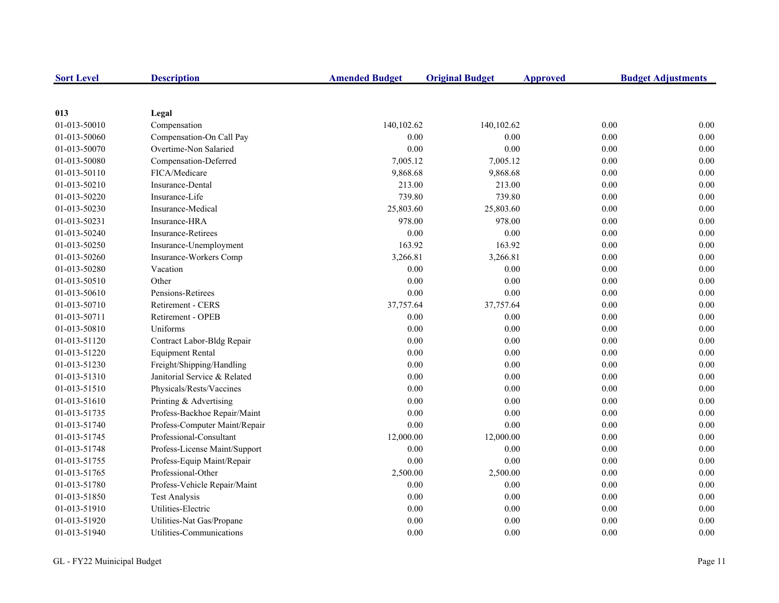| <b>Sort Level</b> | <b>Description</b>            | <b>Amended Budget</b> | <b>Original Budget</b> | <b>Approved</b> | <b>Budget Adjustments</b> |
|-------------------|-------------------------------|-----------------------|------------------------|-----------------|---------------------------|
|                   |                               |                       |                        |                 |                           |
| 013               | Legal                         |                       |                        |                 |                           |
| 01-013-50010      | Compensation                  | 140,102.62            | 140,102.62             |                 | 0.00<br>0.00              |
| 01-013-50060      | Compensation-On Call Pay      | 0.00                  | 0.00                   |                 | 0.00<br>0.00              |
| 01-013-50070      | Overtime-Non Salaried         | 0.00                  | 0.00                   |                 | $0.00\,$<br>0.00          |
| 01-013-50080      | Compensation-Deferred         | 7,005.12              | 7,005.12               |                 | 0.00<br>0.00              |
| 01-013-50110      | FICA/Medicare                 | 9,868.68              | 9,868.68               |                 | 0.00<br>0.00              |
| 01-013-50210      | Insurance-Dental              | 213.00                | 213.00                 |                 | 0.00<br>0.00              |
| 01-013-50220      | Insurance-Life                | 739.80                | 739.80                 |                 | 0.00<br>0.00              |
| 01-013-50230      | Insurance-Medical             | 25,803.60             | 25,803.60              |                 | 0.00<br>0.00              |
| 01-013-50231      | Insurance-HRA                 | 978.00                | 978.00                 |                 | 0.00<br>0.00              |
| 01-013-50240      | <b>Insurance-Retirees</b>     | 0.00                  | 0.00                   |                 | 0.00<br>0.00              |
| 01-013-50250      | Insurance-Unemployment        | 163.92                | 163.92                 |                 | 0.00<br>0.00              |
| 01-013-50260      | Insurance-Workers Comp        | 3,266.81              | 3,266.81               |                 | 0.00<br>0.00              |
| 01-013-50280      | Vacation                      | 0.00                  | 0.00                   |                 | 0.00<br>0.00              |
| 01-013-50510      | Other                         | 0.00                  | 0.00                   |                 | 0.00<br>0.00              |
| 01-013-50610      | Pensions-Retirees             | 0.00                  | 0.00                   |                 | 0.00<br>0.00              |
| 01-013-50710      | <b>Retirement - CERS</b>      | 37,757.64             | 37,757.64              |                 | 0.00<br>0.00              |
| 01-013-50711      | Retirement - OPEB             | 0.00                  | 0.00                   |                 | 0.00<br>0.00              |
| 01-013-50810      | Uniforms                      | 0.00                  | 0.00                   |                 | 0.00<br>0.00              |
| 01-013-51120      | Contract Labor-Bldg Repair    | 0.00                  | 0.00                   |                 | 0.00<br>0.00              |
| 01-013-51220      | <b>Equipment Rental</b>       | 0.00                  | 0.00                   |                 | 0.00<br>0.00              |
| 01-013-51230      | Freight/Shipping/Handling     | 0.00                  | 0.00                   |                 | 0.00<br>0.00              |
| 01-013-51310      | Janitorial Service & Related  | 0.00                  | 0.00                   |                 | 0.00<br>0.00              |
| 01-013-51510      | Physicals/Rests/Vaccines      | 0.00                  | 0.00                   |                 | 0.00<br>0.00              |
| 01-013-51610      | Printing & Advertising        | 0.00                  | 0.00                   |                 | 0.00<br>0.00              |
| 01-013-51735      | Profess-Backhoe Repair/Maint  | 0.00                  | 0.00                   |                 | 0.00<br>0.00              |
| 01-013-51740      | Profess-Computer Maint/Repair | $0.00\,$              | 0.00                   |                 | 0.00<br>0.00              |
| 01-013-51745      | Professional-Consultant       | 12,000.00             | 12,000.00              |                 | 0.00<br>0.00              |
| 01-013-51748      | Profess-License Maint/Support | 0.00                  | 0.00                   |                 | 0.00<br>0.00              |
| 01-013-51755      | Profess-Equip Maint/Repair    | 0.00                  | 0.00                   |                 | 0.00<br>0.00              |
| 01-013-51765      | Professional-Other            | 2,500.00              | 2,500.00               |                 | 0.00<br>0.00              |
| 01-013-51780      | Profess-Vehicle Repair/Maint  | 0.00                  | 0.00                   |                 | 0.00<br>0.00              |
| 01-013-51850      | <b>Test Analysis</b>          | 0.00                  | 0.00                   |                 | 0.00<br>0.00              |
| 01-013-51910      | Utilities-Electric            | 0.00                  | 0.00                   |                 | 0.00<br>0.00              |
| 01-013-51920      | Utilities-Nat Gas/Propane     | 0.00                  | 0.00                   |                 | 0.00<br>0.00              |
| 01-013-51940      | Utilities-Communications      | 0.00                  | 0.00                   |                 | 0.00<br>0.00              |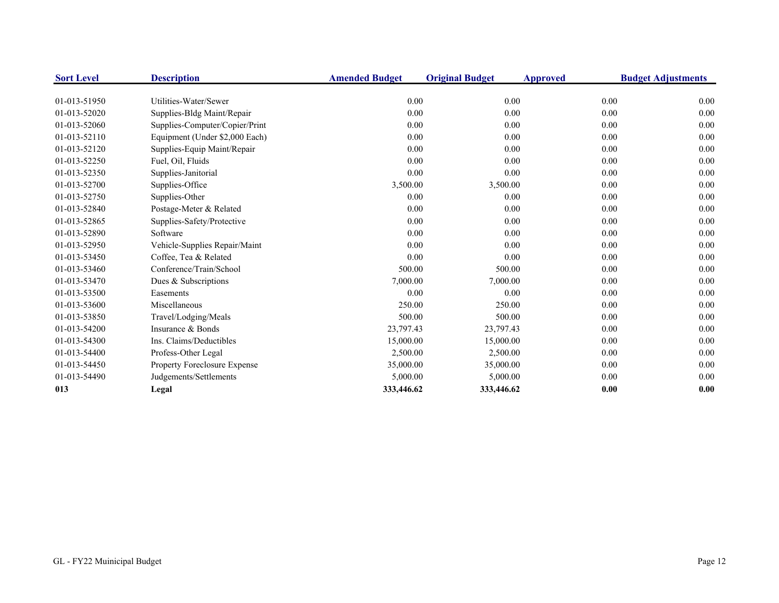| <b>Sort Level</b> | <b>Description</b>             | <b>Amended Budget</b> | <b>Original Budget</b> | <b>Approved</b> | <b>Budget Adjustments</b> |
|-------------------|--------------------------------|-----------------------|------------------------|-----------------|---------------------------|
|                   |                                |                       |                        |                 |                           |
| 01-013-51950      | Utilities-Water/Sewer          | 0.00                  | 0.00                   | 0.00            | 0.00                      |
| 01-013-52020      | Supplies-Bldg Maint/Repair     | 0.00                  | 0.00                   | 0.00            | 0.00                      |
| 01-013-52060      | Supplies-Computer/Copier/Print | 0.00                  | 0.00                   | 0.00            | 0.00                      |
| 01-013-52110      | Equipment (Under \$2,000 Each) | 0.00                  | 0.00                   | 0.00            | 0.00                      |
| 01-013-52120      | Supplies-Equip Maint/Repair    | 0.00                  | 0.00                   | 0.00            | 0.00                      |
| 01-013-52250      | Fuel, Oil, Fluids              | 0.00                  | 0.00                   | 0.00            | 0.00                      |
| 01-013-52350      | Supplies-Janitorial            | 0.00                  | 0.00                   | 0.00            | 0.00                      |
| 01-013-52700      | Supplies-Office                | 3,500.00              | 3,500.00               | 0.00            | 0.00                      |
| 01-013-52750      | Supplies-Other                 | 0.00                  | 0.00                   | 0.00            | 0.00                      |
| 01-013-52840      | Postage-Meter & Related        | 0.00                  | 0.00                   | 0.00            | 0.00                      |
| 01-013-52865      | Supplies-Safety/Protective     | 0.00                  | 0.00                   | 0.00            | 0.00                      |
| 01-013-52890      | Software                       | 0.00                  | 0.00                   | 0.00            | 0.00                      |
| 01-013-52950      | Vehicle-Supplies Repair/Maint  | 0.00                  | 0.00                   | 0.00            | 0.00                      |
| 01-013-53450      | Coffee, Tea & Related          | 0.00                  | 0.00                   | 0.00            | 0.00                      |
| 01-013-53460      | Conference/Train/School        | 500.00                | 500.00                 | 0.00            | 0.00                      |
| 01-013-53470      | Dues & Subscriptions           | 7,000.00              | 7,000.00               | 0.00            | 0.00                      |
| 01-013-53500      | Easements                      | 0.00                  | 0.00                   | 0.00            | 0.00                      |
| 01-013-53600      | Miscellaneous                  | 250.00                | 250.00                 | 0.00            | 0.00                      |
| 01-013-53850      | Travel/Lodging/Meals           | 500.00                | 500.00                 | 0.00            | 0.00                      |
| 01-013-54200      | Insurance & Bonds              | 23,797.43             | 23,797.43              | 0.00            | 0.00                      |
| 01-013-54300      | Ins. Claims/Deductibles        | 15,000.00             | 15,000.00              | 0.00            | 0.00                      |
| 01-013-54400      | Profess-Other Legal            | 2,500.00              | 2,500.00               | 0.00            | 0.00                      |
| 01-013-54450      | Property Foreclosure Expense   | 35,000.00             | 35,000.00              | 0.00            | 0.00                      |
| 01-013-54490      | Judgements/Settlements         | 5,000.00              | 5,000.00               | 0.00            | 0.00                      |
| 013               | Legal                          | 333,446.62            | 333,446.62             | 0.00            | 0.00                      |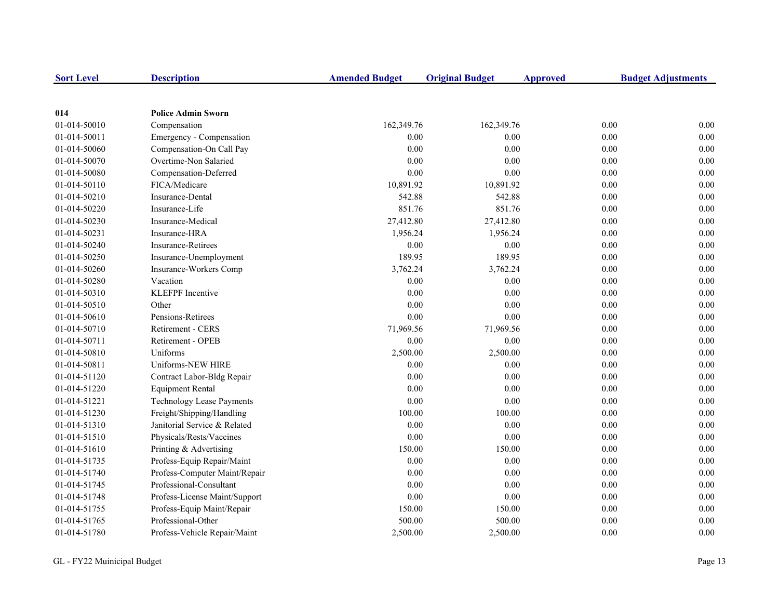| <b>Sort Level</b> | <b>Description</b>            | <b>Amended Budget</b> | <b>Original Budget</b> | <b>Approved</b> | <b>Budget Adjustments</b> |
|-------------------|-------------------------------|-----------------------|------------------------|-----------------|---------------------------|
|                   |                               |                       |                        |                 |                           |
| 014               | <b>Police Admin Sworn</b>     |                       |                        |                 |                           |
| 01-014-50010      | Compensation                  | 162,349.76            | 162,349.76             | 0.00            | 0.00                      |
| 01-014-50011      | Emergency - Compensation      | 0.00                  | 0.00                   | 0.00            | 0.00                      |
| 01-014-50060      | Compensation-On Call Pay      | 0.00                  | 0.00                   | 0.00            | $0.00\,$                  |
| 01-014-50070      | Overtime-Non Salaried         | 0.00                  | 0.00                   | 0.00            | 0.00                      |
| 01-014-50080      | Compensation-Deferred         | 0.00                  | 0.00                   | 0.00            | 0.00                      |
| 01-014-50110      | FICA/Medicare                 | 10,891.92             | 10,891.92              | 0.00            | 0.00                      |
| 01-014-50210      | <b>Insurance-Dental</b>       | 542.88                | 542.88                 | 0.00            | 0.00                      |
| 01-014-50220      | Insurance-Life                | 851.76                | 851.76                 | 0.00            | 0.00                      |
| 01-014-50230      | Insurance-Medical             | 27,412.80             | 27,412.80              | 0.00            | 0.00                      |
| 01-014-50231      | Insurance-HRA                 | 1,956.24              | 1,956.24               | 0.00            | 0.00                      |
| 01-014-50240      | Insurance-Retirees            | 0.00                  | $0.00\,$               | 0.00            | 0.00                      |
| 01-014-50250      | Insurance-Unemployment        | 189.95                | 189.95                 | 0.00            | 0.00                      |
| 01-014-50260      | Insurance-Workers Comp        | 3,762.24              | 3,762.24               | 0.00            | 0.00                      |
| 01-014-50280      | Vacation                      | 0.00                  | 0.00                   | 0.00            | 0.00                      |
| 01-014-50310      | <b>KLEFPF</b> Incentive       | $0.00\,$              | 0.00                   | 0.00            | 0.00                      |
| 01-014-50510      | Other                         | 0.00                  | 0.00                   | 0.00            | 0.00                      |
| 01-014-50610      | Pensions-Retirees             | 0.00                  | 0.00                   | 0.00            | 0.00                      |
| 01-014-50710      | Retirement - CERS             | 71,969.56             | 71,969.56              | 0.00            | 0.00                      |
| 01-014-50711      | Retirement - OPEB             | 0.00                  | 0.00                   | 0.00            | 0.00                      |
| 01-014-50810      | Uniforms                      | 2,500.00              | 2,500.00               | 0.00            | 0.00                      |
| 01-014-50811      | Uniforms-NEW HIRE             | 0.00                  | 0.00                   | 0.00            | 0.00                      |
| 01-014-51120      | Contract Labor-Bldg Repair    | 0.00                  | $0.00\,$               | 0.00            | $0.00\,$                  |
| 01-014-51220      | <b>Equipment Rental</b>       | 0.00                  | 0.00                   | 0.00            | 0.00                      |
| 01-014-51221      | Technology Lease Payments     | $0.00\,$              | 0.00                   | 0.00            | 0.00                      |
| 01-014-51230      | Freight/Shipping/Handling     | 100.00                | 100.00                 | 0.00            | 0.00                      |
| 01-014-51310      | Janitorial Service & Related  | 0.00                  | 0.00                   | 0.00            | 0.00                      |
| 01-014-51510      | Physicals/Rests/Vaccines      | 0.00                  | 0.00                   | 0.00            | 0.00                      |
| 01-014-51610      | Printing & Advertising        | 150.00                | 150.00                 | 0.00            | 0.00                      |
| 01-014-51735      | Profess-Equip Repair/Maint    | 0.00                  | 0.00                   | 0.00            | 0.00                      |
| 01-014-51740      | Profess-Computer Maint/Repair | 0.00                  | 0.00                   | 0.00            | 0.00                      |
| 01-014-51745      | Professional-Consultant       | 0.00                  | 0.00                   | 0.00            | 0.00                      |
| 01-014-51748      | Profess-License Maint/Support | 0.00                  | 0.00                   | 0.00            | 0.00                      |
| 01-014-51755      | Profess-Equip Maint/Repair    | 150.00                | 150.00                 | 0.00            | 0.00                      |
| 01-014-51765      | Professional-Other            | 500.00                | 500.00                 | 0.00            | 0.00                      |
| 01-014-51780      | Profess-Vehicle Repair/Maint  | 2,500.00              | 2,500.00               | 0.00            | 0.00                      |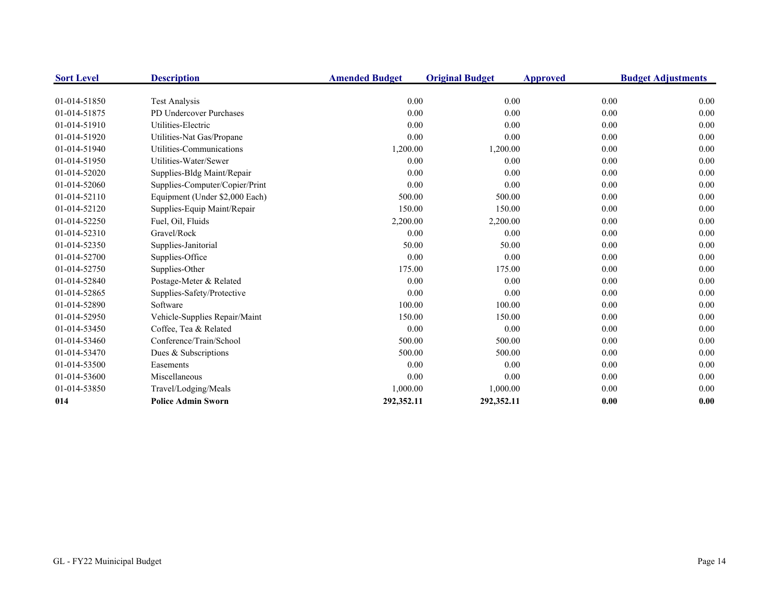| <b>Sort Level</b> | <b>Description</b>             | <b>Amended Budget</b> | <b>Original Budget</b> | <b>Approved</b> | <b>Budget Adjustments</b> |
|-------------------|--------------------------------|-----------------------|------------------------|-----------------|---------------------------|
| 01-014-51850      | Test Analysis                  | 0.00                  | 0.00                   | 0.00            | 0.00                      |
| 01-014-51875      | PD Undercover Purchases        | 0.00                  | 0.00                   | 0.00            | 0.00                      |
| 01-014-51910      | Utilities-Electric             | 0.00                  | 0.00                   | 0.00            | 0.00                      |
| 01-014-51920      | Utilities-Nat Gas/Propane      | 0.00                  | 0.00                   | 0.00            | 0.00                      |
| 01-014-51940      | Utilities-Communications       | 1,200.00              |                        | 0.00            | 0.00                      |
|                   |                                |                       | 1,200.00               |                 |                           |
| 01-014-51950      | Utilities-Water/Sewer          | 0.00                  | 0.00                   | 0.00            | 0.00                      |
| 01-014-52020      | Supplies-Bldg Maint/Repair     | 0.00                  | 0.00                   | 0.00            | 0.00                      |
| 01-014-52060      | Supplies-Computer/Copier/Print | 0.00                  | 0.00                   | 0.00            | 0.00                      |
| 01-014-52110      | Equipment (Under \$2,000 Each) | 500.00                | 500.00                 | 0.00            | 0.00                      |
| 01-014-52120      | Supplies-Equip Maint/Repair    | 150.00                | 150.00                 | 0.00            | 0.00                      |
| 01-014-52250      | Fuel, Oil, Fluids              | 2,200.00              | 2,200.00               | 0.00            | 0.00                      |
| 01-014-52310      | Gravel/Rock                    | 0.00                  | 0.00                   | 0.00            | 0.00                      |
| 01-014-52350      | Supplies-Janitorial            | 50.00                 | 50.00                  | 0.00            | 0.00                      |
| 01-014-52700      | Supplies-Office                | 0.00                  | 0.00                   | 0.00            | 0.00                      |
| 01-014-52750      | Supplies-Other                 | 175.00                | 175.00                 | 0.00            | 0.00                      |
| 01-014-52840      | Postage-Meter & Related        | 0.00                  | 0.00                   | 0.00            | 0.00                      |
| 01-014-52865      | Supplies-Safety/Protective     | 0.00                  | 0.00                   | 0.00            | 0.00                      |
| 01-014-52890      | Software                       | 100.00                | 100.00                 | 0.00            | 0.00                      |
| 01-014-52950      | Vehicle-Supplies Repair/Maint  | 150.00                | 150.00                 | 0.00            | 0.00                      |
| 01-014-53450      | Coffee, Tea & Related          | 0.00                  | 0.00                   | 0.00            | 0.00                      |
| 01-014-53460      | Conference/Train/School        | 500.00                | 500.00                 | 0.00            | 0.00                      |
| 01-014-53470      | Dues & Subscriptions           | 500.00                | 500.00                 | 0.00            | 0.00                      |
| 01-014-53500      | Easements                      | 0.00                  | 0.00                   | 0.00            | 0.00                      |
| 01-014-53600      | Miscellaneous                  | 0.00                  | 0.00                   | 0.00            | 0.00                      |
| 01-014-53850      | Travel/Lodging/Meals           | 1,000.00              | 1,000.00               | 0.00            | 0.00                      |
| 014               | <b>Police Admin Sworn</b>      | 292,352.11            | 292,352.11             | 0.00            | 0.00                      |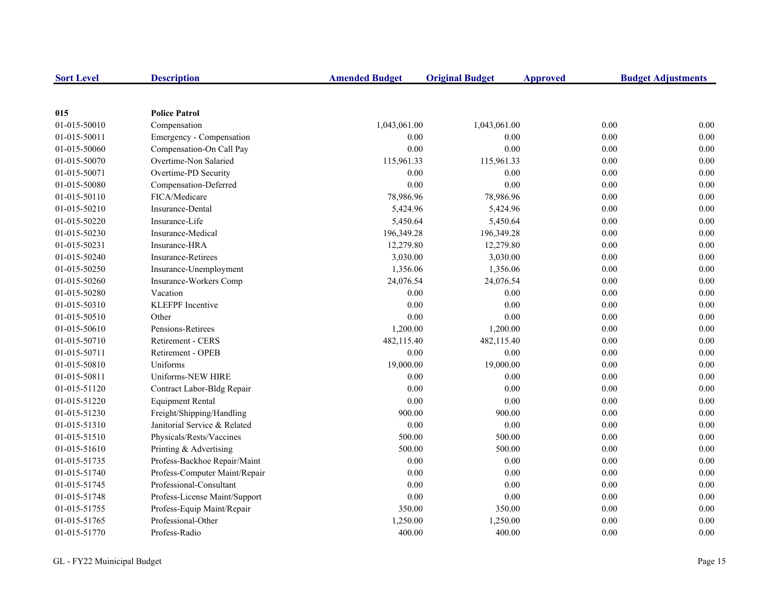| <b>Sort Level</b> | <b>Description</b>            | <b>Amended Budget</b> | <b>Original Budget</b> | <b>Approved</b> | <b>Budget Adjustments</b> |
|-------------------|-------------------------------|-----------------------|------------------------|-----------------|---------------------------|
|                   |                               |                       |                        |                 |                           |
| 015               | <b>Police Patrol</b>          |                       |                        |                 |                           |
| 01-015-50010      | Compensation                  | 1,043,061.00          | 1,043,061.00           | 0.00            | 0.00                      |
| 01-015-50011      | Emergency - Compensation      | 0.00                  | 0.00                   | 0.00            | 0.00                      |
| 01-015-50060      | Compensation-On Call Pay      | 0.00                  | 0.00                   | 0.00            | $0.00\,$                  |
| 01-015-50070      | Overtime-Non Salaried         | 115,961.33            | 115,961.33             | 0.00            | 0.00                      |
| 01-015-50071      | Overtime-PD Security          | 0.00                  | 0.00                   | 0.00            | 0.00                      |
| 01-015-50080      | Compensation-Deferred         | 0.00                  | 0.00                   | 0.00            | 0.00                      |
| 01-015-50110      | FICA/Medicare                 | 78,986.96             | 78,986.96              | 0.00            | 0.00                      |
| 01-015-50210      | Insurance-Dental              | 5,424.96              | 5,424.96               | 0.00            | 0.00                      |
| 01-015-50220      | Insurance-Life                | 5,450.64              | 5,450.64               | 0.00            | 0.00                      |
| 01-015-50230      | Insurance-Medical             | 196,349.28            | 196,349.28             | $0.00\,$        | 0.00                      |
| 01-015-50231      | Insurance-HRA                 | 12,279.80             | 12,279.80              | 0.00            | 0.00                      |
| 01-015-50240      | Insurance-Retirees            | 3,030.00              | 3,030.00               | 0.00            | 0.00                      |
| 01-015-50250      | Insurance-Unemployment        | 1,356.06              | 1,356.06               | 0.00            | 0.00                      |
| 01-015-50260      | Insurance-Workers Comp        | 24,076.54             | 24,076.54              | 0.00            | $0.00\,$                  |
| 01-015-50280      | Vacation                      | 0.00                  | $0.00\,$               | 0.00            | 0.00                      |
| 01-015-50310      | <b>KLEFPF</b> Incentive       | 0.00                  | 0.00                   | 0.00            | 0.00                      |
| 01-015-50510      | Other                         | 0.00                  | 0.00                   | 0.00            | 0.00                      |
| 01-015-50610      | Pensions-Retirees             | 1,200.00              | 1,200.00               | 0.00            | 0.00                      |
| 01-015-50710      | Retirement - CERS             | 482,115.40            | 482,115.40             | 0.00            | 0.00                      |
| 01-015-50711      | Retirement - OPEB             | 0.00                  | 0.00                   | 0.00            | 0.00                      |
| 01-015-50810      | Uniforms                      | 19,000.00             | 19,000.00              | 0.00            | 0.00                      |
| 01-015-50811      | Uniforms-NEW HIRE             | 0.00                  | 0.00                   | 0.00            | 0.00                      |
| 01-015-51120      | Contract Labor-Bldg Repair    | 0.00                  | 0.00                   | 0.00            | 0.00                      |
| 01-015-51220      | <b>Equipment Rental</b>       | 0.00                  | $0.00\,$               | 0.00            | 0.00                      |
| 01-015-51230      | Freight/Shipping/Handling     | 900.00                | 900.00                 | 0.00            | 0.00                      |
| 01-015-51310      | Janitorial Service & Related  | $0.00\,$              | 0.00                   | 0.00            | 0.00                      |
| 01-015-51510      | Physicals/Rests/Vaccines      | 500.00                | 500.00                 | 0.00            | 0.00                      |
| 01-015-51610      | Printing & Advertising        | 500.00                | 500.00                 | 0.00            | 0.00                      |
| 01-015-51735      | Profess-Backhoe Repair/Maint  | 0.00                  | 0.00                   | 0.00            | 0.00                      |
| 01-015-51740      | Profess-Computer Maint/Repair | 0.00                  | 0.00                   | 0.00            | 0.00                      |
| 01-015-51745      | Professional-Consultant       | 0.00                  | 0.00                   | 0.00            | 0.00                      |
| 01-015-51748      | Profess-License Maint/Support | 0.00                  | 0.00                   | 0.00            | 0.00                      |
| 01-015-51755      | Profess-Equip Maint/Repair    | 350.00                | 350.00                 | 0.00            | 0.00                      |
| 01-015-51765      | Professional-Other            | 1,250.00              | 1,250.00               | 0.00            | 0.00                      |
| 01-015-51770      | Profess-Radio                 | 400.00                | 400.00                 | 0.00            | 0.00                      |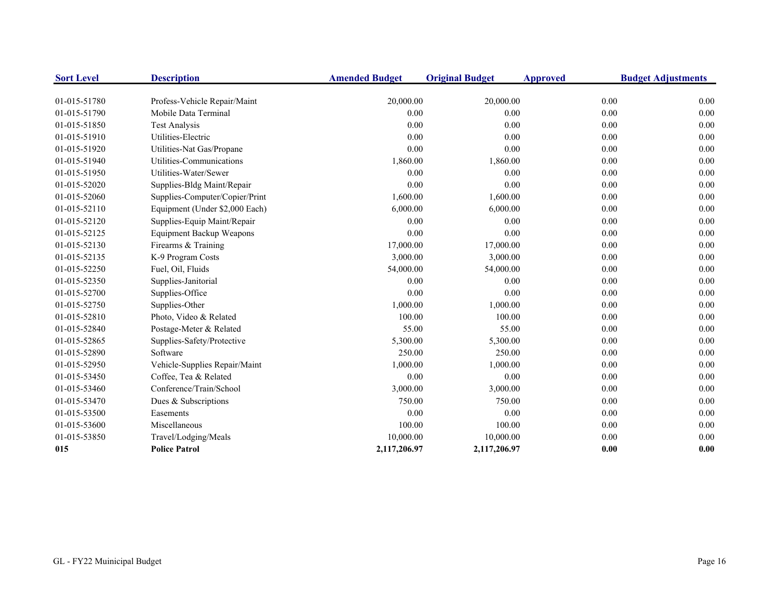| <b>Sort Level</b> | <b>Description</b>             | <b>Amended Budget</b> | <b>Original Budget</b> | <b>Approved</b> | <b>Budget Adjustments</b> |
|-------------------|--------------------------------|-----------------------|------------------------|-----------------|---------------------------|
| 01-015-51780      | Profess-Vehicle Repair/Maint   | 20,000.00             | 20,000.00              | 0.00            | 0.00                      |
| 01-015-51790      | Mobile Data Terminal           | 0.00                  | 0.00                   | 0.00            | 0.00                      |
| 01-015-51850      | Test Analysis                  | 0.00                  | 0.00                   | 0.00            | 0.00                      |
| 01-015-51910      | Utilities-Electric             | 0.00                  | 0.00                   | 0.00            | 0.00                      |
| 01-015-51920      | Utilities-Nat Gas/Propane      | 0.00                  | 0.00                   | 0.00            | 0.00                      |
| 01-015-51940      | Utilities-Communications       | 1,860.00              | 1,860.00               | 0.00            | 0.00                      |
| 01-015-51950      | Utilities-Water/Sewer          | 0.00                  | 0.00                   | 0.00            | 0.00                      |
| 01-015-52020      | Supplies-Bldg Maint/Repair     | 0.00                  | 0.00                   | 0.00            | 0.00                      |
| 01-015-52060      | Supplies-Computer/Copier/Print | 1,600.00              | 1,600.00               | 0.00            | 0.00                      |
| 01-015-52110      | Equipment (Under \$2,000 Each) | 6,000.00              | 6,000.00               | 0.00            | 0.00                      |
| 01-015-52120      | Supplies-Equip Maint/Repair    | 0.00                  | 0.00                   | 0.00            | 0.00                      |
| 01-015-52125      | Equipment Backup Weapons       | 0.00                  | 0.00                   | 0.00            | 0.00                      |
| 01-015-52130      | Firearms & Training            | 17,000.00             | 17,000.00              | 0.00            | 0.00                      |
| 01-015-52135      | K-9 Program Costs              | 3,000.00              | 3,000.00               | 0.00            | 0.00                      |
| 01-015-52250      | Fuel, Oil, Fluids              | 54,000.00             | 54,000.00              | 0.00            | 0.00                      |
| 01-015-52350      | Supplies-Janitorial            | 0.00                  | 0.00                   | 0.00            | 0.00                      |
| 01-015-52700      | Supplies-Office                | 0.00                  | 0.00                   | 0.00            | 0.00                      |
| 01-015-52750      | Supplies-Other                 | 1,000.00              | 1,000.00               | 0.00            | 0.00                      |
| 01-015-52810      | Photo, Video & Related         | 100.00                | 100.00                 | 0.00            | 0.00                      |
| 01-015-52840      | Postage-Meter & Related        | 55.00                 | 55.00                  | 0.00            | 0.00                      |
| 01-015-52865      | Supplies-Safety/Protective     | 5,300.00              | 5,300.00               | 0.00            | 0.00                      |
| 01-015-52890      | Software                       | 250.00                | 250.00                 | 0.00            | 0.00                      |
| 01-015-52950      | Vehicle-Supplies Repair/Maint  | 1,000.00              | 1,000.00               | 0.00            | 0.00                      |
| 01-015-53450      | Coffee, Tea & Related          | 0.00                  | 0.00                   | 0.00            | 0.00                      |
| 01-015-53460      | Conference/Train/School        | 3,000.00              | 3,000.00               | 0.00            | 0.00                      |
| 01-015-53470      | Dues & Subscriptions           | 750.00                | 750.00                 | 0.00            | 0.00                      |
| 01-015-53500      | Easements                      | 0.00                  | 0.00                   | 0.00            | 0.00                      |
| 01-015-53600      | Miscellaneous                  | 100.00                | 100.00                 | 0.00            | 0.00                      |
| 01-015-53850      | Travel/Lodging/Meals           | 10,000.00             | 10,000.00              | 0.00            | 0.00                      |
| 015               | <b>Police Patrol</b>           | 2,117,206.97          | 2,117,206.97           | 0.00            | 0.00                      |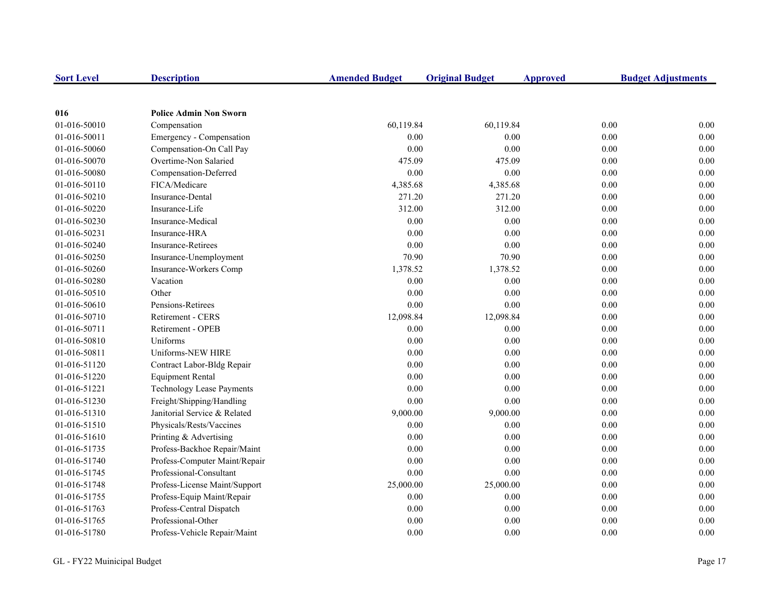| <b>Sort Level</b> | <b>Description</b>               | <b>Amended Budget</b> | <b>Original Budget</b> | <b>Approved</b> | <b>Budget Adjustments</b> |
|-------------------|----------------------------------|-----------------------|------------------------|-----------------|---------------------------|
|                   |                                  |                       |                        |                 |                           |
| 016               | <b>Police Admin Non Sworn</b>    |                       |                        |                 |                           |
| 01-016-50010      | Compensation                     | 60,119.84             | 60,119.84              |                 | 0.00<br>0.00              |
| 01-016-50011      | Emergency - Compensation         | 0.00                  | 0.00                   |                 | 0.00<br>0.00              |
| 01-016-50060      | Compensation-On Call Pay         | 0.00                  | 0.00                   |                 | 0.00<br>0.00              |
| 01-016-50070      | Overtime-Non Salaried            | 475.09                | 475.09                 |                 | 0.00<br>0.00              |
| 01-016-50080      | Compensation-Deferred            | 0.00                  | 0.00                   |                 | 0.00<br>0.00              |
| 01-016-50110      | FICA/Medicare                    | 4,385.68              | 4,385.68               |                 | 0.00<br>0.00              |
| 01-016-50210      | Insurance-Dental                 | 271.20                | 271.20                 |                 | 0.00<br>0.00              |
| 01-016-50220      | Insurance-Life                   | 312.00                | 312.00                 |                 | 0.00<br>0.00              |
| 01-016-50230      | Insurance-Medical                | 0.00                  | 0.00                   |                 | 0.00<br>0.00              |
| 01-016-50231      | Insurance-HRA                    | 0.00                  | 0.00                   |                 | 0.00<br>0.00              |
| 01-016-50240      | Insurance-Retirees               | 0.00                  | 0.00                   |                 | 0.00<br>0.00              |
| 01-016-50250      | Insurance-Unemployment           | 70.90                 | 70.90                  |                 | 0.00<br>0.00              |
| 01-016-50260      | Insurance-Workers Comp           | 1,378.52              | 1,378.52               |                 | 0.00<br>0.00              |
| 01-016-50280      | Vacation                         | 0.00                  | 0.00                   |                 | 0.00<br>0.00              |
| 01-016-50510      | Other                            | 0.00                  | 0.00                   |                 | 0.00<br>0.00              |
| 01-016-50610      | Pensions-Retirees                | 0.00                  | 0.00                   |                 | 0.00<br>0.00              |
| 01-016-50710      | Retirement - CERS                | 12,098.84             | 12,098.84              |                 | 0.00<br>0.00              |
| 01-016-50711      | Retirement - OPEB                | 0.00                  | 0.00                   |                 | 0.00<br>0.00              |
| 01-016-50810      | Uniforms                         | 0.00                  | 0.00                   |                 | 0.00<br>0.00              |
| 01-016-50811      | Uniforms-NEW HIRE                | 0.00                  | 0.00                   |                 | 0.00<br>0.00              |
| 01-016-51120      | Contract Labor-Bldg Repair       | 0.00                  | 0.00                   |                 | 0.00<br>0.00              |
| 01-016-51220      | <b>Equipment Rental</b>          | 0.00                  | 0.00                   |                 | 0.00<br>0.00              |
| 01-016-51221      | <b>Technology Lease Payments</b> | 0.00                  | 0.00                   |                 | 0.00<br>0.00              |
| 01-016-51230      | Freight/Shipping/Handling        | 0.00                  | 0.00                   |                 | 0.00<br>0.00              |
| 01-016-51310      | Janitorial Service & Related     | 9,000.00              | 9,000.00               |                 | 0.00<br>0.00              |
| 01-016-51510      | Physicals/Rests/Vaccines         | 0.00                  | 0.00                   |                 | 0.00<br>0.00              |
| 01-016-51610      | Printing & Advertising           | 0.00                  | 0.00                   |                 | 0.00<br>0.00              |
| 01-016-51735      | Profess-Backhoe Repair/Maint     | 0.00                  | 0.00                   |                 | 0.00<br>0.00              |
| 01-016-51740      | Profess-Computer Maint/Repair    | 0.00                  | 0.00                   |                 | 0.00<br>0.00              |
| 01-016-51745      | Professional-Consultant          | 0.00                  | 0.00                   |                 | 0.00<br>0.00              |
| 01-016-51748      | Profess-License Maint/Support    | 25,000.00             | 25,000.00              |                 | 0.00<br>0.00              |
| 01-016-51755      | Profess-Equip Maint/Repair       | 0.00                  | 0.00                   |                 | 0.00<br>0.00              |
| 01-016-51763      | Profess-Central Dispatch         | 0.00                  | 0.00                   |                 | 0.00<br>0.00              |
| 01-016-51765      | Professional-Other               | 0.00                  | 0.00                   |                 | 0.00<br>0.00              |
| 01-016-51780      | Profess-Vehicle Repair/Maint     | 0.00                  | 0.00                   |                 | 0.00<br>0.00              |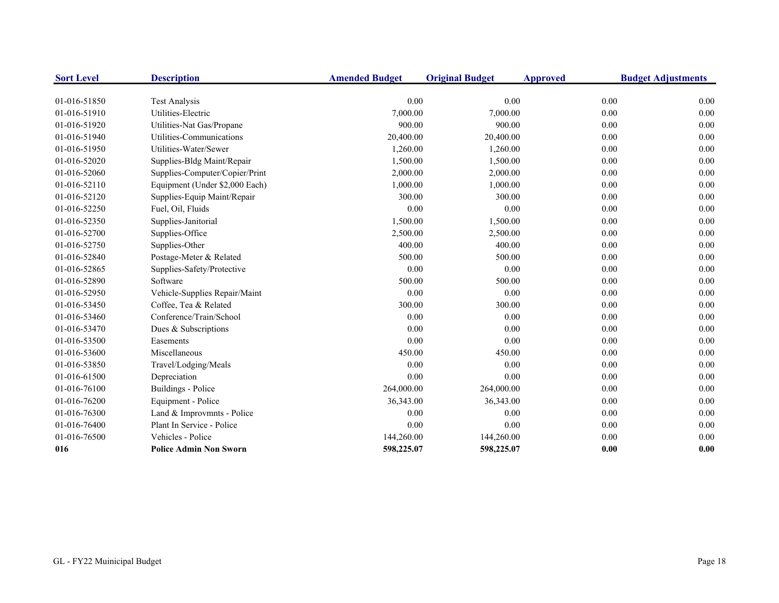| <b>Sort Level</b> | <b>Description</b>             | <b>Amended Budget</b> | <b>Original Budget</b> | <b>Approved</b> | <b>Budget Adjustments</b> |
|-------------------|--------------------------------|-----------------------|------------------------|-----------------|---------------------------|
| 01-016-51850      | <b>Test Analysis</b>           | 0.00                  | 0.00                   | 0.00            | 0.00                      |
| 01-016-51910      | Utilities-Electric             | 7,000.00              | 7,000.00               | 0.00            | 0.00                      |
| 01-016-51920      | Utilities-Nat Gas/Propane      | 900.00                | 900.00                 | 0.00            | 0.00                      |
| 01-016-51940      | Utilities-Communications       | 20,400.00             | 20,400.00              | 0.00            | 0.00                      |
| 01-016-51950      | Utilities-Water/Sewer          | 1,260.00              | 1,260.00               | 0.00            | 0.00                      |
| 01-016-52020      | Supplies-Bldg Maint/Repair     | 1,500.00              | 1,500.00               | 0.00            | 0.00                      |
| 01-016-52060      | Supplies-Computer/Copier/Print | 2,000.00              | 2,000.00               | 0.00            | 0.00                      |
| 01-016-52110      | Equipment (Under \$2,000 Each) | 1,000.00              | 1,000.00               | 0.00            | 0.00                      |
| 01-016-52120      | Supplies-Equip Maint/Repair    | 300.00                | 300.00                 | 0.00            | 0.00                      |
| 01-016-52250      | Fuel, Oil, Fluids              | 0.00                  | 0.00                   | 0.00            | 0.00                      |
| 01-016-52350      | Supplies-Janitorial            | 1,500.00              | 1,500.00               | 0.00            | 0.00                      |
| 01-016-52700      | Supplies-Office                | 2,500.00              | 2,500.00               | 0.00            | 0.00                      |
| 01-016-52750      | Supplies-Other                 | 400.00                | 400.00                 | 0.00            | 0.00                      |
| 01-016-52840      | Postage-Meter & Related        | 500.00                | 500.00                 | 0.00            | 0.00                      |
| 01-016-52865      | Supplies-Safety/Protective     | 0.00                  | 0.00                   | 0.00            | 0.00                      |
| 01-016-52890      | Software                       | 500.00                | 500.00                 | 0.00            | 0.00                      |
| 01-016-52950      | Vehicle-Supplies Repair/Maint  | 0.00                  | 0.00                   | 0.00            | 0.00                      |
| 01-016-53450      | Coffee, Tea & Related          | 300.00                | 300.00                 | 0.00            | 0.00                      |
| 01-016-53460      | Conference/Train/School        | 0.00                  | 0.00                   | 0.00            | 0.00                      |
| 01-016-53470      | Dues & Subscriptions           | 0.00                  | 0.00                   | 0.00            | 0.00                      |
| 01-016-53500      | Easements                      | 0.00                  | 0.00                   | 0.00            | 0.00                      |
| 01-016-53600      | Miscellaneous                  | 450.00                | 450.00                 | 0.00            | 0.00                      |
| 01-016-53850      | Travel/Lodging/Meals           | 0.00                  | 0.00                   | 0.00            | 0.00                      |
| 01-016-61500      | Depreciation                   | 0.00                  | 0.00                   | 0.00            | 0.00                      |
| 01-016-76100      | Buildings - Police             | 264,000.00            | 264,000.00             | 0.00            | 0.00                      |
| 01-016-76200      | Equipment - Police             | 36,343.00             | 36,343.00              | 0.00            | 0.00                      |
| 01-016-76300      | Land & Improvmnts - Police     | 0.00                  | 0.00                   | 0.00            | 0.00                      |
| 01-016-76400      | Plant In Service - Police      | 0.00                  | 0.00                   | 0.00            | 0.00                      |
| 01-016-76500      | Vehicles - Police              | 144,260.00            | 144,260.00             | 0.00            | 0.00                      |
| 016               | <b>Police Admin Non Sworn</b>  | 598,225.07            | 598,225.07             | 0.00            | 0.00                      |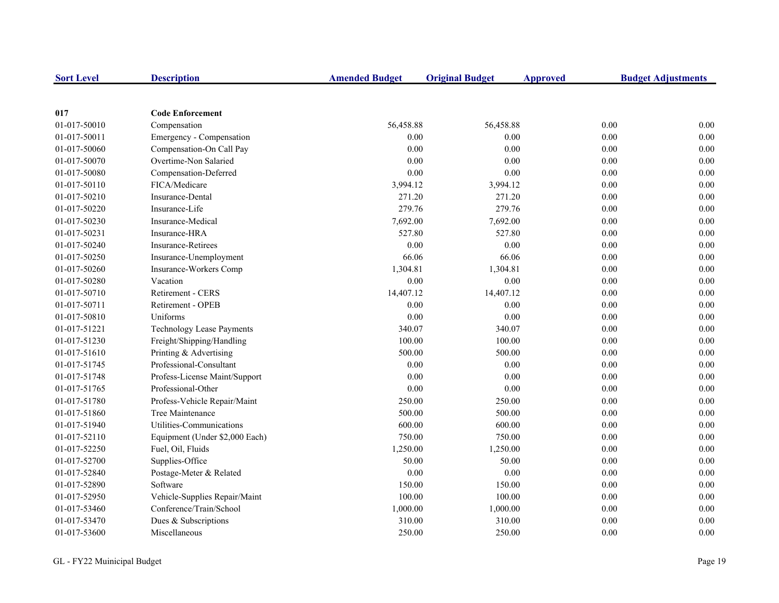| <b>Sort Level</b> | <b>Description</b>               | <b>Amended Budget</b> | <b>Original Budget</b> | <b>Approved</b> | <b>Budget Adjustments</b> |
|-------------------|----------------------------------|-----------------------|------------------------|-----------------|---------------------------|
|                   |                                  |                       |                        |                 |                           |
| 017               | <b>Code Enforcement</b>          |                       |                        |                 |                           |
| 01-017-50010      | Compensation                     | 56,458.88             | 56,458.88              |                 | 0.00<br>0.00              |
| 01-017-50011      | Emergency - Compensation         | 0.00                  | 0.00                   |                 | 0.00<br>0.00              |
| 01-017-50060      | Compensation-On Call Pay         | 0.00                  | 0.00                   |                 | 0.00<br>0.00              |
| 01-017-50070      | Overtime-Non Salaried            | 0.00                  | 0.00                   |                 | 0.00<br>0.00              |
| 01-017-50080      | Compensation-Deferred            | 0.00                  | 0.00                   |                 | 0.00<br>0.00              |
| 01-017-50110      | FICA/Medicare                    | 3,994.12              | 3,994.12               |                 | 0.00<br>0.00              |
| 01-017-50210      | Insurance-Dental                 | 271.20                | 271.20                 |                 | 0.00<br>0.00              |
| 01-017-50220      | Insurance-Life                   | 279.76                | 279.76                 |                 | 0.00<br>0.00              |
| 01-017-50230      | Insurance-Medical                | 7,692.00              | 7,692.00               |                 | 0.00<br>0.00              |
| 01-017-50231      | Insurance-HRA                    | 527.80                | 527.80                 |                 | 0.00<br>0.00              |
| 01-017-50240      | <b>Insurance-Retirees</b>        | 0.00                  | 0.00                   |                 | 0.00<br>0.00              |
| 01-017-50250      | Insurance-Unemployment           | 66.06                 | 66.06                  |                 | 0.00<br>0.00              |
| 01-017-50260      | Insurance-Workers Comp           | 1,304.81              | 1,304.81               |                 | 0.00<br>0.00              |
| 01-017-50280      | Vacation                         | 0.00                  | 0.00                   |                 | 0.00<br>0.00              |
| 01-017-50710      | Retirement - CERS                | 14,407.12             | 14,407.12              |                 | 0.00<br>0.00              |
| 01-017-50711      | Retirement - OPEB                | 0.00                  | 0.00                   |                 | 0.00<br>0.00              |
| 01-017-50810      | Uniforms                         | 0.00                  | 0.00                   |                 | 0.00<br>0.00              |
| 01-017-51221      | <b>Technology Lease Payments</b> | 340.07                | 340.07                 |                 | 0.00<br>0.00              |
| 01-017-51230      | Freight/Shipping/Handling        | 100.00                | 100.00                 |                 | 0.00<br>0.00              |
| 01-017-51610      | Printing & Advertising           | 500.00                | 500.00                 |                 | 0.00<br>0.00              |
| 01-017-51745      | Professional-Consultant          | 0.00                  | 0.00                   |                 | 0.00<br>0.00              |
| 01-017-51748      | Profess-License Maint/Support    | 0.00                  | 0.00                   |                 | 0.00<br>0.00              |
| 01-017-51765      | Professional-Other               | 0.00                  | 0.00                   |                 | 0.00<br>0.00              |
| 01-017-51780      | Profess-Vehicle Repair/Maint     | 250.00                | 250.00                 |                 | 0.00<br>0.00              |
| 01-017-51860      | Tree Maintenance                 | 500.00                | 500.00                 |                 | 0.00<br>0.00              |
| 01-017-51940      | Utilities-Communications         | 600.00                | 600.00                 |                 | 0.00<br>0.00              |
| 01-017-52110      | Equipment (Under \$2,000 Each)   | 750.00                | 750.00                 |                 | 0.00<br>0.00              |
| 01-017-52250      | Fuel, Oil, Fluids                | 1,250.00              | 1,250.00               |                 | 0.00<br>0.00              |
| 01-017-52700      | Supplies-Office                  | 50.00                 | 50.00                  |                 | 0.00<br>0.00              |
| 01-017-52840      | Postage-Meter & Related          | 0.00                  | 0.00                   |                 | 0.00<br>0.00              |
| 01-017-52890      | Software                         | 150.00                | 150.00                 |                 | 0.00<br>0.00              |
| 01-017-52950      | Vehicle-Supplies Repair/Maint    | 100.00                | 100.00                 |                 | 0.00<br>0.00              |
| 01-017-53460      | Conference/Train/School          | 1,000.00              | 1,000.00               |                 | 0.00<br>0.00              |
| 01-017-53470      | Dues & Subscriptions             | 310.00                | 310.00                 |                 | 0.00<br>0.00              |
| 01-017-53600      | Miscellaneous                    | 250.00                | 250.00                 |                 | 0.00<br>0.00              |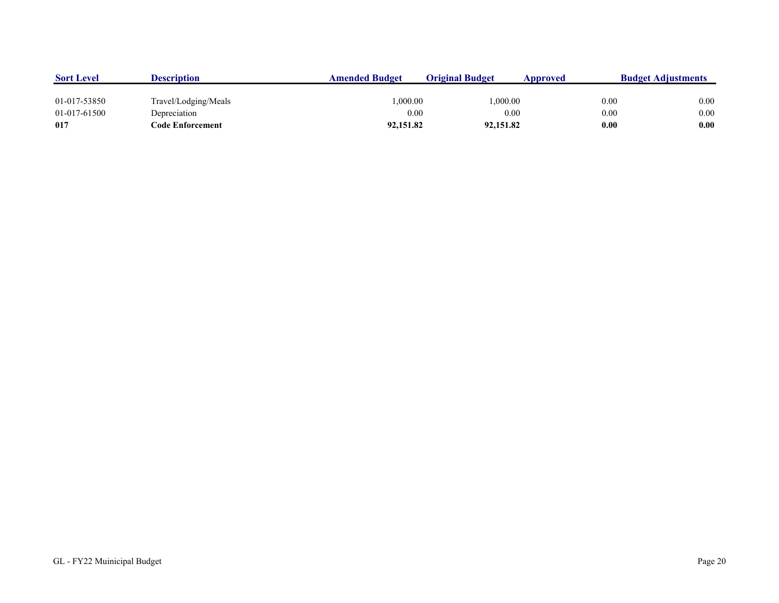| <b>Sort Level</b> | <b>Description</b>   | <b>Amended Budget</b> | <b>Original Budget</b> | Approved | <b>Budget Adjustments</b> |
|-------------------|----------------------|-----------------------|------------------------|----------|---------------------------|
|                   |                      |                       |                        |          |                           |
| 01-017-53850      | Travel/Lodging/Meals | 0.000.00              | 1.000.00               | 0.00     | 0.00                      |
| 01-017-61500      | Depreciation         | 0.00                  | 0.00                   | 0.00     | 0.00                      |
| 017               | Code Enforcement     | 92,151.82             | 92,151.82              | 0.00     | 0.00                      |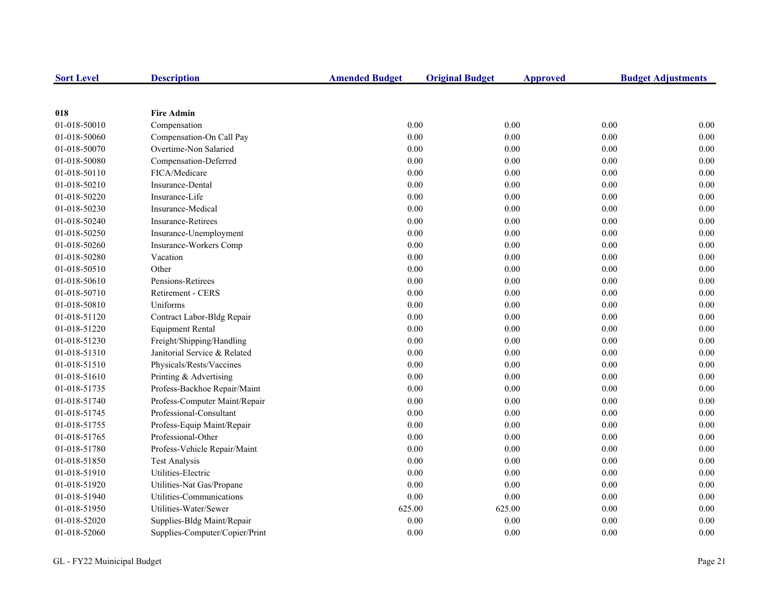| <b>Sort Level</b> | <b>Description</b>             | <b>Amended Budget</b> | <b>Original Budget</b> | <b>Approved</b> |      | <b>Budget Adjustments</b> |
|-------------------|--------------------------------|-----------------------|------------------------|-----------------|------|---------------------------|
|                   |                                |                       |                        |                 |      |                           |
| 018               | <b>Fire Admin</b>              |                       |                        |                 |      |                           |
| 01-018-50010      | Compensation                   | $0.00\,$              |                        | 0.00            | 0.00 | $0.00\,$                  |
| 01-018-50060      | Compensation-On Call Pay       | $0.00\,$              |                        | 0.00            | 0.00 | $0.00\,$                  |
| 01-018-50070      | Overtime-Non Salaried          | 0.00                  |                        | 0.00            | 0.00 | 0.00                      |
| 01-018-50080      | Compensation-Deferred          | 0.00                  |                        | 0.00            | 0.00 | 0.00                      |
| 01-018-50110      | FICA/Medicare                  | 0.00                  |                        | 0.00            | 0.00 | 0.00                      |
| 01-018-50210      | Insurance-Dental               | 0.00                  |                        | 0.00            | 0.00 | 0.00                      |
| 01-018-50220      | Insurance-Life                 | 0.00                  |                        | 0.00            | 0.00 | 0.00                      |
| 01-018-50230      | Insurance-Medical              | 0.00                  |                        | 0.00            | 0.00 | 0.00                      |
| 01-018-50240      | <b>Insurance-Retirees</b>      | 0.00                  |                        | 0.00            | 0.00 | 0.00                      |
| 01-018-50250      | Insurance-Unemployment         | 0.00                  |                        | 0.00            | 0.00 | 0.00                      |
| 01-018-50260      | Insurance-Workers Comp         | 0.00                  |                        | 0.00            | 0.00 | $0.00\,$                  |
| 01-018-50280      | Vacation                       | 0.00                  |                        | 0.00            | 0.00 | $0.00\,$                  |
| 01-018-50510      | Other                          | $0.00\,$              |                        | 0.00            | 0.00 | 0.00                      |
| 01-018-50610      | Pensions-Retirees              | 0.00                  |                        | 0.00            | 0.00 | 0.00                      |
| 01-018-50710      | Retirement - CERS              | 0.00                  |                        | 0.00            | 0.00 | 0.00                      |
| 01-018-50810      | Uniforms                       | 0.00                  |                        | 0.00            | 0.00 | 0.00                      |
| 01-018-51120      | Contract Labor-Bldg Repair     | 0.00                  |                        | 0.00            | 0.00 | 0.00                      |
| 01-018-51220      | <b>Equipment Rental</b>        | 0.00                  |                        | 0.00            | 0.00 | 0.00                      |
| 01-018-51230      | Freight/Shipping/Handling      | 0.00                  |                        | 0.00            | 0.00 | 0.00                      |
| 01-018-51310      | Janitorial Service & Related   | 0.00                  |                        | 0.00            | 0.00 | 0.00                      |
| 01-018-51510      | Physicals/Rests/Vaccines       | 0.00                  |                        | 0.00            | 0.00 | 0.00                      |
| 01-018-51610      | Printing & Advertising         | 0.00                  |                        | 0.00            | 0.00 | 0.00                      |
| 01-018-51735      | Profess-Backhoe Repair/Maint   | $0.00\,$              |                        | 0.00            | 0.00 | $0.00\,$                  |
| 01-018-51740      | Profess-Computer Maint/Repair  | $0.00\,$              |                        | 0.00            | 0.00 | 0.00                      |
| 01-018-51745      | Professional-Consultant        | 0.00                  |                        | 0.00            | 0.00 | 0.00                      |
| 01-018-51755      | Profess-Equip Maint/Repair     | 0.00                  |                        | 0.00            | 0.00 | 0.00                      |
| 01-018-51765      | Professional-Other             | 0.00                  |                        | 0.00            | 0.00 | 0.00                      |
| 01-018-51780      | Profess-Vehicle Repair/Maint   | 0.00                  |                        | 0.00            | 0.00 | 0.00                      |
| 01-018-51850      | <b>Test Analysis</b>           | 0.00                  |                        | 0.00            | 0.00 | 0.00                      |
| 01-018-51910      | Utilities-Electric             | 0.00                  |                        | 0.00            | 0.00 | 0.00                      |
| 01-018-51920      | Utilities-Nat Gas/Propane      | 0.00                  |                        | 0.00            | 0.00 | 0.00                      |
| 01-018-51940      | Utilities-Communications       | 0.00                  |                        | 0.00            | 0.00 | 0.00                      |
| 01-018-51950      | Utilities-Water/Sewer          | 625.00                |                        | 625.00          | 0.00 | 0.00                      |
| 01-018-52020      | Supplies-Bldg Maint/Repair     | 0.00                  |                        | 0.00            | 0.00 | 0.00                      |
| 01-018-52060      | Supplies-Computer/Copier/Print | 0.00                  |                        | 0.00            | 0.00 | 0.00                      |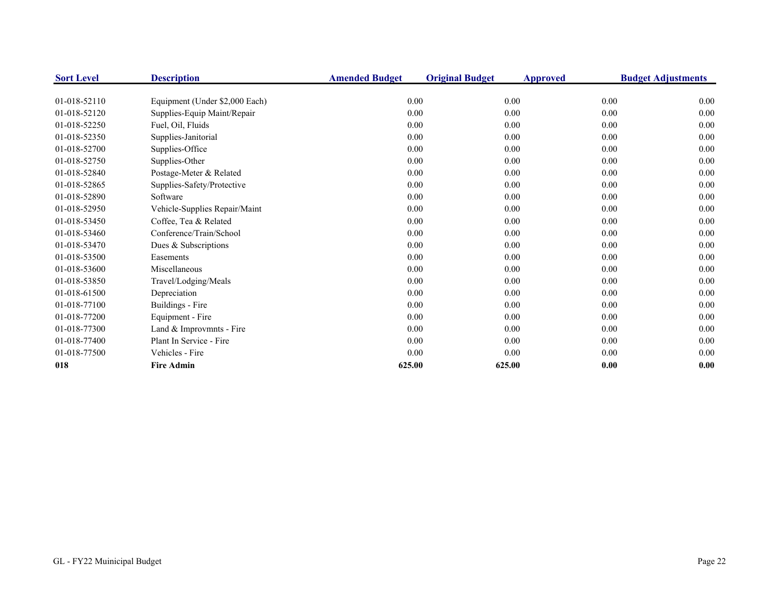| <b>Sort Level</b> | <b>Description</b>             | <b>Amended Budget</b> | <b>Original Budget</b> | Approved | <b>Budget Adjustments</b> |
|-------------------|--------------------------------|-----------------------|------------------------|----------|---------------------------|
|                   |                                |                       |                        |          |                           |
| 01-018-52110      | Equipment (Under \$2,000 Each) | 0.00                  | 0.00                   | 0.00     | 0.00                      |
| 01-018-52120      | Supplies-Equip Maint/Repair    | 0.00                  | 0.00                   | 0.00     | $0.00\,$                  |
| 01-018-52250      | Fuel, Oil, Fluids              | 0.00                  | 0.00                   | 0.00     | 0.00                      |
| 01-018-52350      | Supplies-Janitorial            | 0.00                  | 0.00                   | 0.00     | 0.00                      |
| 01-018-52700      | Supplies-Office                | 0.00                  | 0.00                   | 0.00     | 0.00                      |
| 01-018-52750      | Supplies-Other                 | 0.00                  | 0.00                   | 0.00     | 0.00                      |
| 01-018-52840      | Postage-Meter & Related        | 0.00                  | 0.00                   | 0.00     | 0.00                      |
| 01-018-52865      | Supplies-Safety/Protective     | 0.00                  | 0.00                   | 0.00     | 0.00                      |
| 01-018-52890      | Software                       | 0.00                  | 0.00                   | 0.00     | 0.00                      |
| 01-018-52950      | Vehicle-Supplies Repair/Maint  | 0.00                  | 0.00                   | 0.00     | 0.00                      |
| 01-018-53450      | Coffee, Tea & Related          | 0.00                  | 0.00                   | 0.00     | 0.00                      |
| 01-018-53460      | Conference/Train/School        | 0.00                  | 0.00                   | 0.00     | 0.00                      |
| 01-018-53470      | Dues & Subscriptions           | 0.00                  | 0.00                   | 0.00     | 0.00                      |
| 01-018-53500      | Easements                      | 0.00                  | 0.00                   | 0.00     | 0.00                      |
| 01-018-53600      | Miscellaneous                  | 0.00                  | 0.00                   | 0.00     | 0.00                      |
| 01-018-53850      | Travel/Lodging/Meals           | 0.00                  | 0.00                   | 0.00     | 0.00                      |
| 01-018-61500      | Depreciation                   | 0.00                  | 0.00                   | 0.00     | 0.00                      |
| 01-018-77100      | Buildings - Fire               | 0.00                  | 0.00                   | 0.00     | 0.00                      |
| 01-018-77200      | Equipment - Fire               | 0.00                  | 0.00                   | 0.00     | 0.00                      |
| 01-018-77300      | Land & Improvmnts - Fire       | 0.00                  | 0.00                   | 0.00     | 0.00                      |
| 01-018-77400      | Plant In Service - Fire        | 0.00                  | 0.00                   | 0.00     | 0.00                      |
| 01-018-77500      | Vehicles - Fire                | 0.00                  | 0.00                   | 0.00     | 0.00                      |
| 018               | <b>Fire Admin</b>              | 625.00                | 625.00                 | 0.00     | 0.00                      |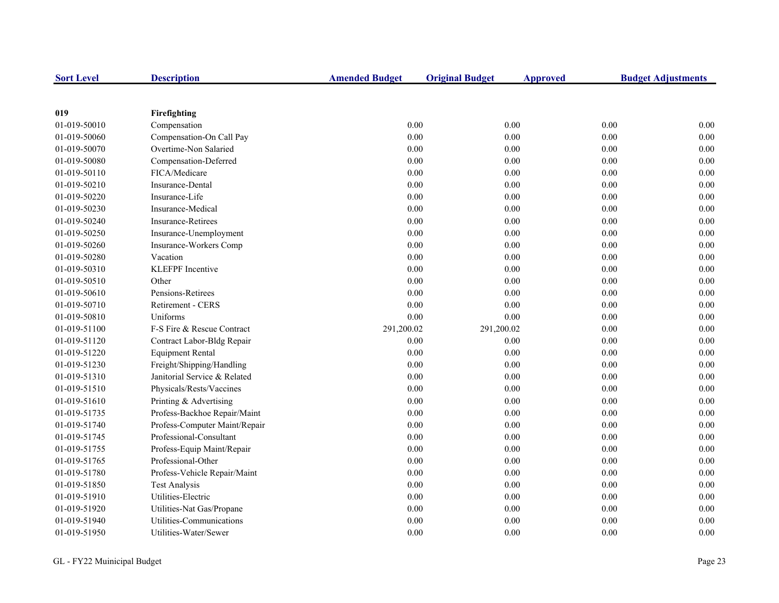| <b>Sort Level</b> | <b>Description</b>            | <b>Amended Budget</b> | <b>Original Budget</b> | <b>Approved</b> | <b>Budget Adjustments</b> |
|-------------------|-------------------------------|-----------------------|------------------------|-----------------|---------------------------|
|                   |                               |                       |                        |                 |                           |
| 019               | Firefighting                  |                       |                        |                 |                           |
| 01-019-50010      | Compensation                  | 0.00                  | 0.00                   | 0.00            | 0.00                      |
| 01-019-50060      | Compensation-On Call Pay      | 0.00                  | 0.00                   | 0.00            | $0.00\,$                  |
| 01-019-50070      | Overtime-Non Salaried         | 0.00                  | 0.00                   | 0.00            | $0.00\,$                  |
| 01-019-50080      | Compensation-Deferred         | 0.00                  | 0.00                   | 0.00            | 0.00                      |
| 01-019-50110      | FICA/Medicare                 | 0.00                  | 0.00                   | 0.00            | 0.00                      |
| 01-019-50210      | Insurance-Dental              | 0.00                  | 0.00                   | 0.00            | 0.00                      |
| 01-019-50220      | Insurance-Life                | 0.00                  | 0.00                   | 0.00            | 0.00                      |
| 01-019-50230      | Insurance-Medical             | 0.00                  | 0.00                   | 0.00            | 0.00                      |
| 01-019-50240      | <b>Insurance-Retirees</b>     | 0.00                  | 0.00                   | 0.00            | 0.00                      |
| 01-019-50250      | Insurance-Unemployment        | 0.00                  | 0.00                   | 0.00            | 0.00                      |
| 01-019-50260      | Insurance-Workers Comp        | 0.00                  | 0.00                   | 0.00            | 0.00                      |
| 01-019-50280      | Vacation                      | 0.00                  | 0.00                   | 0.00            | 0.00                      |
| 01-019-50310      | <b>KLEFPF</b> Incentive       | 0.00                  | 0.00                   | 0.00            | 0.00                      |
| 01-019-50510      | Other                         | 0.00                  | 0.00                   | 0.00            | 0.00                      |
| 01-019-50610      | Pensions-Retirees             | 0.00                  | 0.00                   | 0.00            | $0.00\,$                  |
| 01-019-50710      | <b>Retirement - CERS</b>      | 0.00                  | 0.00                   | 0.00            | 0.00                      |
| 01-019-50810      | Uniforms                      | 0.00                  | 0.00                   | 0.00            | 0.00                      |
| 01-019-51100      | F-S Fire & Rescue Contract    | 291,200.02            | 291,200.02             | 0.00            | 0.00                      |
| 01-019-51120      | Contract Labor-Bldg Repair    | 0.00                  | 0.00                   | 0.00            | 0.00                      |
| 01-019-51220      | <b>Equipment Rental</b>       | 0.00                  | 0.00                   | 0.00            | 0.00                      |
| 01-019-51230      | Freight/Shipping/Handling     | $0.00\,$              | 0.00                   | 0.00            | 0.00                      |
| 01-019-51310      | Janitorial Service & Related  | 0.00                  | 0.00                   | 0.00            | 0.00                      |
| 01-019-51510      | Physicals/Rests/Vaccines      | 0.00                  | 0.00                   | 0.00            | 0.00                      |
| 01-019-51610      | Printing & Advertising        | $0.00\,$              | 0.00                   | 0.00            | 0.00                      |
| 01-019-51735      | Profess-Backhoe Repair/Maint  | 0.00                  | 0.00                   | 0.00            | 0.00                      |
| 01-019-51740      | Profess-Computer Maint/Repair | 0.00                  | 0.00                   | 0.00            | 0.00                      |
| 01-019-51745      | Professional-Consultant       | 0.00                  | 0.00                   | 0.00            | $0.00\,$                  |
| 01-019-51755      | Profess-Equip Maint/Repair    | 0.00                  | 0.00                   | 0.00            | 0.00                      |
| 01-019-51765      | Professional-Other            | 0.00                  | 0.00                   | 0.00            | 0.00                      |
| 01-019-51780      | Profess-Vehicle Repair/Maint  | 0.00                  | 0.00                   | 0.00            | 0.00                      |
| 01-019-51850      | <b>Test Analysis</b>          | 0.00                  | 0.00                   | 0.00            | 0.00                      |
| 01-019-51910      | Utilities-Electric            | 0.00                  | 0.00                   | 0.00            | 0.00                      |
| 01-019-51920      | Utilities-Nat Gas/Propane     | 0.00                  | 0.00                   | 0.00            | 0.00                      |
| 01-019-51940      | Utilities-Communications      | 0.00                  | 0.00                   | $0.00\,$        | 0.00                      |
| 01-019-51950      | Utilities-Water/Sewer         | 0.00                  | 0.00                   | 0.00            | 0.00                      |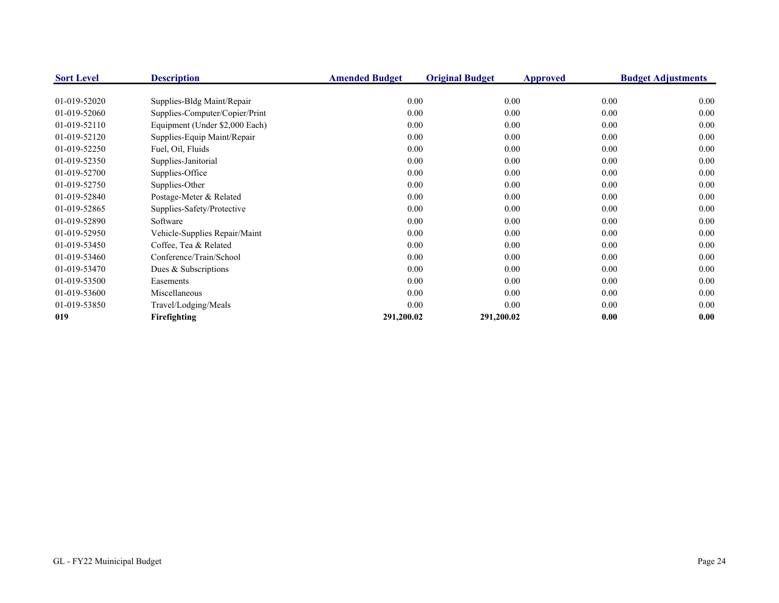| <b>Sort Level</b> | <b>Description</b>             | <b>Amended Budget</b> | <b>Original Budget</b><br>Approved |      | <b>Budget Adjustments</b> |
|-------------------|--------------------------------|-----------------------|------------------------------------|------|---------------------------|
|                   |                                |                       |                                    |      |                           |
| 01-019-52020      | Supplies-Bldg Maint/Repair     | 0.00                  | 0.00                               | 0.00 | $0.00\,$                  |
| 01-019-52060      | Supplies-Computer/Copier/Print | 0.00                  | 0.00                               | 0.00 | 0.00                      |
| 01-019-52110      | Equipment (Under \$2,000 Each) | 0.00                  | 0.00                               | 0.00 | 0.00                      |
| 01-019-52120      | Supplies-Equip Maint/Repair    | 0.00                  | 0.00                               | 0.00 | $0.00\,$                  |
| 01-019-52250      | Fuel, Oil, Fluids              | 0.00                  | 0.00                               | 0.00 | 0.00                      |
| 01-019-52350      | Supplies-Janitorial            | 0.00                  | 0.00                               | 0.00 | 0.00                      |
| 01-019-52700      | Supplies-Office                | 0.00                  | 0.00                               | 0.00 | $0.00\,$                  |
| 01-019-52750      | Supplies-Other                 | 0.00                  | 0.00                               | 0.00 | 0.00                      |
| 01-019-52840      | Postage-Meter & Related        | 0.00                  | 0.00                               | 0.00 | 0.00                      |
| 01-019-52865      | Supplies-Safety/Protective     | 0.00                  | 0.00                               | 0.00 | 0.00                      |
| 01-019-52890      | Software                       | 0.00                  | 0.00                               | 0.00 | 0.00                      |
| 01-019-52950      | Vehicle-Supplies Repair/Maint  | 0.00                  | 0.00                               | 0.00 | 0.00                      |
| 01-019-53450      | Coffee, Tea & Related          | 0.00                  | 0.00                               | 0.00 | 0.00                      |
| 01-019-53460      | Conference/Train/School        | 0.00                  | 0.00                               | 0.00 | 0.00                      |
| 01-019-53470      | Dues & Subscriptions           | 0.00                  | 0.00                               | 0.00 | 0.00                      |
| 01-019-53500      | Easements                      | 0.00                  | 0.00                               | 0.00 | $0.00\,$                  |
| 01-019-53600      | Miscellaneous                  | 0.00                  | 0.00                               | 0.00 | 0.00                      |
| 01-019-53850      | Travel/Lodging/Meals           | 0.00                  | 0.00                               | 0.00 | 0.00                      |
| 019               | Firefighting                   | 291,200.02            | 291,200.02                         | 0.00 | 0.00                      |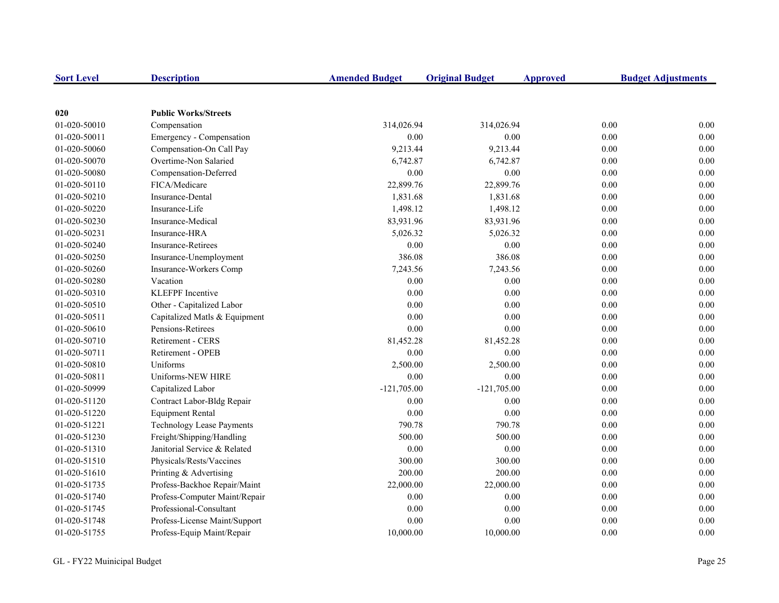| <b>Sort Level</b> | <b>Description</b>            | <b>Amended Budget</b> | <b>Original Budget</b> | <b>Approved</b> | <b>Budget Adjustments</b> |
|-------------------|-------------------------------|-----------------------|------------------------|-----------------|---------------------------|
|                   |                               |                       |                        |                 |                           |
| 020               | <b>Public Works/Streets</b>   |                       |                        |                 |                           |
| 01-020-50010      | Compensation                  | 314,026.94            | 314,026.94             |                 | 0.00<br>0.00              |
| 01-020-50011      | Emergency - Compensation      | 0.00                  | 0.00                   |                 | 0.00<br>0.00              |
| 01-020-50060      | Compensation-On Call Pay      | 9,213.44              | 9,213.44               |                 | $0.00\,$<br>0.00          |
| 01-020-50070      | Overtime-Non Salaried         | 6,742.87              | 6,742.87               |                 | 0.00<br>0.00              |
| 01-020-50080      | Compensation-Deferred         | 0.00                  | 0.00                   |                 | 0.00<br>0.00              |
| 01-020-50110      | FICA/Medicare                 | 22,899.76             | 22,899.76              |                 | 0.00<br>0.00              |
| 01-020-50210      | Insurance-Dental              | 1,831.68              | 1,831.68               |                 | 0.00<br>0.00              |
| 01-020-50220      | Insurance-Life                | 1,498.12              | 1,498.12               |                 | 0.00<br>0.00              |
| 01-020-50230      | Insurance-Medical             | 83,931.96             | 83,931.96              |                 | 0.00<br>0.00              |
| 01-020-50231      | Insurance-HRA                 | 5,026.32              | 5,026.32               |                 | 0.00<br>0.00              |
| 01-020-50240      | Insurance-Retirees            | $0.00\,$              | $0.00\,$               |                 | 0.00<br>0.00              |
| 01-020-50250      | Insurance-Unemployment        | 386.08                | 386.08                 |                 | 0.00<br>$0.00\,$          |
| 01-020-50260      | Insurance-Workers Comp        | 7,243.56              | 7,243.56               |                 | 0.00<br>0.00              |
| 01-020-50280      | Vacation                      | 0.00                  | 0.00                   |                 | 0.00<br>0.00              |
| 01-020-50310      | <b>KLEFPF</b> Incentive       | 0.00                  | 0.00                   |                 | 0.00<br>0.00              |
| 01-020-50510      | Other - Capitalized Labor     | 0.00                  | 0.00                   |                 | 0.00<br>0.00              |
| 01-020-50511      | Capitalized Matls & Equipment | 0.00                  | 0.00                   |                 | 0.00<br>0.00              |
| 01-020-50610      | Pensions-Retirees             | 0.00                  | 0.00                   |                 | 0.00<br>0.00              |
| 01-020-50710      | Retirement - CERS             | 81,452.28             | 81,452.28              |                 | 0.00<br>0.00              |
| 01-020-50711      | Retirement - OPEB             | 0.00                  | 0.00                   |                 | 0.00<br>0.00              |
| 01-020-50810      | Uniforms                      | 2,500.00              | 2,500.00               |                 | 0.00<br>0.00              |
| 01-020-50811      | Uniforms-NEW HIRE             | 0.00                  | 0.00                   |                 | 0.00<br>0.00              |
| 01-020-50999      | Capitalized Labor             | $-121,705.00$         | $-121,705.00$          |                 | 0.00<br>0.00              |
| 01-020-51120      | Contract Labor-Bldg Repair    | 0.00                  | 0.00                   |                 | 0.00<br>0.00              |
| 01-020-51220      | <b>Equipment Rental</b>       | $0.00\,$              | $0.00\,$               |                 | $0.00\,$<br>0.00          |
| 01-020-51221      | Technology Lease Payments     | 790.78                | 790.78                 |                 | 0.00<br>0.00              |
| 01-020-51230      | Freight/Shipping/Handling     | 500.00                | 500.00                 |                 | 0.00<br>0.00              |
| 01-020-51310      | Janitorial Service & Related  | 0.00                  | 0.00                   |                 | 0.00<br>0.00              |
| 01-020-51510      | Physicals/Rests/Vaccines      | 300.00                | 300.00                 |                 | 0.00<br>0.00              |
| 01-020-51610      | Printing & Advertising        | 200.00                | 200.00                 |                 | 0.00<br>0.00              |
| 01-020-51735      | Profess-Backhoe Repair/Maint  | 22,000.00             | 22,000.00              |                 | 0.00<br>0.00              |
| 01-020-51740      | Profess-Computer Maint/Repair | 0.00                  | 0.00                   |                 | 0.00<br>0.00              |
| 01-020-51745      | Professional-Consultant       | 0.00                  | 0.00                   |                 | 0.00<br>0.00              |
| 01-020-51748      | Profess-License Maint/Support | 0.00                  | 0.00                   |                 | 0.00<br>0.00              |
| 01-020-51755      | Profess-Equip Maint/Repair    | 10,000.00             | 10,000.00              |                 | 0.00<br>0.00              |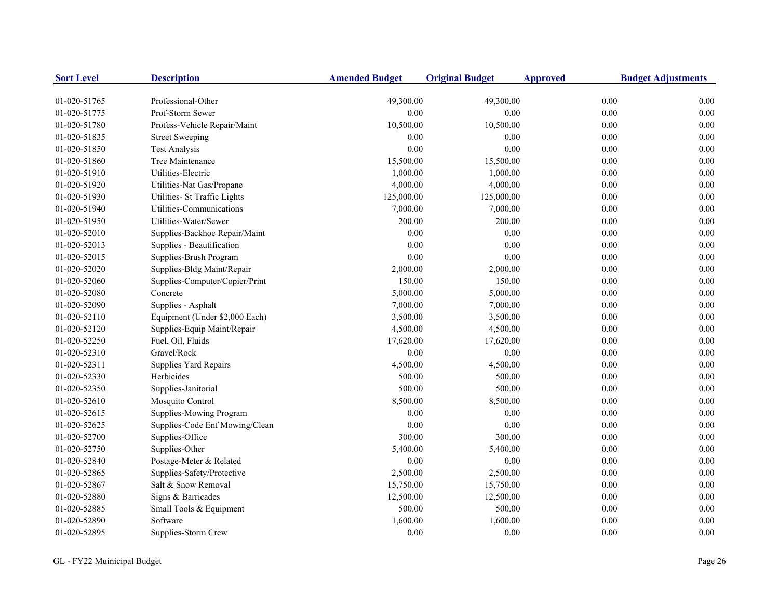| <b>Sort Level</b> | <b>Description</b>             | <b>Amended Budget</b> | <b>Original Budget</b> | <b>Approved</b> | <b>Budget Adjustments</b> |
|-------------------|--------------------------------|-----------------------|------------------------|-----------------|---------------------------|
| 01-020-51765      | Professional-Other             | 49,300.00             | 49,300.00              |                 | 0.00<br>0.00              |
| 01-020-51775      | Prof-Storm Sewer               | 0.00                  | 0.00                   | 0.00            | 0.00                      |
| 01-020-51780      | Profess-Vehicle Repair/Maint   | 10,500.00             | 10,500.00              | 0.00            | 0.00                      |
| 01-020-51835      | <b>Street Sweeping</b>         | 0.00                  | 0.00                   | 0.00            | 0.00                      |
| 01-020-51850      | <b>Test Analysis</b>           | 0.00                  | 0.00                   | 0.00            | 0.00                      |
| 01-020-51860      | Tree Maintenance               | 15,500.00             | 15,500.00              | 0.00            | 0.00                      |
| 01-020-51910      | Utilities-Electric             | 1,000.00              | 1,000.00               | 0.00            | 0.00                      |
| 01-020-51920      | Utilities-Nat Gas/Propane      | 4,000.00              | 4,000.00               | 0.00            | 0.00                      |
| 01-020-51930      | Utilities- St Traffic Lights   | 125,000.00            | 125,000.00             | 0.00            | 0.00                      |
| 01-020-51940      | Utilities-Communications       | 7,000.00              | 7,000.00               | 0.00            | 0.00                      |
| 01-020-51950      | Utilities-Water/Sewer          | 200.00                | 200.00                 | 0.00            | 0.00                      |
| 01-020-52010      | Supplies-Backhoe Repair/Maint  | 0.00                  | 0.00                   | 0.00            | 0.00                      |
| 01-020-52013      | Supplies - Beautification      | 0.00                  | 0.00                   | 0.00            | 0.00                      |
| 01-020-52015      | Supplies-Brush Program         | 0.00                  | $0.00\,$               | 0.00            | 0.00                      |
| 01-020-52020      | Supplies-Bldg Maint/Repair     | 2,000.00              | 2,000.00               | 0.00            | 0.00                      |
| 01-020-52060      | Supplies-Computer/Copier/Print | 150.00                | 150.00                 | 0.00            | 0.00                      |
| 01-020-52080      | Concrete                       | 5,000.00              | 5,000.00               | 0.00            | 0.00                      |
| 01-020-52090      | Supplies - Asphalt             | 7,000.00              | 7,000.00               | 0.00            | 0.00                      |
| 01-020-52110      | Equipment (Under \$2,000 Each) | 3,500.00              | 3,500.00               | 0.00            | 0.00                      |
| 01-020-52120      | Supplies-Equip Maint/Repair    | 4,500.00              | 4,500.00               | 0.00            | 0.00                      |
| 01-020-52250      | Fuel, Oil, Fluids              | 17,620.00             | 17,620.00              | 0.00            | 0.00                      |
| 01-020-52310      | Gravel/Rock                    | $0.00\,$              | $0.00\,$               | 0.00            | 0.00                      |
| 01-020-52311      | Supplies Yard Repairs          | 4,500.00              | 4,500.00               | 0.00            | 0.00                      |
| 01-020-52330      | Herbicides                     | 500.00                | 500.00                 | 0.00            | 0.00                      |
| 01-020-52350      | Supplies-Janitorial            | 500.00                | 500.00                 | 0.00            | 0.00                      |
| 01-020-52610      | Mosquito Control               | 8,500.00              | 8,500.00               | 0.00            | 0.00                      |
| 01-020-52615      | Supplies-Mowing Program        | 0.00                  | 0.00                   | 0.00            | 0.00                      |
| 01-020-52625      | Supplies-Code Enf Mowing/Clean | 0.00                  | $0.00\,$               | 0.00            | 0.00                      |
| 01-020-52700      | Supplies-Office                | 300.00                | 300.00                 | 0.00            | 0.00                      |
| 01-020-52750      | Supplies-Other                 | 5,400.00              | 5,400.00               | 0.00            | 0.00                      |
| 01-020-52840      | Postage-Meter & Related        | 0.00                  | 0.00                   | 0.00            | 0.00                      |
| 01-020-52865      | Supplies-Safety/Protective     | 2,500.00              | 2,500.00               | 0.00            | 0.00                      |
| 01-020-52867      | Salt & Snow Removal            | 15,750.00             | 15,750.00              | 0.00            | 0.00                      |
| 01-020-52880      | Signs & Barricades             | 12,500.00             | 12,500.00              | 0.00            | 0.00                      |
| 01-020-52885      | Small Tools & Equipment        | 500.00                | 500.00                 | 0.00            | 0.00                      |
| 01-020-52890      | Software                       | 1,600.00              | 1,600.00               | 0.00            | 0.00                      |
| 01-020-52895      | Supplies-Storm Crew            | 0.00                  | 0.00                   | 0.00            | 0.00                      |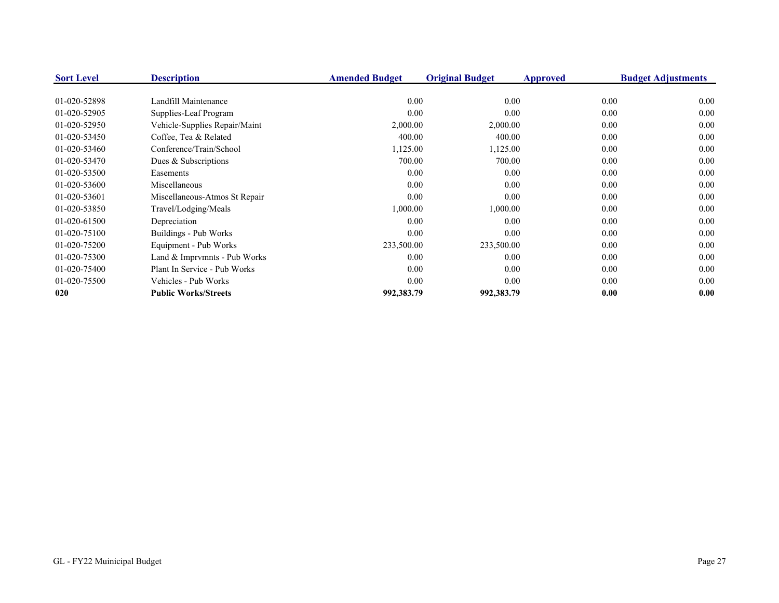| <b>Sort Level</b> | <b>Description</b>            | <b>Amended Budget</b> | <b>Original Budget</b> | Approved | <b>Budget Adjustments</b> |
|-------------------|-------------------------------|-----------------------|------------------------|----------|---------------------------|
|                   |                               |                       |                        |          |                           |
| 01-020-52898      | Landfill Maintenance          | 0.00                  | 0.00                   | 0.00     | 0.00                      |
| 01-020-52905      | Supplies-Leaf Program         | 0.00                  | 0.00                   | 0.00     | 0.00                      |
| 01-020-52950      | Vehicle-Supplies Repair/Maint | 2,000.00              | 2,000.00               | 0.00     | 0.00                      |
| 01-020-53450      | Coffee, Tea & Related         | 400.00                | 400.00                 | 0.00     | 0.00                      |
| 01-020-53460      | Conference/Train/School       | 1,125.00              | 1,125.00               | 0.00     | 0.00                      |
| 01-020-53470      | Dues & Subscriptions          | 700.00                | 700.00                 | 0.00     | 0.00                      |
| 01-020-53500      | Easements                     | 0.00                  | 0.00                   | 0.00     | 0.00                      |
| 01-020-53600      | Miscellaneous                 | 0.00                  | 0.00                   | 0.00     | 0.00                      |
| 01-020-53601      | Miscellaneous-Atmos St Repair | 0.00                  | 0.00                   | 0.00     | 0.00                      |
| 01-020-53850      | Travel/Lodging/Meals          | 1,000.00              | 1,000.00               | 0.00     | 0.00                      |
| 01-020-61500      | Depreciation                  | 0.00                  | 0.00                   | 0.00     | 0.00                      |
| 01-020-75100      | Buildings - Pub Works         | 0.00                  | 0.00                   | 0.00     | 0.00                      |
| 01-020-75200      | Equipment - Pub Works         | 233,500.00            | 233,500.00             | 0.00     | 0.00                      |
| 01-020-75300      | Land & Imprymnts - Pub Works  | 0.00                  | 0.00                   | 0.00     | 0.00                      |
| 01-020-75400      | Plant In Service - Pub Works  | 0.00                  | 0.00                   | 0.00     | 0.00                      |
| 01-020-75500      | Vehicles - Pub Works          | 0.00                  | 0.00                   | 0.00     | 0.00                      |
| 020               | <b>Public Works/Streets</b>   | 992,383.79            | 992,383.79             | 0.00     | 0.00                      |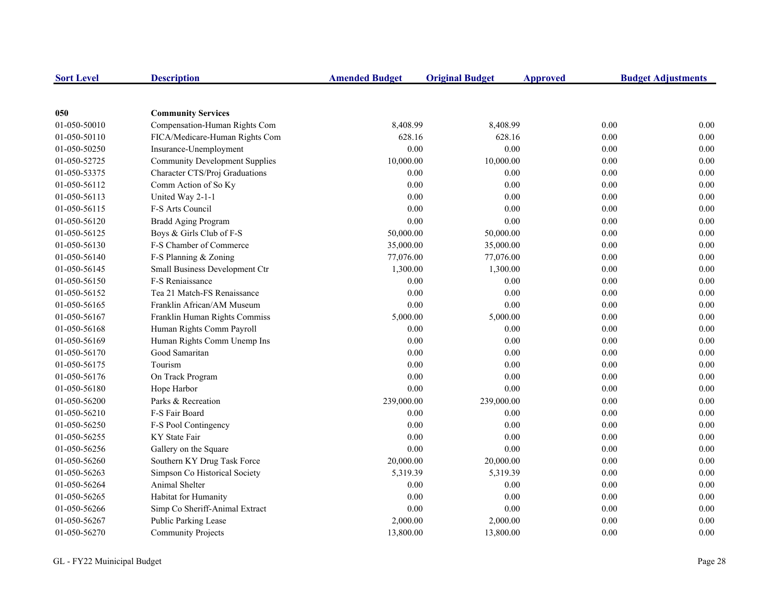| <b>Sort Level</b> | <b>Description</b>                    | <b>Amended Budget</b> | <b>Original Budget</b> | <b>Approved</b> |          | <b>Budget Adjustments</b> |
|-------------------|---------------------------------------|-----------------------|------------------------|-----------------|----------|---------------------------|
|                   |                                       |                       |                        |                 |          |                           |
| 050               | <b>Community Services</b>             |                       |                        |                 |          |                           |
| 01-050-50010      | Compensation-Human Rights Com         | 8,408.99              | 8,408.99               |                 | 0.00     | 0.00                      |
| 01-050-50110      | FICA/Medicare-Human Rights Com        | 628.16                | 628.16                 |                 | 0.00     | 0.00                      |
| 01-050-50250      | Insurance-Unemployment                | 0.00                  | 0.00                   |                 | 0.00     | 0.00                      |
| 01-050-52725      | <b>Community Development Supplies</b> | 10,000.00             | 10,000.00              |                 | 0.00     | 0.00                      |
| 01-050-53375      | Character CTS/Proj Graduations        | 0.00                  | 0.00                   |                 | 0.00     | 0.00                      |
| 01-050-56112      | Comm Action of So Ky                  | 0.00                  | 0.00                   |                 | 0.00     | 0.00                      |
| 01-050-56113      | United Way 2-1-1                      | 0.00                  | 0.00                   |                 | 0.00     | 0.00                      |
| 01-050-56115      | F-S Arts Council                      | 0.00                  | 0.00                   |                 | 0.00     | 0.00                      |
| 01-050-56120      | <b>Bradd Aging Program</b>            | 0.00                  | 0.00                   |                 | 0.00     | 0.00                      |
| 01-050-56125      | Boys & Girls Club of F-S              | 50,000.00             | 50,000.00              |                 | 0.00     | 0.00                      |
| 01-050-56130      | F-S Chamber of Commerce               | 35,000.00             | 35,000.00              |                 | 0.00     | 0.00                      |
| 01-050-56140      | F-S Planning & Zoning                 | 77,076.00             | 77,076.00              |                 | 0.00     | 0.00                      |
| 01-050-56145      | Small Business Development Ctr        | 1,300.00              | 1,300.00               |                 | 0.00     | 0.00                      |
| 01-050-56150      | F-S Reniaissance                      | 0.00                  | 0.00                   |                 | 0.00     | 0.00                      |
| 01-050-56152      | Tea 21 Match-FS Renaissance           | 0.00                  | 0.00                   |                 | 0.00     | 0.00                      |
| 01-050-56165      | Franklin African/AM Museum            | 0.00                  | 0.00                   |                 | 0.00     | 0.00                      |
| 01-050-56167      | Franklin Human Rights Commiss         | 5,000.00              | 5,000.00               |                 | 0.00     | 0.00                      |
| 01-050-56168      | Human Rights Comm Payroll             | 0.00                  | 0.00                   |                 | 0.00     | 0.00                      |
| 01-050-56169      | Human Rights Comm Unemp Ins           | 0.00                  | 0.00                   |                 | 0.00     | 0.00                      |
| 01-050-56170      | Good Samaritan                        | 0.00                  | 0.00                   |                 | 0.00     | 0.00                      |
| 01-050-56175      | Tourism                               | 0.00                  | 0.00                   |                 | $0.00\,$ | 0.00                      |
| 01-050-56176      | On Track Program                      | 0.00                  | 0.00                   |                 | 0.00     | 0.00                      |
| 01-050-56180      | Hope Harbor                           | 0.00                  | 0.00                   |                 | 0.00     | 0.00                      |
| 01-050-56200      | Parks & Recreation                    | 239,000.00            | 239,000.00             |                 | 0.00     | 0.00                      |
| 01-050-56210      | F-S Fair Board                        | 0.00                  | 0.00                   |                 | 0.00     | 0.00                      |
| 01-050-56250      | F-S Pool Contingency                  | 0.00                  | 0.00                   |                 | 0.00     | 0.00                      |
| 01-050-56255      | KY State Fair                         | 0.00                  | 0.00                   |                 | 0.00     | 0.00                      |
| 01-050-56256      | Gallery on the Square                 | 0.00                  | 0.00                   |                 | 0.00     | 0.00                      |
| 01-050-56260      | Southern KY Drug Task Force           | 20,000.00             | 20,000.00              |                 | 0.00     | 0.00                      |
| 01-050-56263      | Simpson Co Historical Society         | 5,319.39              | 5,319.39               |                 | 0.00     | 0.00                      |
| 01-050-56264      | Animal Shelter                        | 0.00                  | 0.00                   |                 | 0.00     | 0.00                      |
| 01-050-56265      | Habitat for Humanity                  | 0.00                  | 0.00                   |                 | 0.00     | 0.00                      |
| 01-050-56266      | Simp Co Sheriff-Animal Extract        | 0.00                  | 0.00                   |                 | 0.00     | 0.00                      |
| 01-050-56267      | Public Parking Lease                  | 2,000.00              | 2,000.00               |                 | 0.00     | 0.00                      |
| 01-050-56270      | <b>Community Projects</b>             | 13,800.00             | 13,800.00              |                 | 0.00     | 0.00                      |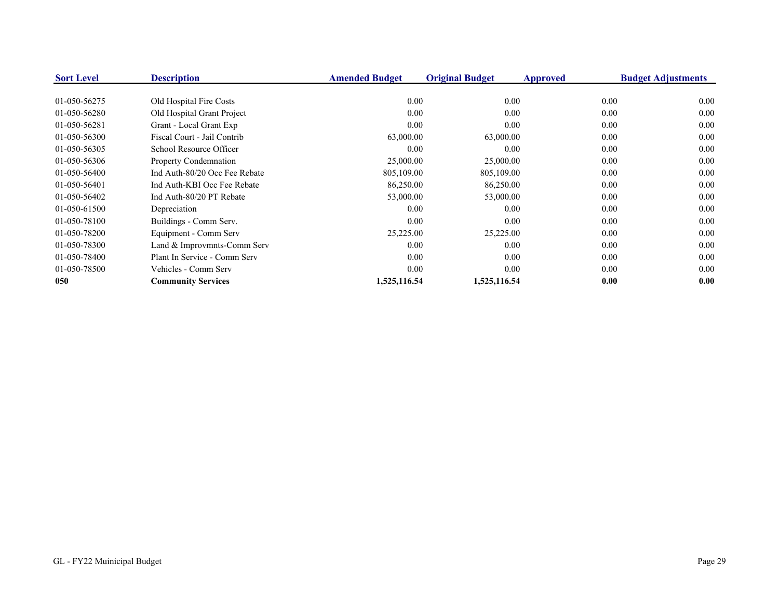| <b>Sort Level</b> | <b>Description</b>            | <b>Amended Budget</b> | <b>Original Budget</b> | Approved | <b>Budget Adjustments</b> |
|-------------------|-------------------------------|-----------------------|------------------------|----------|---------------------------|
| 01-050-56275      | Old Hospital Fire Costs       | 0.00                  | 0.00                   | 0.00     | 0.00                      |
| 01-050-56280      | Old Hospital Grant Project    | 0.00                  | 0.00                   | 0.00     | 0.00                      |
| 01-050-56281      | Grant - Local Grant Exp       | 0.00                  | 0.00                   | 0.00     | 0.00                      |
| 01-050-56300      | Fiscal Court - Jail Contrib   | 63,000.00             | 63,000.00              | 0.00     | 0.00                      |
| 01-050-56305      | School Resource Officer       | 0.00                  | 0.00                   | 0.00     | 0.00                      |
| 01-050-56306      | <b>Property Condemnation</b>  | 25,000.00             | 25,000.00              | 0.00     | 0.00                      |
| 01-050-56400      | Ind Auth-80/20 Occ Fee Rebate | 805,109.00            | 805,109.00             | 0.00     | 0.00                      |
| 01-050-56401      | Ind Auth-KBI Occ Fee Rebate   | 86,250.00             | 86,250.00              | 0.00     | 0.00                      |
| 01-050-56402      | Ind Auth-80/20 PT Rebate      | 53,000.00             | 53,000.00              | 0.00     | 0.00                      |
| 01-050-61500      | Depreciation                  | 0.00                  | 0.00                   | 0.00     | 0.00                      |
| 01-050-78100      | Buildings - Comm Serv.        | 0.00                  | 0.00                   | 0.00     | 0.00                      |
| 01-050-78200      | Equipment - Comm Serv         | 25,225.00             | 25,225.00              | 0.00     | 0.00                      |
| 01-050-78300      | Land & Improvmnts-Comm Serv   | 0.00                  | 0.00                   | 0.00     | 0.00                      |
| 01-050-78400      | Plant In Service - Comm Serv  | 0.00                  | 0.00                   | 0.00     | 0.00                      |
| 01-050-78500      | Vehicles - Comm Serv          | 0.00                  | 0.00                   | 0.00     | 0.00                      |
| 050               | <b>Community Services</b>     | 1,525,116.54          | 1,525,116.54           | 0.00     | 0.00                      |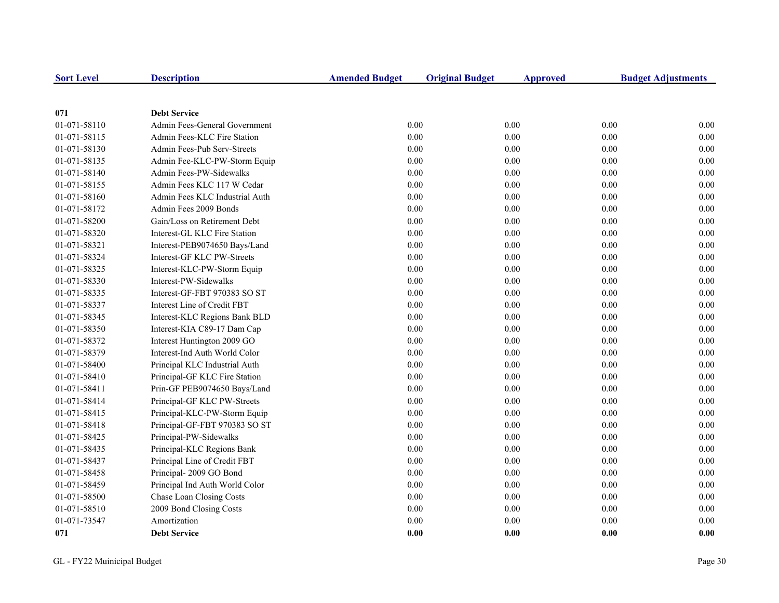| <b>Sort Level</b> | <b>Description</b>             | <b>Amended Budget</b> | <b>Original Budget</b> | <b>Approved</b> | <b>Budget Adjustments</b> |
|-------------------|--------------------------------|-----------------------|------------------------|-----------------|---------------------------|
|                   |                                |                       |                        |                 |                           |
| 071               | <b>Debt Service</b>            |                       |                        |                 |                           |
| 01-071-58110      | Admin Fees-General Government  | 0.00                  | 0.00                   | 0.00            | 0.00                      |
| 01-071-58115      | Admin Fees-KLC Fire Station    | 0.00                  | 0.00                   | 0.00            | 0.00                      |
| 01-071-58130      | Admin Fees-Pub Serv-Streets    | 0.00                  | 0.00                   | 0.00            | $0.00\,$                  |
| 01-071-58135      | Admin Fee-KLC-PW-Storm Equip   | 0.00                  | 0.00                   | 0.00            | 0.00                      |
| 01-071-58140      | Admin Fees-PW-Sidewalks        | 0.00                  | 0.00                   | 0.00            | 0.00                      |
| 01-071-58155      | Admin Fees KLC 117 W Cedar     | 0.00                  | 0.00                   | 0.00            | 0.00                      |
| 01-071-58160      | Admin Fees KLC Industrial Auth | 0.00                  | 0.00                   | 0.00            | 0.00                      |
| 01-071-58172      | Admin Fees 2009 Bonds          | 0.00                  | 0.00                   | 0.00            | 0.00                      |
| 01-071-58200      | Gain/Loss on Retirement Debt   | 0.00                  | 0.00                   | 0.00            | 0.00                      |
| 01-071-58320      | Interest-GL KLC Fire Station   | 0.00                  | 0.00                   | 0.00            | 0.00                      |
| 01-071-58321      | Interest-PEB9074650 Bays/Land  | 0.00                  | 0.00                   | 0.00            | 0.00                      |
| 01-071-58324      | Interest-GF KLC PW-Streets     | 0.00                  | 0.00                   | 0.00            | $0.00\,$                  |
| 01-071-58325      | Interest-KLC-PW-Storm Equip    | 0.00                  | 0.00                   | 0.00            | 0.00                      |
| 01-071-58330      | Interest-PW-Sidewalks          | 0.00                  | 0.00                   | 0.00            | $0.00\,$                  |
| 01-071-58335      | Interest-GF-FBT 970383 SO ST   | 0.00                  | 0.00                   | 0.00            | 0.00                      |
| 01-071-58337      | Interest Line of Credit FBT    | 0.00                  | 0.00                   | 0.00            | 0.00                      |
| 01-071-58345      | Interest-KLC Regions Bank BLD  | 0.00                  | 0.00                   | 0.00            | 0.00                      |
| 01-071-58350      | Interest-KIA C89-17 Dam Cap    | 0.00                  | 0.00                   | 0.00            | 0.00                      |
| 01-071-58372      | Interest Huntington 2009 GO    | $0.00\,$              | 0.00                   | 0.00            | 0.00                      |
| 01-071-58379      | Interest-Ind Auth World Color  | 0.00                  | 0.00                   | 0.00            | 0.00                      |
| 01-071-58400      | Principal KLC Industrial Auth  | $0.00\,$              | 0.00                   | 0.00            | 0.00                      |
| 01-071-58410      | Principal-GF KLC Fire Station  | 0.00                  | 0.00                   | 0.00            | 0.00                      |
| 01-071-58411      | Prin-GF PEB9074650 Bays/Land   | 0.00                  | 0.00                   | 0.00            | 0.00                      |
| 01-071-58414      | Principal-GF KLC PW-Streets    | 0.00                  | 0.00                   | 0.00            | 0.00                      |
| 01-071-58415      | Principal-KLC-PW-Storm Equip   | 0.00                  | $0.00\,$               | 0.00            | 0.00                      |
| 01-071-58418      | Principal-GF-FBT 970383 SO ST  | 0.00                  | 0.00                   | 0.00            | $0.00\,$                  |
| 01-071-58425      | Principal-PW-Sidewalks         | 0.00                  | 0.00                   | 0.00            | $0.00\,$                  |
| 01-071-58435      | Principal-KLC Regions Bank     | 0.00                  | 0.00                   | 0.00            | 0.00                      |
| 01-071-58437      | Principal Line of Credit FBT   | 0.00                  | 0.00                   | 0.00            | 0.00                      |
| 01-071-58458      | Principal-2009 GO Bond         | 0.00                  | 0.00                   | 0.00            | 0.00                      |
| 01-071-58459      | Principal Ind Auth World Color | 0.00                  | 0.00                   | 0.00            | 0.00                      |
| 01-071-58500      | Chase Loan Closing Costs       | 0.00                  | 0.00                   | 0.00            | 0.00                      |
| 01-071-58510      | 2009 Bond Closing Costs        | $0.00\,$              | 0.00                   | 0.00            | 0.00                      |
| 01-071-73547      | Amortization                   | 0.00                  | 0.00                   | 0.00            | 0.00                      |
| 071               | <b>Debt Service</b>            | 0.00                  | 0.00                   | 0.00            | 0.00                      |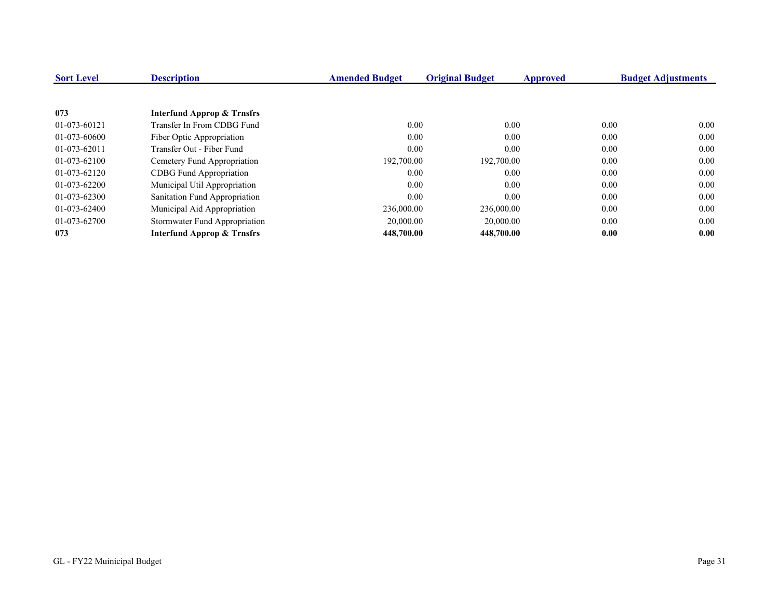| <b>Sort Level</b> | <b>Description</b>                    | <b>Amended Budget</b> | <b>Original Budget</b> | Approved | <b>Budget Adjustments</b> |
|-------------------|---------------------------------------|-----------------------|------------------------|----------|---------------------------|
|                   |                                       |                       |                        |          |                           |
| 073               | <b>Interfund Approp &amp; Trnsfrs</b> |                       |                        |          |                           |
| 01-073-60121      | Transfer In From CDBG Fund            | 0.00                  | 0.00                   | 0.00     | 0.00                      |
| 01-073-60600      | Fiber Optic Appropriation             | 0.00                  | 0.00                   | 0.00     | 0.00                      |
| 01-073-62011      | Transfer Out - Fiber Fund             | 0.00                  | 0.00                   | 0.00     | 0.00                      |
| 01-073-62100      | Cemetery Fund Appropriation           | 192,700.00            | 192,700.00             | 0.00     | 0.00                      |
| 01-073-62120      | <b>CDBG</b> Fund Appropriation        | 0.00                  | 0.00                   | 0.00     | 0.00                      |
| 01-073-62200      | Municipal Util Appropriation          | 0.00                  | 0.00                   | 0.00     | 0.00                      |
| 01-073-62300      | Sanitation Fund Appropriation         | 0.00                  | 0.00                   | 0.00     | 0.00                      |
| 01-073-62400      | Municipal Aid Appropriation           | 236,000.00            | 236,000.00             | 0.00     | 0.00                      |
| 01-073-62700      | Stormwater Fund Appropriation         | 20,000.00             | 20,000.00              | 0.00     | 0.00                      |
| 073               | <b>Interfund Approp &amp; Trnsfrs</b> | 448,700.00            | 448,700.00             | 0.00     | 0.00                      |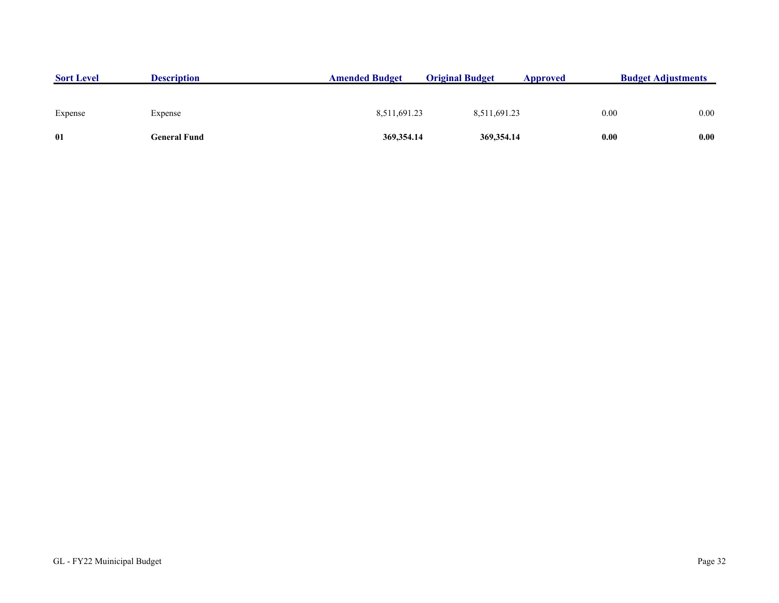| <b>Sort Level</b> | <b>Description</b> | <b>Amended Budget</b> | <b>Original Budget</b> | Approved | <b>Budget Adjustments</b> |
|-------------------|--------------------|-----------------------|------------------------|----------|---------------------------|
| Expense           | Expense            | 8,511,691.23          | 8,511,691.23           |          | 0.00<br>0.00              |
| 01                | General Fund       | 369, 354. 14          | 369, 354.14            |          | 0.00<br>0.00              |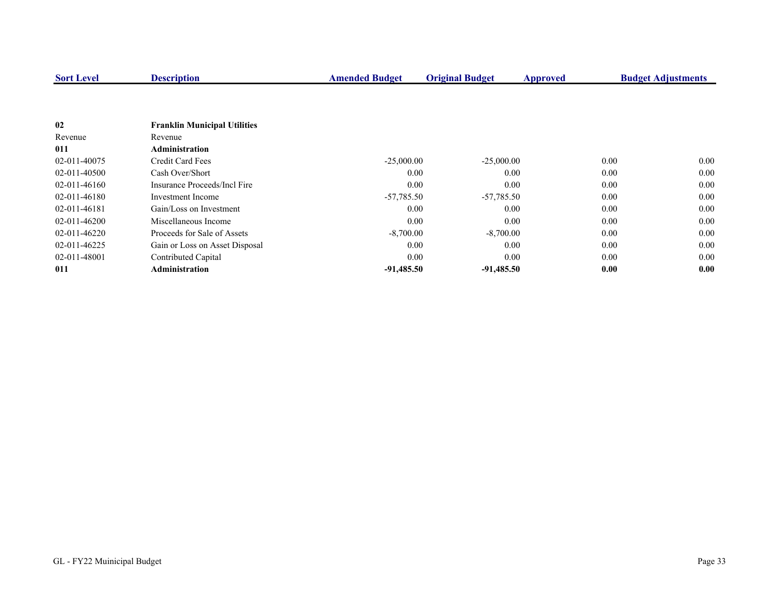| <b>Sort Level</b> | <b>Description</b>                  | <b>Amended Budget</b> | <b>Original Budget</b> | <b>Approved</b> | <b>Budget Adjustments</b> |
|-------------------|-------------------------------------|-----------------------|------------------------|-----------------|---------------------------|
|                   |                                     |                       |                        |                 |                           |
| 02                | <b>Franklin Municipal Utilities</b> |                       |                        |                 |                           |
| Revenue           | Revenue                             |                       |                        |                 |                           |
| 011               | <b>Administration</b>               |                       |                        |                 |                           |
| 02-011-40075      | Credit Card Fees                    | $-25,000.00$          | $-25,000.00$           |                 | 0.00<br>0.00              |
| 02-011-40500      | Cash Over/Short                     | 0.00                  | 0.00                   | 0.00            | 0.00                      |
| 02-011-46160      | Insurance Proceeds/Incl Fire        | 0.00                  | 0.00                   |                 | 0.00<br>0.00              |
| 02-011-46180      | Investment Income                   | $-57,785.50$          | $-57,785.50$           |                 | 0.00<br>0.00              |
| 02-011-46181      | Gain/Loss on Investment             | 0.00                  | 0.00                   |                 | 0.00<br>0.00              |
| $02-011-46200$    | Miscellaneous Income                | 0.00                  | 0.00                   |                 | 0.00<br>0.00              |
| $02-011-46220$    | Proceeds for Sale of Assets         | $-8,700.00$           | $-8,700.00$            | 0.00            | 0.00                      |
| 02-011-46225      | Gain or Loss on Asset Disposal      | 0.00                  | 0.00                   |                 | 0.00<br>0.00              |
| 02-011-48001      | Contributed Capital                 | 0.00                  | 0.00                   |                 | 0.00<br>0.00              |
| 011               | <b>Administration</b>               | $-91,485.50$          | $-91,485.50$           |                 | 0.00<br>0.00              |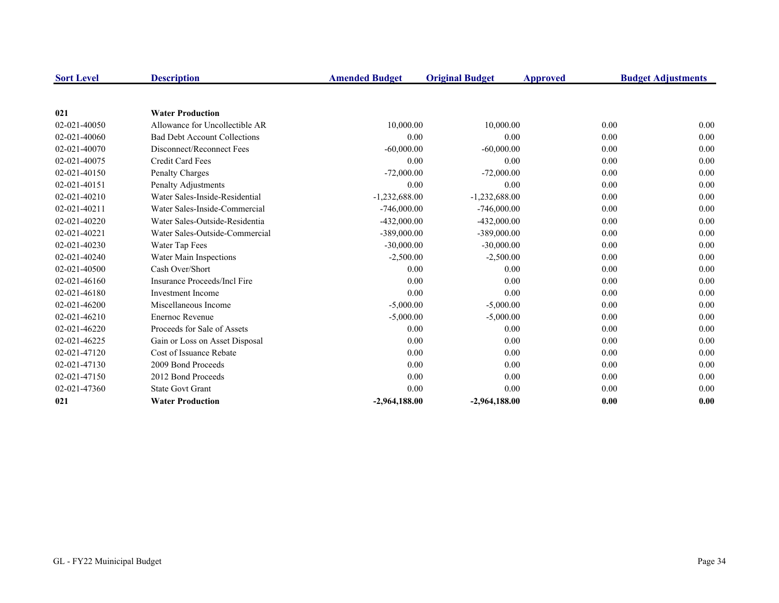| <b>Sort Level</b> | <b>Description</b>                  | <b>Amended Budget</b> | <b>Original Budget</b> | Approved | <b>Budget Adjustments</b> |
|-------------------|-------------------------------------|-----------------------|------------------------|----------|---------------------------|
|                   |                                     |                       |                        |          |                           |
| 021               | <b>Water Production</b>             |                       |                        |          |                           |
| 02-021-40050      | Allowance for Uncollectible AR      | 10,000.00             | 10,000.00              |          | 0.00<br>0.00              |
| 02-021-40060      | <b>Bad Debt Account Collections</b> | 0.00                  | 0.00                   |          | 0.00<br>0.00              |
| 02-021-40070      | Disconnect/Reconnect Fees           | $-60,000.00$          | $-60,000.00$           |          | 0.00<br>0.00              |
| 02-021-40075      | Credit Card Fees                    | 0.00                  | 0.00                   |          | 0.00<br>0.00              |
| 02-021-40150      | Penalty Charges                     | $-72,000.00$          | $-72,000.00$           |          | 0.00<br>0.00              |
| 02-021-40151      | Penalty Adjustments                 | 0.00                  | 0.00                   |          | 0.00<br>0.00              |
| 02-021-40210      | Water Sales-Inside-Residential      | $-1,232,688.00$       | $-1,232,688.00$        |          | 0.00<br>0.00              |
| 02-021-40211      | Water Sales-Inside-Commercial       | $-746,000.00$         | $-746,000.00$          |          | 0.00<br>0.00              |
| 02-021-40220      | Water Sales-Outside-Residentia      | $-432,000.00$         | $-432,000.00$          |          | 0.00<br>0.00              |
| 02-021-40221      | Water Sales-Outside-Commercial      | $-389,000.00$         | $-389,000.00$          |          | 0.00<br>0.00              |
| 02-021-40230      | Water Tap Fees                      | $-30,000.00$          | $-30,000.00$           |          | 0.00<br>0.00              |
| 02-021-40240      | Water Main Inspections              | $-2,500.00$           | $-2,500.00$            |          | 0.00<br>0.00              |
| 02-021-40500      | Cash Over/Short                     | 0.00                  | 0.00                   |          | 0.00<br>0.00              |
| 02-021-46160      | Insurance Proceeds/Incl Fire        | 0.00                  | 0.00                   |          | 0.00<br>0.00              |
| 02-021-46180      | <b>Investment Income</b>            | 0.00                  | 0.00                   |          | 0.00<br>0.00              |
| 02-021-46200      | Miscellaneous Income                | $-5,000.00$           | $-5,000.00$            |          | 0.00<br>0.00              |
| 02-021-46210      | <b>Enernoc Revenue</b>              | $-5,000.00$           | $-5,000.00$            |          | 0.00<br>0.00              |
| 02-021-46220      | Proceeds for Sale of Assets         | 0.00                  | 0.00                   |          | 0.00<br>0.00              |
| 02-021-46225      | Gain or Loss on Asset Disposal      | 0.00                  | 0.00                   |          | 0.00<br>0.00              |
| 02-021-47120      | Cost of Issuance Rebate             | 0.00                  | 0.00                   |          | 0.00<br>0.00              |
| 02-021-47130      | 2009 Bond Proceeds                  | 0.00                  | 0.00                   |          | 0.00<br>0.00              |
| 02-021-47150      | 2012 Bond Proceeds                  | 0.00                  | 0.00                   |          | 0.00<br>0.00              |
| 02-021-47360      | <b>State Govt Grant</b>             | 0.00                  | 0.00                   |          | 0.00<br>0.00              |
| 021               | <b>Water Production</b>             | $-2,964,188.00$       | $-2,964,188.00$        |          | 0.00<br>0.00              |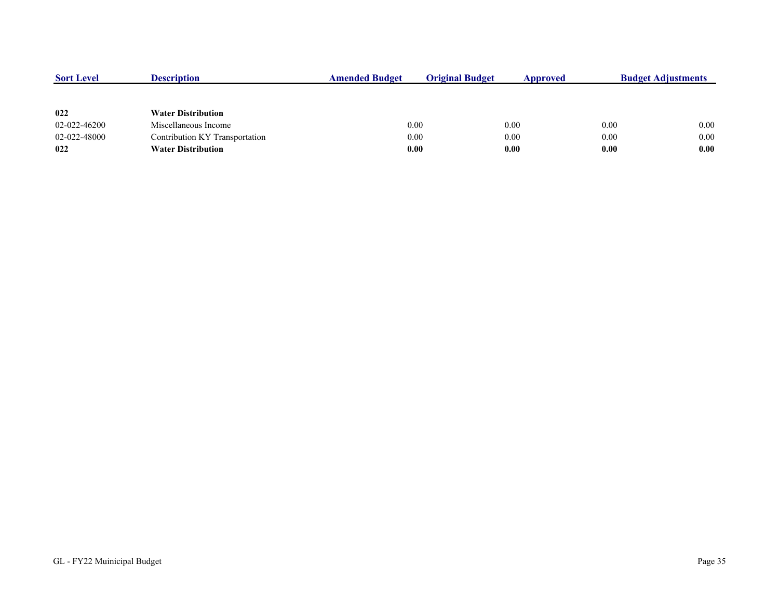| <b>Sort Level</b> | <b>Description</b>             | <b>Amended Budget</b> | <b>Original Budget</b> | Approved |      | <b>Budget Adjustments</b> |
|-------------------|--------------------------------|-----------------------|------------------------|----------|------|---------------------------|
|                   |                                |                       |                        |          |      |                           |
| 022               | <b>Water Distribution</b>      |                       |                        |          |      |                           |
| 02-022-46200      | Miscellaneous Income           |                       | 0.00                   | 0.00     | 0.00 | 0.00                      |
| 02-022-48000      | Contribution KY Transportation | 0.00                  |                        | 0.00     | 0.00 | 0.00                      |
| 022               | <b>Water Distribution</b>      | 0.00                  |                        | 0.00     | 0.00 | 0.00                      |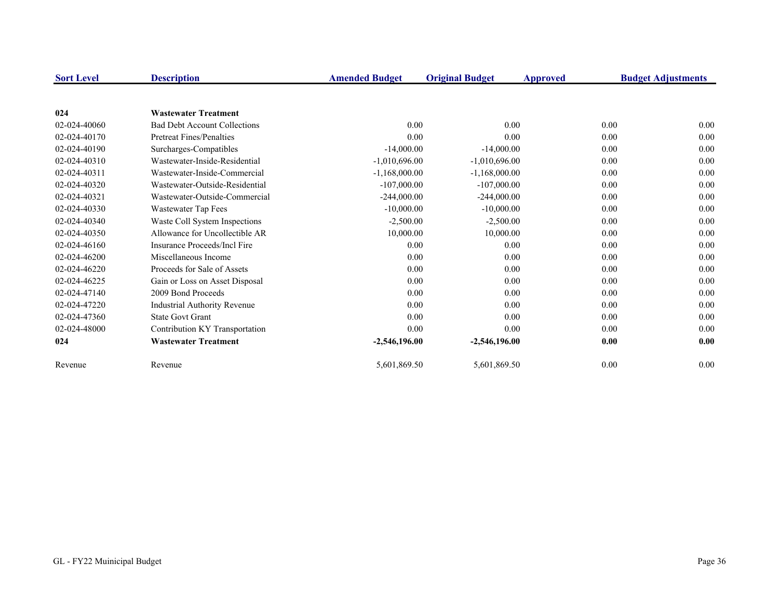| <b>Sort Level</b> | <b>Description</b>                  | <b>Amended Budget</b> | <b>Original Budget</b> | Approved | <b>Budget Adjustments</b> |
|-------------------|-------------------------------------|-----------------------|------------------------|----------|---------------------------|
| 024               | <b>Wastewater Treatment</b>         |                       |                        |          |                           |
| 02-024-40060      | <b>Bad Debt Account Collections</b> | 0.00                  | 0.00                   | 0.00     | 0.00                      |
| 02-024-40170      | Pretreat Fines/Penalties            | 0.00                  | 0.00                   | 0.00     | 0.00                      |
| 02-024-40190      | Surcharges-Compatibles              | $-14,000.00$          | $-14,000.00$           | 0.00     | 0.00                      |
| 02-024-40310      | Wastewater-Inside-Residential       | $-1,010,696.00$       | $-1,010,696.00$        | 0.00     | 0.00                      |
| 02-024-40311      | Wastewater-Inside-Commercial        | $-1,168,000.00$       | $-1,168,000.00$        | 0.00     | 0.00                      |
| 02-024-40320      | Wastewater-Outside-Residential      | $-107,000.00$         | $-107,000.00$          | 0.00     | 0.00                      |
| 02-024-40321      | Wastewater-Outside-Commercial       | $-244,000.00$         | $-244,000.00$          | 0.00     | 0.00                      |
| 02-024-40330      | Wastewater Tap Fees                 | $-10,000.00$          | $-10,000.00$           | 0.00     | 0.00                      |
| 02-024-40340      | Waste Coll System Inspections       | $-2,500.00$           | $-2,500.00$            | 0.00     | 0.00                      |
| 02-024-40350      | Allowance for Uncollectible AR      | 10,000.00             | 10,000.00              | 0.00     | 0.00                      |
| 02-024-46160      | Insurance Proceeds/Incl Fire        | 0.00                  | 0.00                   | 0.00     | 0.00                      |
| 02-024-46200      | Miscellaneous Income                | 0.00                  | 0.00                   | 0.00     | 0.00                      |
| 02-024-46220      | Proceeds for Sale of Assets         | 0.00                  | 0.00                   | 0.00     | 0.00                      |
| 02-024-46225      | Gain or Loss on Asset Disposal      | 0.00                  | 0.00                   | 0.00     | 0.00                      |
| 02-024-47140      | 2009 Bond Proceeds                  | 0.00                  | 0.00                   | 0.00     | 0.00                      |
| 02-024-47220      | <b>Industrial Authority Revenue</b> | 0.00                  | 0.00                   | 0.00     | 0.00                      |
| 02-024-47360      | <b>State Govt Grant</b>             | 0.00                  | 0.00                   | 0.00     | 0.00                      |
| 02-024-48000      | Contribution KY Transportation      | 0.00                  | 0.00                   | 0.00     | 0.00                      |
| 024               | <b>Wastewater Treatment</b>         | $-2,546,196.00$       | $-2,546,196.00$        | 0.00     | 0.00                      |
| Revenue           | Revenue                             | 5,601,869.50          | 5,601,869.50           | 0.00     | 0.00                      |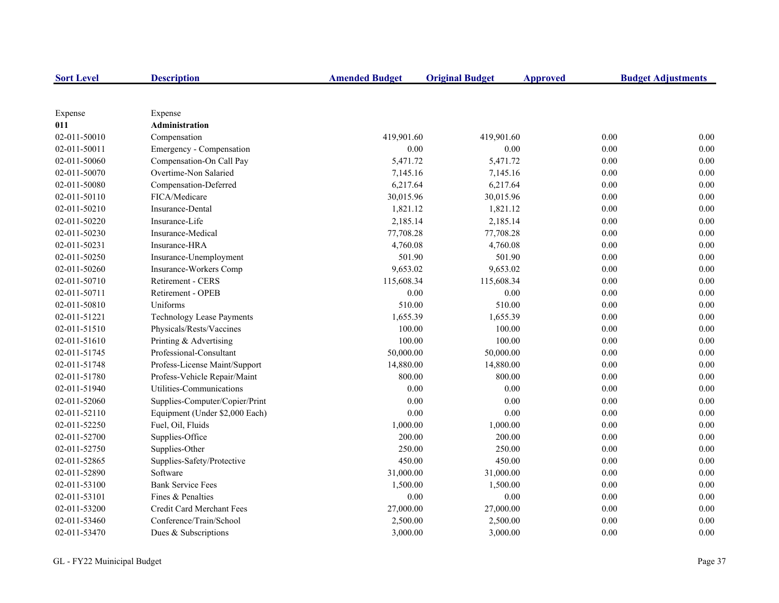| <b>Sort Level</b> | <b>Description</b>               | <b>Amended Budget</b> | <b>Original Budget</b> | <b>Approved</b> | <b>Budget Adjustments</b> |
|-------------------|----------------------------------|-----------------------|------------------------|-----------------|---------------------------|
|                   |                                  |                       |                        |                 |                           |
| Expense           | Expense                          |                       |                        |                 |                           |
| 011               | Administration                   |                       |                        |                 |                           |
| 02-011-50010      | Compensation                     | 419,901.60            | 419,901.60             |                 | 0.00<br>0.00              |
| 02-011-50011      | Emergency - Compensation         | $0.00\,$              | $0.00\,$               |                 | $0.00\,$<br>0.00          |
| 02-011-50060      | Compensation-On Call Pay         | 5,471.72              | 5,471.72               |                 | 0.00<br>0.00              |
| 02-011-50070      | Overtime-Non Salaried            | 7,145.16              | 7,145.16               |                 | 0.00<br>0.00              |
| 02-011-50080      | Compensation-Deferred            | 6,217.64              | 6,217.64               |                 | 0.00<br>0.00              |
| 02-011-50110      | FICA/Medicare                    | 30,015.96             | 30,015.96              |                 | 0.00<br>0.00              |
| 02-011-50210      | Insurance-Dental                 | 1,821.12              | 1,821.12               |                 | 0.00<br>0.00              |
| 02-011-50220      | Insurance-Life                   | 2,185.14              | 2,185.14               |                 | 0.00<br>0.00              |
| 02-011-50230      | Insurance-Medical                | 77,708.28             | 77,708.28              |                 | 0.00<br>$0.00\,$          |
| 02-011-50231      | Insurance-HRA                    | 4,760.08              | 4,760.08               |                 | 0.00<br>0.00              |
| 02-011-50250      | Insurance-Unemployment           | 501.90                | 501.90                 |                 | 0.00<br>0.00              |
| 02-011-50260      | Insurance-Workers Comp           | 9,653.02              | 9,653.02               |                 | 0.00<br>0.00              |
| 02-011-50710      | Retirement - CERS                | 115,608.34            | 115,608.34             |                 | 0.00<br>0.00              |
| 02-011-50711      | Retirement - OPEB                | $0.00\,$              | $0.00\,$               |                 | 0.00<br>0.00              |
| 02-011-50810      | Uniforms                         | 510.00                | 510.00                 |                 | 0.00<br>0.00              |
| 02-011-51221      | <b>Technology Lease Payments</b> | 1,655.39              | 1,655.39               |                 | 0.00<br>0.00              |
| 02-011-51510      | Physicals/Rests/Vaccines         | 100.00                | 100.00                 |                 | 0.00<br>0.00              |
| 02-011-51610      | Printing & Advertising           | 100.00                | 100.00                 |                 | 0.00<br>0.00              |
| 02-011-51745      | Professional-Consultant          | 50,000.00             | 50,000.00              |                 | 0.00<br>0.00              |
| 02-011-51748      | Profess-License Maint/Support    | 14,880.00             | 14,880.00              |                 | 0.00<br>0.00              |
| 02-011-51780      | Profess-Vehicle Repair/Maint     | 800.00                | 800.00                 |                 | 0.00<br>0.00              |
| 02-011-51940      | Utilities-Communications         | $0.00\,$              | 0.00                   |                 | 0.00<br>0.00              |
| 02-011-52060      | Supplies-Computer/Copier/Print   | 0.00                  | 0.00                   |                 | 0.00<br>0.00              |
| 02-011-52110      | Equipment (Under \$2,000 Each)   | 0.00                  | 0.00                   |                 | $0.00\,$<br>0.00          |
| 02-011-52250      | Fuel, Oil, Fluids                | 1,000.00              | 1,000.00               |                 | 0.00<br>0.00              |
| 02-011-52700      | Supplies-Office                  | 200.00                | 200.00                 |                 | 0.00<br>0.00              |
| 02-011-52750      | Supplies-Other                   | 250.00                | 250.00                 |                 | 0.00<br>0.00              |
| 02-011-52865      | Supplies-Safety/Protective       | 450.00                | 450.00                 |                 | 0.00<br>0.00              |
| 02-011-52890      | Software                         | 31,000.00             | 31,000.00              |                 | 0.00<br>0.00              |
| 02-011-53100      | <b>Bank Service Fees</b>         | 1,500.00              | 1,500.00               |                 | 0.00<br>0.00              |
| 02-011-53101      | Fines & Penalties                | 0.00                  | 0.00                   |                 | 0.00<br>0.00              |
| 02-011-53200      | Credit Card Merchant Fees        | 27,000.00             | 27,000.00              |                 | 0.00<br>0.00              |
| 02-011-53460      | Conference/Train/School          | 2,500.00              | 2,500.00               |                 | 0.00<br>0.00              |
| 02-011-53470      | Dues & Subscriptions             | 3,000.00              | 3,000.00               |                 | 0.00<br>0.00              |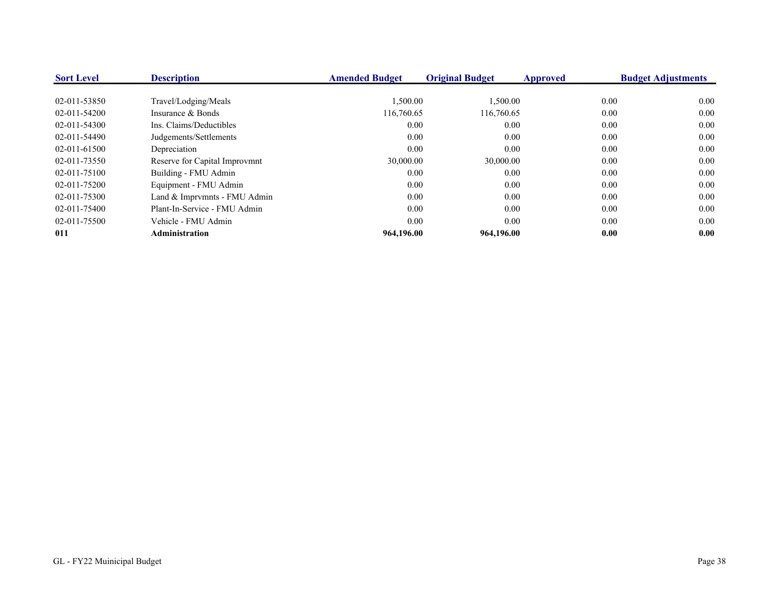| <b>Sort Level</b> | <b>Description</b>            | <b>Amended Budget</b> | <b>Original Budget</b> | Approved | <b>Budget Adjustments</b> |
|-------------------|-------------------------------|-----------------------|------------------------|----------|---------------------------|
| 02-011-53850      | Travel/Lodging/Meals          | 1,500.00              | 1,500.00               | 0.00     | 0.00                      |
| 02-011-54200      | Insurance & Bonds             | 116,760.65            | 116,760.65             | 0.00     | 0.00                      |
| 02-011-54300      | Ins. Claims/Deductibles       | 0.00                  | 0.00                   | 0.00     | 0.00                      |
| 02-011-54490      | Judgements/Settlements        | 0.00                  | 0.00                   | 0.00     | 0.00                      |
| 02-011-61500      | Depreciation                  | 0.00                  | 0.00                   | 0.00     | 0.00                      |
| 02-011-73550      | Reserve for Capital Improvmnt | 30,000.00             | 30,000.00              | 0.00     | 0.00                      |
| 02-011-75100      | Building - FMU Admin          | 0.00                  | 0.00                   | 0.00     | 0.00                      |
| 02-011-75200      | Equipment - FMU Admin         | 0.00                  | 0.00                   | 0.00     | 0.00                      |
| 02-011-75300      | Land & Imprymnts - FMU Admin  | 0.00                  | 0.00                   | 0.00     | 0.00                      |
| 02-011-75400      | Plant-In-Service - FMU Admin  | 0.00                  | 0.00                   | 0.00     | 0.00                      |
| 02-011-75500      | Vehicle - FMU Admin           | 0.00                  | 0.00                   | 0.00     | 0.00                      |
| 011               | <b>Administration</b>         | 964,196.00            | 964,196.00             | 0.00     | 0.00                      |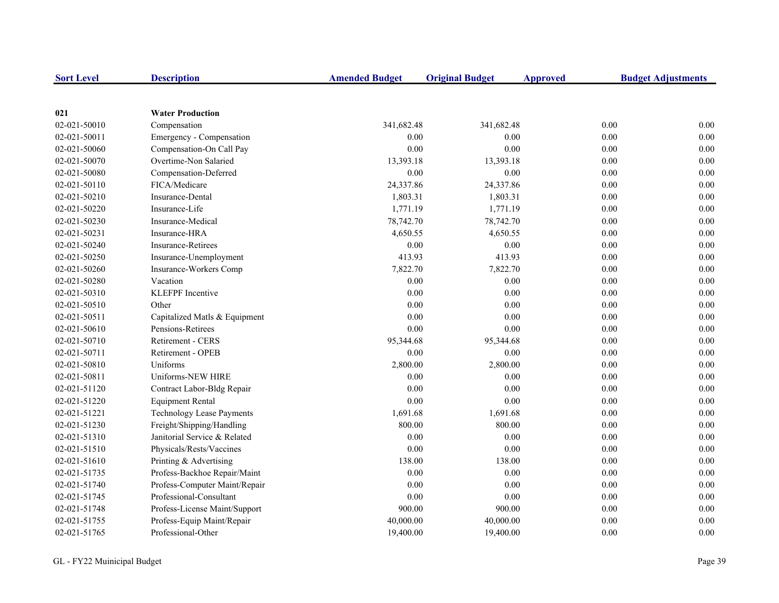| <b>Sort Level</b> | <b>Description</b>               | <b>Amended Budget</b> | <b>Original Budget</b> | <b>Approved</b> | <b>Budget Adjustments</b> |
|-------------------|----------------------------------|-----------------------|------------------------|-----------------|---------------------------|
|                   |                                  |                       |                        |                 |                           |
| 021               | <b>Water Production</b>          |                       |                        |                 |                           |
| 02-021-50010      | Compensation                     | 341,682.48            | 341,682.48             | 0.00            | 0.00                      |
| 02-021-50011      | Emergency - Compensation         | 0.00                  | 0.00                   | 0.00            | 0.00                      |
| 02-021-50060      | Compensation-On Call Pay         | 0.00                  | 0.00                   | 0.00            | $0.00\,$                  |
| 02-021-50070      | Overtime-Non Salaried            | 13,393.18             | 13,393.18              | 0.00            | 0.00                      |
| 02-021-50080      | Compensation-Deferred            | 0.00                  | 0.00                   | 0.00            | 0.00                      |
| 02-021-50110      | FICA/Medicare                    | 24,337.86             | 24,337.86              | 0.00            | 0.00                      |
| 02-021-50210      | Insurance-Dental                 | 1,803.31              | 1,803.31               | 0.00            | 0.00                      |
| 02-021-50220      | Insurance-Life                   | 1,771.19              | 1,771.19               | 0.00            | 0.00                      |
| 02-021-50230      | Insurance-Medical                | 78,742.70             | 78,742.70              | 0.00            | 0.00                      |
| 02-021-50231      | Insurance-HRA                    | 4,650.55              | 4,650.55               | 0.00            | 0.00                      |
| 02-021-50240      | <b>Insurance-Retirees</b>        | 0.00                  | $0.00\,$               | 0.00            | 0.00                      |
| 02-021-50250      | Insurance-Unemployment           | 413.93                | 413.93                 | 0.00            | 0.00                      |
| 02-021-50260      | Insurance-Workers Comp           | 7,822.70              | 7,822.70               | 0.00            | 0.00                      |
| 02-021-50280      | Vacation                         | 0.00                  | 0.00                   | 0.00            | 0.00                      |
| 02-021-50310      | <b>KLEFPF</b> Incentive          | $0.00\,$              | 0.00                   | 0.00            | 0.00                      |
| 02-021-50510      | Other                            | 0.00                  | 0.00                   | 0.00            | 0.00                      |
| 02-021-50511      | Capitalized Matls & Equipment    | 0.00                  | 0.00                   | 0.00            | 0.00                      |
| 02-021-50610      | Pensions-Retirees                | 0.00                  | 0.00                   | 0.00            | 0.00                      |
| 02-021-50710      | Retirement - CERS                | 95,344.68             | 95,344.68              | 0.00            | 0.00                      |
| 02-021-50711      | Retirement - OPEB                | 0.00                  | 0.00                   | 0.00            | 0.00                      |
| 02-021-50810      | Uniforms                         | 2,800.00              | 2,800.00               | 0.00            | 0.00                      |
| 02-021-50811      | Uniforms-NEW HIRE                | 0.00                  | 0.00                   | 0.00            | 0.00                      |
| 02-021-51120      | Contract Labor-Bldg Repair       | 0.00                  | 0.00                   | 0.00            | 0.00                      |
| 02-021-51220      | <b>Equipment Rental</b>          | 0.00                  | 0.00                   | 0.00            | 0.00                      |
| 02-021-51221      | <b>Technology Lease Payments</b> | 1,691.68              | 1,691.68               | 0.00            | 0.00                      |
| 02-021-51230      | Freight/Shipping/Handling        | 800.00                | 800.00                 | 0.00            | 0.00                      |
| 02-021-51310      | Janitorial Service & Related     | 0.00                  | 0.00                   | 0.00            | 0.00                      |
| 02-021-51510      | Physicals/Rests/Vaccines         | 0.00                  | 0.00                   | 0.00            | 0.00                      |
| 02-021-51610      | Printing & Advertising           | 138.00                | 138.00                 | 0.00            | 0.00                      |
| 02-021-51735      | Profess-Backhoe Repair/Maint     | 0.00                  | 0.00                   | 0.00            | 0.00                      |
| 02-021-51740      | Profess-Computer Maint/Repair    | 0.00                  | 0.00                   | 0.00            | 0.00                      |
| 02-021-51745      | Professional-Consultant          | 0.00                  | 0.00                   | 0.00            | 0.00                      |
| 02-021-51748      | Profess-License Maint/Support    | 900.00                | 900.00                 | 0.00            | 0.00                      |
| 02-021-51755      | Profess-Equip Maint/Repair       | 40,000.00             | 40,000.00              | 0.00            | 0.00                      |
| 02-021-51765      | Professional-Other               | 19,400.00             | 19,400.00              | 0.00            | 0.00                      |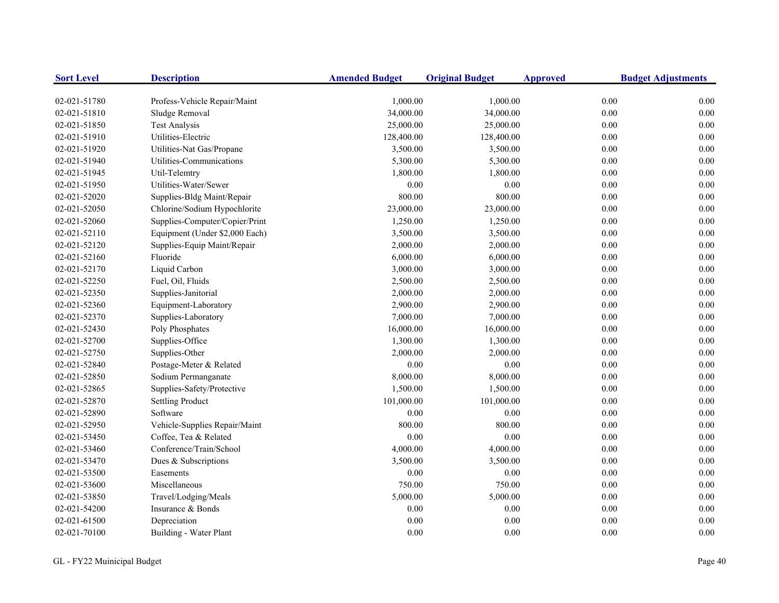| <b>Sort Level</b> | <b>Description</b>             | <b>Amended Budget</b> | <b>Original Budget</b> | <b>Approved</b> | <b>Budget Adjustments</b> |
|-------------------|--------------------------------|-----------------------|------------------------|-----------------|---------------------------|
| 02-021-51780      | Profess-Vehicle Repair/Maint   | 1,000.00              | 1,000.00               | 0.00            | 0.00                      |
| 02-021-51810      | Sludge Removal                 | 34,000.00             | 34,000.00              | 0.00            | 0.00                      |
| 02-021-51850      | <b>Test Analysis</b>           | 25,000.00             | 25,000.00              | 0.00            | 0.00                      |
| 02-021-51910      | Utilities-Electric             | 128,400.00            | 128,400.00             | 0.00            | 0.00                      |
| 02-021-51920      | Utilities-Nat Gas/Propane      | 3,500.00              | 3,500.00               | 0.00            | 0.00                      |
| 02-021-51940      | Utilities-Communications       | 5,300.00              | 5,300.00               | 0.00            | 0.00                      |
| 02-021-51945      | Util-Telemtry                  | 1,800.00              | 1,800.00               | 0.00            | 0.00                      |
| 02-021-51950      | Utilities-Water/Sewer          | 0.00                  | 0.00                   | 0.00            | 0.00                      |
| 02-021-52020      | Supplies-Bldg Maint/Repair     | 800.00                | 800.00                 | 0.00            | 0.00                      |
| 02-021-52050      | Chlorine/Sodium Hypochlorite   | 23,000.00             | 23,000.00              | $0.00\,$        | 0.00                      |
| 02-021-52060      | Supplies-Computer/Copier/Print | 1,250.00              | 1,250.00               | 0.00            | 0.00                      |
| 02-021-52110      | Equipment (Under \$2,000 Each) | 3,500.00              | 3,500.00               | 0.00            | 0.00                      |
| 02-021-52120      | Supplies-Equip Maint/Repair    | 2,000.00              | 2,000.00               | 0.00            | 0.00                      |
| 02-021-52160      | Fluoride                       | 6,000.00              | 6,000.00               | 0.00            | 0.00                      |
| 02-021-52170      | Liquid Carbon                  | 3,000.00              | 3,000.00               | 0.00            | 0.00                      |
| 02-021-52250      | Fuel, Oil, Fluids              | 2,500.00              | 2,500.00               | 0.00            | 0.00                      |
| 02-021-52350      | Supplies-Janitorial            | 2,000.00              | 2,000.00               | 0.00            | 0.00                      |
| 02-021-52360      | Equipment-Laboratory           | 2,900.00              | 2,900.00               | 0.00            | 0.00                      |
| 02-021-52370      | Supplies-Laboratory            | 7,000.00              | 7,000.00               | 0.00            | 0.00                      |
| 02-021-52430      | Poly Phosphates                | 16,000.00             | 16,000.00              | 0.00            | 0.00                      |
| 02-021-52700      | Supplies-Office                | 1,300.00              | 1,300.00               | 0.00            | 0.00                      |
| 02-021-52750      | Supplies-Other                 | 2,000.00              | 2,000.00               | 0.00            | 0.00                      |
| 02-021-52840      | Postage-Meter & Related        | 0.00                  | 0.00                   | 0.00            | 0.00                      |
| 02-021-52850      | Sodium Permanganate            | 8,000.00              | 8,000.00               | 0.00            | 0.00                      |
| 02-021-52865      | Supplies-Safety/Protective     | 1,500.00              | 1,500.00               | 0.00            | 0.00                      |
| 02-021-52870      | <b>Settling Product</b>        | 101,000.00            | 101,000.00             | $0.00\,$        | 0.00                      |
| 02-021-52890      | Software                       | 0.00                  | 0.00                   | 0.00            | 0.00                      |
| 02-021-52950      | Vehicle-Supplies Repair/Maint  | 800.00                | 800.00                 | 0.00            | 0.00                      |
| 02-021-53450      | Coffee, Tea & Related          | 0.00                  | 0.00                   | 0.00            | 0.00                      |
| 02-021-53460      | Conference/Train/School        | 4,000.00              | 4,000.00               | 0.00            | 0.00                      |
| 02-021-53470      | Dues & Subscriptions           | 3,500.00              | 3,500.00               | 0.00            | 0.00                      |
| 02-021-53500      | Easements                      | $0.00\,$              | $0.00\,$               | 0.00            | 0.00                      |
| 02-021-53600      | Miscellaneous                  | 750.00                | 750.00                 | 0.00            | 0.00                      |
| 02-021-53850      | Travel/Lodging/Meals           | 5,000.00              | 5,000.00               | 0.00            | 0.00                      |
| 02-021-54200      | Insurance & Bonds              | 0.00                  | $0.00\,$               | 0.00            | 0.00                      |
| 02-021-61500      | Depreciation                   | 0.00                  | 0.00                   | 0.00            | 0.00                      |
| 02-021-70100      | Building - Water Plant         | 0.00                  | 0.00                   | 0.00            | 0.00                      |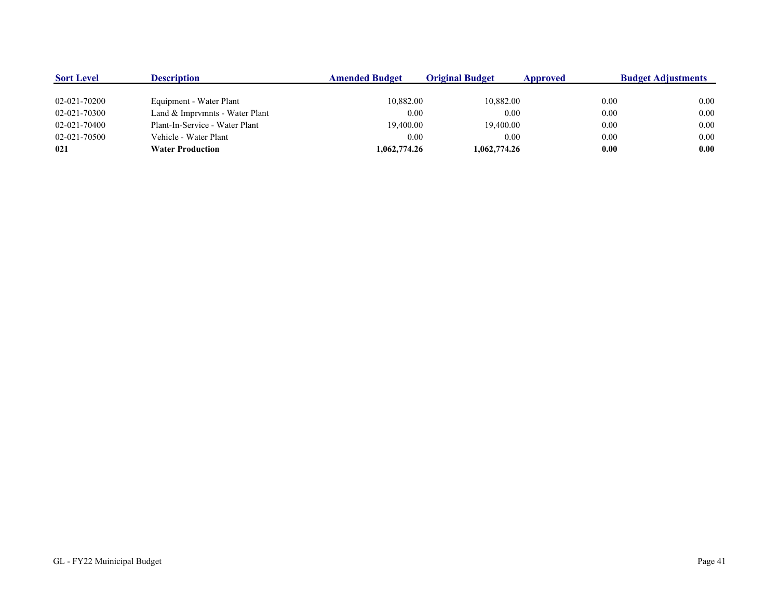| <b>Sort Level</b> | Description                    | <b>Amended Budget</b> | <b>Original Budget</b> | Approved | <b>Budget Adjustments</b> |
|-------------------|--------------------------------|-----------------------|------------------------|----------|---------------------------|
|                   |                                |                       |                        |          |                           |
| 02-021-70200      | Equipment - Water Plant        | 10,882.00             | 10,882.00              | 0.00     | 0.00                      |
| 02-021-70300      | Land & Imprymnts - Water Plant | 0.00                  | 0.00                   | 0.00     | 0.00                      |
| 02-021-70400      | Plant-In-Service - Water Plant | 19,400.00             | 19,400.00              | 0.00     | 0.00                      |
| 02-021-70500      | Vehicle - Water Plant          | 0.00                  | 0.00                   | 0.00     | 0.00                      |
| 021               | <b>Water Production</b>        | 1,062,774.26          | 1,062,774.26           | 0.00     | 0.00                      |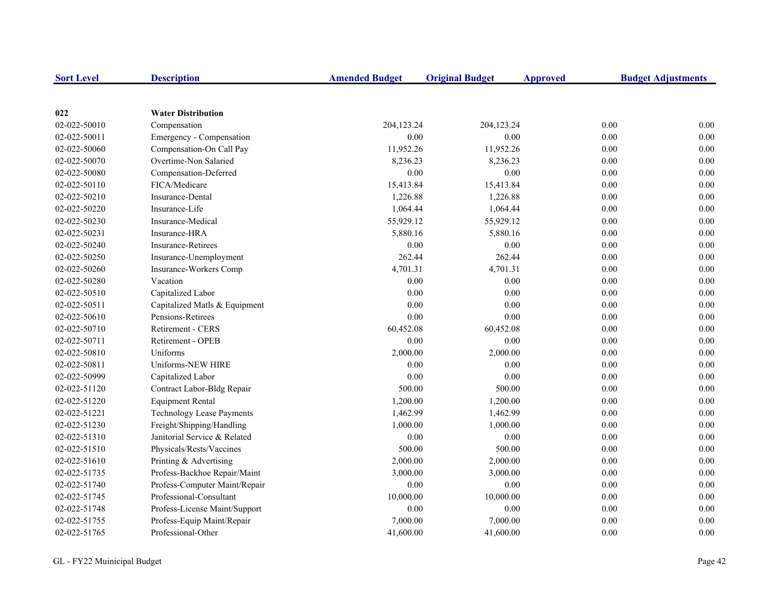| <b>Sort Level</b> | <b>Description</b>               | <b>Amended Budget</b> | <b>Original Budget</b> | <b>Approved</b> | <b>Budget Adjustments</b> |
|-------------------|----------------------------------|-----------------------|------------------------|-----------------|---------------------------|
|                   |                                  |                       |                        |                 |                           |
| 022               | <b>Water Distribution</b>        |                       |                        |                 |                           |
| 02-022-50010      | Compensation                     | 204,123.24            | 204,123.24             | 0.00            | 0.00                      |
| 02-022-50011      | Emergency - Compensation         | 0.00                  | 0.00                   | 0.00            | 0.00                      |
| 02-022-50060      | Compensation-On Call Pay         | 11,952.26             | 11,952.26              | 0.00            | $0.00\,$                  |
| 02-022-50070      | Overtime-Non Salaried            | 8,236.23              | 8,236.23               | 0.00            | 0.00                      |
| 02-022-50080      | Compensation-Deferred            | 0.00                  | 0.00                   | 0.00            | 0.00                      |
| 02-022-50110      | FICA/Medicare                    | 15,413.84             | 15,413.84              | 0.00            | 0.00                      |
| 02-022-50210      | Insurance-Dental                 | 1,226.88              | 1,226.88               | 0.00            | 0.00                      |
| 02-022-50220      | Insurance-Life                   | 1,064.44              | 1,064.44               | 0.00            | 0.00                      |
| 02-022-50230      | Insurance-Medical                | 55,929.12             | 55,929.12              | 0.00            | 0.00                      |
| 02-022-50231      | Insurance-HRA                    | 5,880.16              | 5,880.16               | 0.00            | 0.00                      |
| 02-022-50240      | <b>Insurance-Retirees</b>        | 0.00                  | $0.00\,$               | 0.00            | 0.00                      |
| 02-022-50250      | Insurance-Unemployment           | 262.44                | 262.44                 | 0.00            | 0.00                      |
| 02-022-50260      | Insurance-Workers Comp           | 4,701.31              | 4,701.31               | 0.00            | 0.00                      |
| 02-022-50280      | Vacation                         | 0.00                  | 0.00                   | 0.00            | 0.00                      |
| 02-022-50510      | Capitalized Labor                | 0.00                  | 0.00                   | 0.00            | 0.00                      |
| 02-022-50511      | Capitalized Matls & Equipment    | 0.00                  | 0.00                   | 0.00            | 0.00                      |
| 02-022-50610      | Pensions-Retirees                | 0.00                  | 0.00                   | 0.00            | 0.00                      |
| 02-022-50710      | Retirement - CERS                | 60,452.08             | 60,452.08              | 0.00            | 0.00                      |
| 02-022-50711      | Retirement - OPEB                | 0.00                  | 0.00                   | 0.00            | 0.00                      |
| 02-022-50810      | Uniforms                         | 2,000.00              | 2,000.00               | 0.00            | 0.00                      |
| 02-022-50811      | Uniforms-NEW HIRE                | 0.00                  | 0.00                   | 0.00            | 0.00                      |
| 02-022-50999      | Capitalized Labor                | $0.00\,$              | $0.00\,$               | 0.00            | $0.00\,$                  |
| 02-022-51120      | Contract Labor-Bldg Repair       | 500.00                | 500.00                 | 0.00            | 0.00                      |
| 02-022-51220      | <b>Equipment Rental</b>          | 1,200.00              | 1,200.00               | 0.00            | 0.00                      |
| 02-022-51221      | <b>Technology Lease Payments</b> | 1,462.99              | 1,462.99               | 0.00            | 0.00                      |
| 02-022-51230      | Freight/Shipping/Handling        | 1,000.00              | 1,000.00               | 0.00            | 0.00                      |
| 02-022-51310      | Janitorial Service & Related     | 0.00                  | 0.00                   | 0.00            | 0.00                      |
| 02-022-51510      | Physicals/Rests/Vaccines         | 500.00                | 500.00                 | 0.00            | 0.00                      |
| 02-022-51610      | Printing & Advertising           | 2,000.00              | 2,000.00               | 0.00            | 0.00                      |
| 02-022-51735      | Profess-Backhoe Repair/Maint     | 3,000.00              | 3,000.00               | 0.00            | 0.00                      |
| 02-022-51740      | Profess-Computer Maint/Repair    | 0.00                  | 0.00                   | 0.00            | 0.00                      |
| 02-022-51745      | Professional-Consultant          | 10,000.00             | 10,000.00              | 0.00            | 0.00                      |
| 02-022-51748      | Profess-License Maint/Support    | 0.00                  | 0.00                   | 0.00            | 0.00                      |
| 02-022-51755      | Profess-Equip Maint/Repair       | 7,000.00              | 7,000.00               | 0.00            | 0.00                      |
| 02-022-51765      | Professional-Other               | 41,600.00             | 41,600.00              | 0.00            | 0.00                      |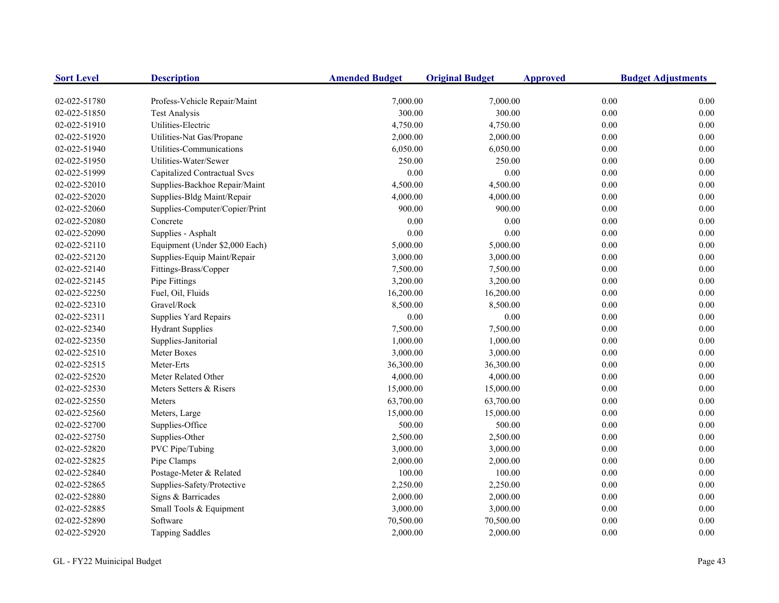| <b>Sort Level</b> | <b>Description</b>             | <b>Amended Budget</b> | <b>Original Budget</b> | <b>Approved</b> | <b>Budget Adjustments</b> |
|-------------------|--------------------------------|-----------------------|------------------------|-----------------|---------------------------|
| 02-022-51780      | Profess-Vehicle Repair/Maint   | 7,000.00              | 7,000.00               | 0.00            | 0.00                      |
| 02-022-51850      | <b>Test Analysis</b>           | 300.00                | 300.00                 | 0.00            | 0.00                      |
| 02-022-51910      | Utilities-Electric             | 4,750.00              | 4,750.00               | 0.00            | 0.00                      |
| 02-022-51920      | Utilities-Nat Gas/Propane      | 2,000.00              | 2,000.00               | 0.00            | 0.00                      |
| 02-022-51940      | Utilities-Communications       | 6,050.00              | 6,050.00               | 0.00            | 0.00                      |
| 02-022-51950      | Utilities-Water/Sewer          | 250.00                | 250.00                 | 0.00            | 0.00                      |
| 02-022-51999      | Capitalized Contractual Svcs   | 0.00                  | 0.00                   | 0.00            | 0.00                      |
| 02-022-52010      | Supplies-Backhoe Repair/Maint  | 4,500.00              | 4,500.00               | 0.00            | 0.00                      |
| 02-022-52020      | Supplies-Bldg Maint/Repair     | 4,000.00              | 4,000.00               | 0.00            | 0.00                      |
| 02-022-52060      | Supplies-Computer/Copier/Print | 900.00                | 900.00                 | 0.00            | 0.00                      |
| 02-022-52080      | Concrete                       | 0.00                  | 0.00                   | 0.00            | 0.00                      |
| 02-022-52090      | Supplies - Asphalt             | 0.00                  | 0.00                   | 0.00            | 0.00                      |
| 02-022-52110      | Equipment (Under \$2,000 Each) | 5,000.00              | 5,000.00               | 0.00            | 0.00                      |
| 02-022-52120      | Supplies-Equip Maint/Repair    | 3,000.00              | 3,000.00               | 0.00            | 0.00                      |
| 02-022-52140      | Fittings-Brass/Copper          | 7,500.00              | 7,500.00               | 0.00            | 0.00                      |
| 02-022-52145      | Pipe Fittings                  | 3,200.00              | 3,200.00               | 0.00            | 0.00                      |
| 02-022-52250      | Fuel, Oil, Fluids              | 16,200.00             | 16,200.00              | 0.00            | 0.00                      |
| 02-022-52310      | Gravel/Rock                    | 8,500.00              | 8,500.00               | 0.00            | 0.00                      |
| 02-022-52311      | Supplies Yard Repairs          | 0.00                  | 0.00                   | 0.00            | 0.00                      |
| 02-022-52340      | <b>Hydrant Supplies</b>        | 7,500.00              | 7,500.00               | 0.00            | 0.00                      |
| 02-022-52350      | Supplies-Janitorial            | 1,000.00              | 1,000.00               | 0.00            | 0.00                      |
| 02-022-52510      | Meter Boxes                    | 3,000.00              | 3,000.00               | 0.00            | 0.00                      |
| 02-022-52515      | Meter-Erts                     | 36,300.00             | 36,300.00              | 0.00            | 0.00                      |
| 02-022-52520      | Meter Related Other            | 4,000.00              | 4,000.00               | 0.00            | 0.00                      |
| 02-022-52530      | Meters Setters & Risers        | 15,000.00             | 15,000.00              | 0.00            | 0.00                      |
| 02-022-52550      | Meters                         | 63,700.00             | 63,700.00              | 0.00            | 0.00                      |
| 02-022-52560      | Meters, Large                  | 15,000.00             | 15,000.00              | 0.00            | 0.00                      |
| 02-022-52700      | Supplies-Office                | 500.00                | 500.00                 | 0.00            | 0.00                      |
| 02-022-52750      | Supplies-Other                 | 2,500.00              | 2,500.00               | 0.00            | 0.00                      |
| 02-022-52820      | PVC Pipe/Tubing                | 3,000.00              | 3,000.00               | 0.00            | 0.00                      |
| 02-022-52825      | Pipe Clamps                    | 2,000.00              | 2,000.00               | 0.00            | 0.00                      |
| 02-022-52840      | Postage-Meter & Related        | 100.00                | 100.00                 | 0.00            | 0.00                      |
| 02-022-52865      | Supplies-Safety/Protective     | 2,250.00              | 2,250.00               | 0.00            | 0.00                      |
| 02-022-52880      | Signs & Barricades             | 2,000.00              | 2,000.00               | 0.00            | 0.00                      |
| 02-022-52885      | Small Tools & Equipment        | 3,000.00              | 3,000.00               | 0.00            | 0.00                      |
| 02-022-52890      | Software                       | 70,500.00             | 70,500.00              | 0.00            | 0.00                      |
| 02-022-52920      | <b>Tapping Saddles</b>         | 2,000.00              | 2,000.00               | 0.00            | 0.00                      |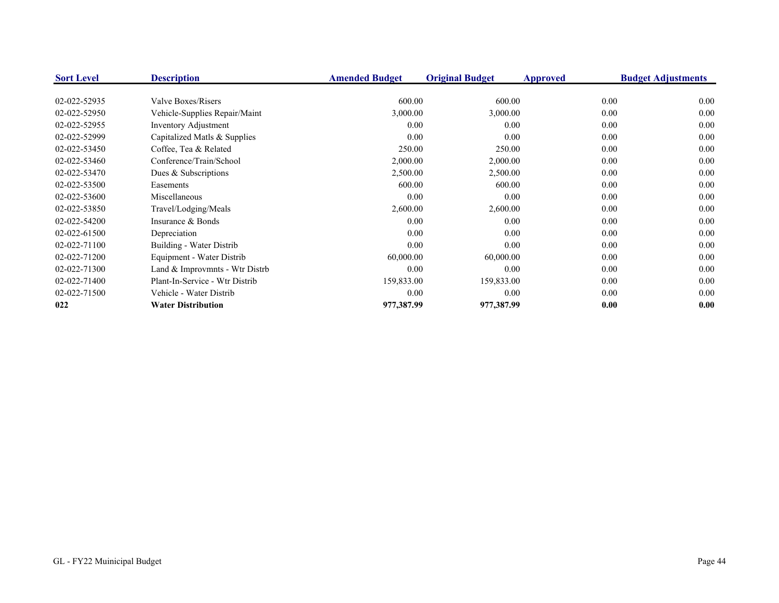| <b>Sort Level</b> | <b>Description</b>             | <b>Amended Budget</b> | <b>Original Budget</b> | <b>Approved</b> | <b>Budget Adjustments</b> |
|-------------------|--------------------------------|-----------------------|------------------------|-----------------|---------------------------|
| 02-022-52935      | Valve Boxes/Risers             | 600.00                | 600.00                 | 0.00            | 0.00                      |
| 02-022-52950      | Vehicle-Supplies Repair/Maint  | 3,000.00              | 3,000.00               | 0.00            | 0.00                      |
| 02-022-52955      | Inventory Adjustment           | 0.00                  | 0.00                   | 0.00            | 0.00                      |
| 02-022-52999      | Capitalized Matls & Supplies   | 0.00                  | 0.00                   | 0.00            | 0.00                      |
| 02-022-53450      | Coffee, Tea & Related          | 250.00                | 250.00                 | 0.00            | 0.00                      |
| 02-022-53460      | Conference/Train/School        | 2,000.00              | 2,000.00               | 0.00            | 0.00                      |
| 02-022-53470      | Dues & Subscriptions           | 2,500.00              | 2,500.00               | 0.00            | 0.00                      |
| 02-022-53500      | Easements                      | 600.00                | 600.00                 | 0.00            | 0.00                      |
| 02-022-53600      | Miscellaneous                  | 0.00                  | 0.00                   | 0.00            | 0.00                      |
| 02-022-53850      | Travel/Lodging/Meals           | 2,600.00              | 2,600.00               | 0.00            | 0.00                      |
| 02-022-54200      | Insurance & Bonds              | 0.00                  | 0.00                   | 0.00            | 0.00                      |
| 02-022-61500      | Depreciation                   | 0.00                  | 0.00                   | 0.00            | 0.00                      |
| 02-022-71100      | Building - Water Distrib       | 0.00                  | 0.00                   | 0.00            | 0.00                      |
| 02-022-71200      | Equipment - Water Distrib      | 60,000.00             | 60,000.00              | 0.00            | 0.00                      |
| 02-022-71300      | Land & Improvmnts - Wtr Distrb | 0.00                  | 0.00                   | 0.00            | 0.00                      |
| 02-022-71400      | Plant-In-Service - Wtr Distrib | 159,833.00            | 159,833.00             | 0.00            | 0.00                      |
| 02-022-71500      | Vehicle - Water Distrib        | 0.00                  | 0.00                   | 0.00            | 0.00                      |
| 022               | <b>Water Distribution</b>      | 977,387.99            | 977,387.99             | 0.00            | 0.00                      |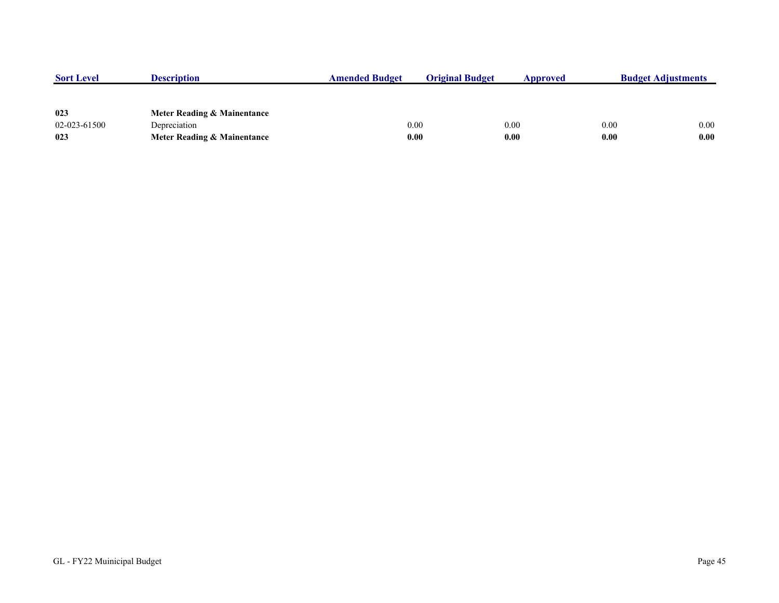| <b>Sort Level</b> | <b>Description</b>          | <b>Amended Budget</b> | <b>Original Budget</b> | Approved | <b>Budget Adjustments</b> |      |
|-------------------|-----------------------------|-----------------------|------------------------|----------|---------------------------|------|
|                   |                             |                       |                        |          |                           |      |
|                   |                             |                       |                        |          |                           |      |
| 023               | Meter Reading & Mainentance |                       |                        |          |                           |      |
| 02-023-61500      | Depreciation                | 0.00                  |                        | 0.00     | 0.00                      | 0.00 |
| 023               | Meter Reading & Mainentance | 0.00                  |                        | 0.00     | 0.00                      | 0.00 |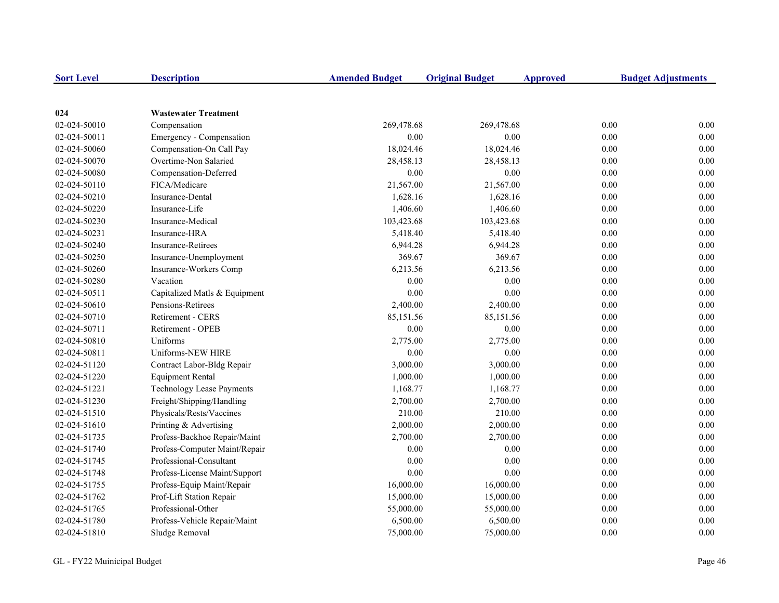| <b>Sort Level</b>            | <b>Description</b>                                   | <b>Amended Budget</b>  | <b>Original Budget</b> | <b>Approved</b> | <b>Budget Adjustments</b>    |
|------------------------------|------------------------------------------------------|------------------------|------------------------|-----------------|------------------------------|
|                              |                                                      |                        |                        |                 |                              |
| 024                          | <b>Wastewater Treatment</b>                          |                        |                        |                 |                              |
| 02-024-50010                 | Compensation                                         | 269,478.68             | 269,478.68             |                 | 0.00<br>0.00                 |
| 02-024-50011<br>02-024-50060 | Emergency - Compensation<br>Compensation-On Call Pay | 0.00<br>18,024.46      | 0.00<br>18,024.46      |                 | 0.00<br>0.00<br>0.00<br>0.00 |
| 02-024-50070                 | Overtime-Non Salaried                                | 28,458.13              | 28,458.13              |                 | 0.00<br>0.00                 |
| 02-024-50080                 | Compensation-Deferred                                | 0.00                   | 0.00                   |                 | 0.00<br>0.00                 |
| 02-024-50110                 | FICA/Medicare                                        | 21,567.00              | 21,567.00              |                 | 0.00<br>0.00                 |
| 02-024-50210                 | Insurance-Dental                                     | 1,628.16               | 1,628.16               |                 | 0.00<br>0.00                 |
|                              | Insurance-Life                                       | 1,406.60               | 1,406.60               |                 | 0.00<br>0.00                 |
| 02-024-50220                 | Insurance-Medical                                    |                        |                        |                 | 0.00<br>0.00                 |
| 02-024-50230<br>02-024-50231 | Insurance-HRA                                        | 103,423.68<br>5,418.40 | 103,423.68<br>5,418.40 |                 | 0.00<br>0.00                 |
| 02-024-50240                 | <b>Insurance-Retirees</b>                            | 6,944.28               | 6,944.28               |                 | 0.00<br>0.00                 |
|                              | Insurance-Unemployment                               | 369.67                 | 369.67                 |                 | 0.00<br>0.00                 |
| 02-024-50250                 |                                                      | 6,213.56               |                        |                 | 0.00                         |
| 02-024-50260                 | Insurance-Workers Comp<br>Vacation                   | 0.00                   | 6,213.56<br>0.00       |                 | 0.00<br>0.00                 |
| 02-024-50280                 |                                                      |                        |                        |                 | 0.00                         |
| 02-024-50511                 | Capitalized Matls & Equipment                        | 0.00                   | 0.00                   |                 | 0.00<br>0.00                 |
| 02-024-50610                 | Pensions-Retirees                                    | 2,400.00               | 2,400.00               |                 | 0.00<br>0.00                 |
| 02-024-50710                 | Retirement - CERS                                    | 85,151.56              | 85,151.56              |                 | 0.00<br>0.00                 |
| 02-024-50711                 | Retirement - OPEB                                    | 0.00                   | 0.00                   |                 | 0.00<br>0.00                 |
| 02-024-50810                 | Uniforms                                             | 2,775.00               | 2,775.00               |                 | 0.00<br>0.00                 |
| 02-024-50811                 | Uniforms-NEW HIRE                                    | $0.00\,$               | 0.00                   |                 | 0.00<br>0.00                 |
| 02-024-51120                 | Contract Labor-Bldg Repair                           | 3,000.00               | 3,000.00               |                 | 0.00<br>0.00                 |
| 02-024-51220                 | <b>Equipment Rental</b>                              | 1,000.00               | 1,000.00               |                 | 0.00<br>0.00                 |
| 02-024-51221                 | <b>Technology Lease Payments</b>                     | 1,168.77               | 1,168.77               |                 | 0.00<br>0.00                 |
| 02-024-51230                 | Freight/Shipping/Handling                            | 2,700.00               | 2,700.00               |                 | 0.00<br>0.00                 |
| 02-024-51510                 | Physicals/Rests/Vaccines                             | 210.00                 | 210.00                 |                 | 0.00<br>0.00                 |
| 02-024-51610                 | Printing & Advertising                               | 2,000.00               | 2,000.00               |                 | 0.00<br>0.00                 |
| 02-024-51735                 | Profess-Backhoe Repair/Maint                         | 2,700.00               | 2,700.00               |                 | 0.00<br>0.00                 |
| 02-024-51740                 | Profess-Computer Maint/Repair                        | $0.00\,$               | $0.00\,$               |                 | 0.00<br>0.00                 |
| 02-024-51745                 | Professional-Consultant                              | 0.00                   | 0.00                   |                 | 0.00<br>0.00                 |
| 02-024-51748                 | Profess-License Maint/Support                        | 0.00                   | 0.00                   |                 | 0.00<br>0.00                 |
| 02-024-51755                 | Profess-Equip Maint/Repair                           | 16,000.00              | 16,000.00              |                 | 0.00<br>0.00                 |
| 02-024-51762                 | Prof-Lift Station Repair                             | 15,000.00              | 15,000.00              |                 | 0.00<br>0.00                 |
| 02-024-51765                 | Professional-Other                                   | 55,000.00              | 55,000.00              |                 | 0.00<br>0.00                 |
| 02-024-51780                 | Profess-Vehicle Repair/Maint                         | 6,500.00               | 6,500.00               |                 | 0.00<br>0.00                 |
| 02-024-51810                 | Sludge Removal                                       | 75,000.00              | 75,000.00              |                 | 0.00<br>0.00                 |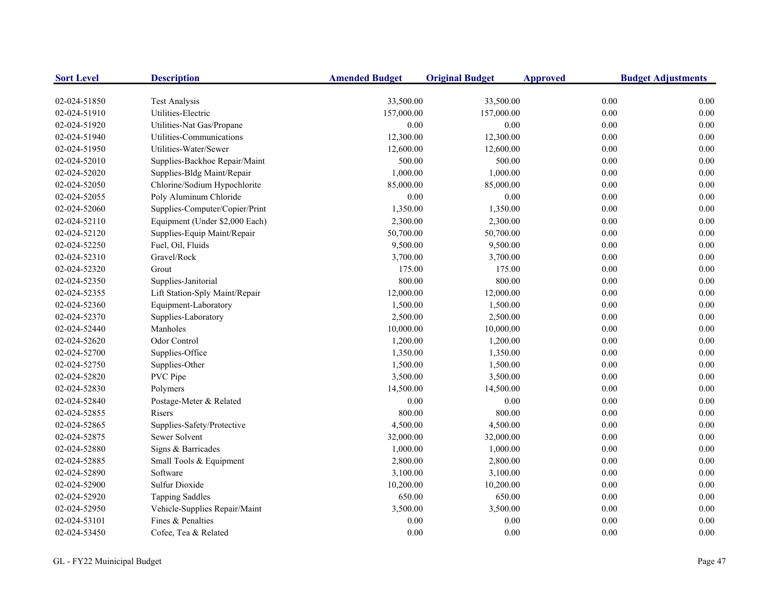| <b>Sort Level</b> | <b>Description</b>             | <b>Amended Budget</b> | <b>Original Budget</b> | <b>Approved</b> | <b>Budget Adjustments</b> |
|-------------------|--------------------------------|-----------------------|------------------------|-----------------|---------------------------|
| 02-024-51850      | <b>Test Analysis</b>           | 33,500.00             | 33,500.00              |                 | 0.00<br>0.00              |
| 02-024-51910      | Utilities-Electric             | 157,000.00            | 157,000.00             |                 | 0.00<br>0.00              |
| 02-024-51920      | Utilities-Nat Gas/Propane      | 0.00                  | 0.00                   |                 | 0.00<br>0.00              |
| 02-024-51940      | Utilities-Communications       | 12,300.00             | 12,300.00              |                 | 0.00<br>0.00              |
| 02-024-51950      | Utilities-Water/Sewer          | 12,600.00             | 12,600.00              |                 | 0.00<br>0.00              |
| 02-024-52010      | Supplies-Backhoe Repair/Maint  | 500.00                | 500.00                 |                 | 0.00<br>0.00              |
| 02-024-52020      | Supplies-Bldg Maint/Repair     | 1,000.00              | 1,000.00               |                 | 0.00<br>0.00              |
| 02-024-52050      | Chlorine/Sodium Hypochlorite   | 85,000.00             | 85,000.00              |                 | 0.00<br>0.00              |
| 02-024-52055      | Poly Aluminum Chloride         | 0.00                  | $0.00\,$               |                 | 0.00<br>0.00              |
| 02-024-52060      | Supplies-Computer/Copier/Print | 1,350.00              | 1,350.00               |                 | 0.00<br>0.00              |
| 02-024-52110      | Equipment (Under \$2,000 Each) | 2,300.00              | 2,300.00               |                 | 0.00<br>0.00              |
| 02-024-52120      | Supplies-Equip Maint/Repair    | 50,700.00             | 50,700.00              |                 | 0.00<br>0.00              |
| 02-024-52250      | Fuel, Oil, Fluids              | 9,500.00              | 9,500.00               |                 | 0.00<br>0.00              |
| 02-024-52310      | Gravel/Rock                    | 3,700.00              | 3,700.00               |                 | 0.00<br>0.00              |
| 02-024-52320      | Grout                          | 175.00                | 175.00                 |                 | 0.00<br>0.00              |
| 02-024-52350      | Supplies-Janitorial            | 800.00                | 800.00                 |                 | 0.00<br>0.00              |
| 02-024-52355      | Lift Station-Sply Maint/Repair | 12,000.00             | 12,000.00              |                 | 0.00<br>0.00              |
| 02-024-52360      | Equipment-Laboratory           | 1,500.00              | 1,500.00               |                 | 0.00<br>0.00              |
| 02-024-52370      | Supplies-Laboratory            | 2,500.00              | 2,500.00               |                 | 0.00<br>0.00              |
| 02-024-52440      | Manholes                       | 10,000.00             | 10,000.00              |                 | 0.00<br>0.00              |
| 02-024-52620      | Odor Control                   | 1,200.00              | 1,200.00               |                 | 0.00<br>0.00              |
| 02-024-52700      | Supplies-Office                | 1,350.00              | 1,350.00               |                 | 0.00<br>0.00              |
| 02-024-52750      | Supplies-Other                 | 1,500.00              | 1,500.00               |                 | 0.00<br>0.00              |
| 02-024-52820      | PVC Pipe                       | 3,500.00              | 3,500.00               |                 | 0.00<br>0.00              |
| 02-024-52830      | Polymers                       | 14,500.00             | 14,500.00              |                 | 0.00<br>0.00              |
| 02-024-52840      | Postage-Meter & Related        | 0.00                  | $0.00\,$               |                 | 0.00<br>0.00              |
| 02-024-52855      | Risers                         | 800.00                | 800.00                 |                 | 0.00<br>0.00              |
| 02-024-52865      | Supplies-Safety/Protective     | 4,500.00              | 4,500.00               |                 | 0.00<br>0.00              |
| 02-024-52875      | Sewer Solvent                  | 32,000.00             | 32,000.00              |                 | 0.00<br>0.00              |
| 02-024-52880      | Signs & Barricades             | 1,000.00              | 1,000.00               |                 | 0.00<br>0.00              |
| 02-024-52885      | Small Tools & Equipment        | 2,800.00              | 2,800.00               |                 | 0.00<br>0.00              |
| 02-024-52890      | Software                       | 3,100.00              | 3,100.00               |                 | 0.00<br>0.00              |
| 02-024-52900      | <b>Sulfur Dioxide</b>          | 10,200.00             | 10,200.00              |                 | 0.00<br>0.00              |
| 02-024-52920      | <b>Tapping Saddles</b>         | 650.00                | 650.00                 |                 | 0.00<br>0.00              |
| 02-024-52950      | Vehicle-Supplies Repair/Maint  | 3,500.00              | 3,500.00               |                 | 0.00<br>0.00              |
| 02-024-53101      | Fines & Penalties              | 0.00                  | 0.00                   |                 | 0.00<br>0.00              |
| 02-024-53450      | Cofee, Tea & Related           | 0.00                  | 0.00                   |                 | 0.00<br>0.00              |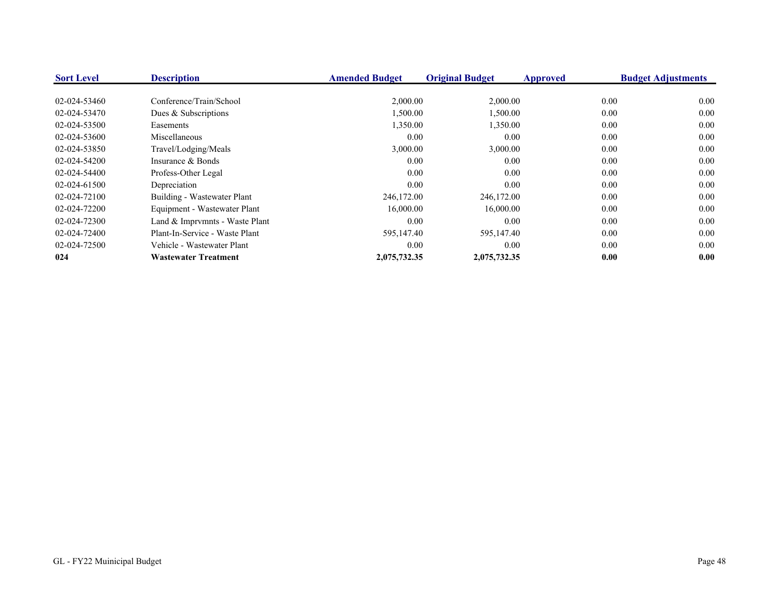| <b>Sort Level</b> | <b>Description</b>             | <b>Amended Budget</b> | <b>Original Budget</b> | Approved | <b>Budget Adjustments</b> |
|-------------------|--------------------------------|-----------------------|------------------------|----------|---------------------------|
|                   |                                |                       |                        |          |                           |
| 02-024-53460      | Conference/Train/School        | 2,000.00              | 2,000.00               | 0.00     | 0.00                      |
| 02-024-53470      | Dues & Subscriptions           | 1,500.00              | 1,500.00               | 0.00     | 0.00                      |
| 02-024-53500      | Easements                      | 1,350.00              | 1,350.00               | 0.00     | 0.00                      |
| 02-024-53600      | Miscellaneous                  | 0.00                  | 0.00                   | 0.00     | 0.00                      |
| 02-024-53850      | Travel/Lodging/Meals           | 3,000.00              | 3,000.00               | 0.00     | 0.00                      |
| 02-024-54200      | Insurance & Bonds              | 0.00                  | 0.00                   | 0.00     | 0.00                      |
| 02-024-54400      | Profess-Other Legal            | 0.00                  | 0.00                   | 0.00     | 0.00                      |
| 02-024-61500      | Depreciation                   | 0.00                  | 0.00                   | 0.00     | 0.00                      |
| 02-024-72100      | Building - Wastewater Plant    | 246,172.00            | 246,172.00             | 0.00     | 0.00                      |
| 02-024-72200      | Equipment - Wastewater Plant   | 16,000.00             | 16,000.00              | 0.00     | 0.00                      |
| 02-024-72300      | Land & Imprymnts - Waste Plant | 0.00                  | 0.00                   | 0.00     | 0.00                      |
| 02-024-72400      | Plant-In-Service - Waste Plant | 595,147.40            | 595,147.40             | 0.00     | 0.00                      |
| 02-024-72500      | Vehicle - Wastewater Plant     | 0.00                  | 0.00                   | 0.00     | 0.00                      |
| 024               | <b>Wastewater Treatment</b>    | 2,075,732.35          | 2,075,732.35           | 0.00     | 0.00                      |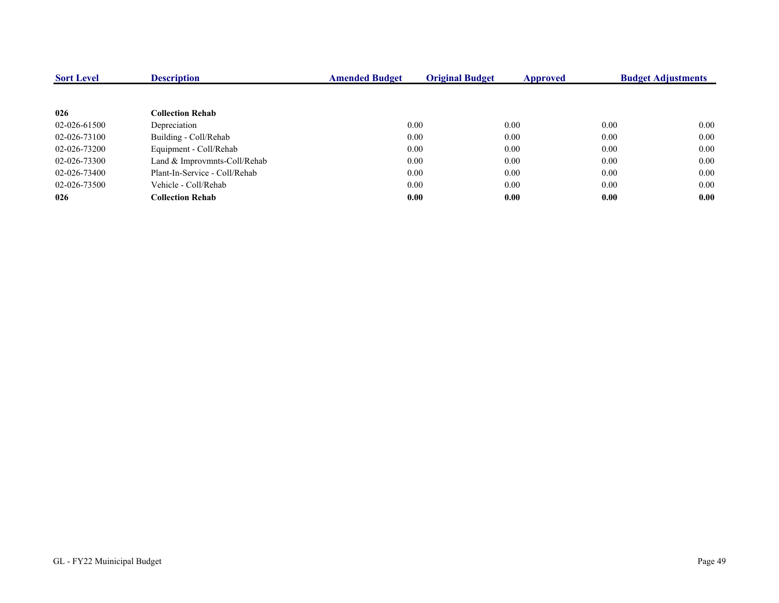| <b>Sort Level</b> | <b>Description</b>            | <b>Amended Budget</b> | <b>Original Budget</b> | <b>Approved</b> | <b>Budget Adjustments</b> |      |
|-------------------|-------------------------------|-----------------------|------------------------|-----------------|---------------------------|------|
|                   |                               |                       |                        |                 |                           |      |
| 026               | <b>Collection Rehab</b>       |                       |                        |                 |                           |      |
| 02-026-61500      | Depreciation                  |                       | 0.00                   | 0.00            | 0.00                      | 0.00 |
| 02-026-73100      | Building - Coll/Rehab         |                       | 0.00                   | 0.00            | 0.00                      | 0.00 |
| 02-026-73200      | Equipment - Coll/Rehab        |                       | 0.00                   | 0.00            | 0.00                      | 0.00 |
| 02-026-73300      | Land & Improvmnts-Coll/Rehab  |                       | 0.00                   | 0.00            | 0.00                      | 0.00 |
| 02-026-73400      | Plant-In-Service - Coll/Rehab |                       | 0.00                   | 0.00            | 0.00                      | 0.00 |
| 02-026-73500      | Vehicle - Coll/Rehab          |                       | 0.00                   | 0.00            | 0.00                      | 0.00 |
| 026               | <b>Collection Rehab</b>       |                       | 0.00                   | 0.00            | 0.00                      | 0.00 |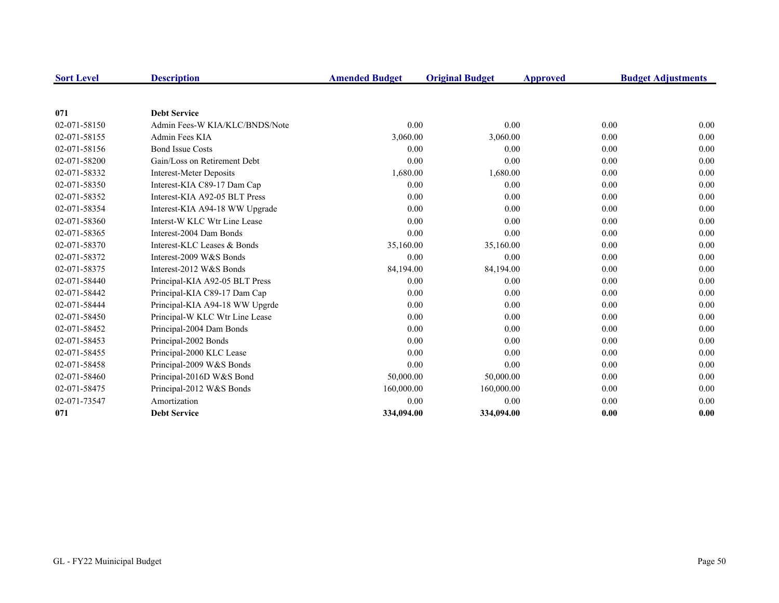| <b>Sort Level</b> | <b>Description</b>             | <b>Amended Budget</b> | <b>Original Budget</b> | <b>Approved</b> | <b>Budget Adjustments</b> |
|-------------------|--------------------------------|-----------------------|------------------------|-----------------|---------------------------|
|                   |                                |                       |                        |                 |                           |
| 071               | <b>Debt Service</b>            |                       |                        |                 |                           |
| 02-071-58150      | Admin Fees-W KIA/KLC/BNDS/Note | 0.00                  | 0.00                   | 0.00            | 0.00                      |
| 02-071-58155      | Admin Fees KIA                 | 3,060.00              | 3,060.00               | 0.00            | 0.00                      |
| 02-071-58156      | <b>Bond Issue Costs</b>        | 0.00                  | 0.00                   | 0.00            | 0.00                      |
| 02-071-58200      | Gain/Loss on Retirement Debt   | 0.00                  | 0.00                   | 0.00            | 0.00                      |
| 02-071-58332      | <b>Interest-Meter Deposits</b> | 1,680.00              | 1,680.00               | 0.00            | 0.00                      |
| 02-071-58350      | Interest-KIA C89-17 Dam Cap    | 0.00                  | 0.00                   | 0.00            | 0.00                      |
| 02-071-58352      | Interest-KIA A92-05 BLT Press  | 0.00                  | 0.00                   | 0.00            | 0.00                      |
| 02-071-58354      | Interest-KIA A94-18 WW Upgrade | 0.00                  | 0.00                   | 0.00            | 0.00                      |
| 02-071-58360      | Interst-W KLC Wtr Line Lease   | 0.00                  | 0.00                   | 0.00            | 0.00                      |
| 02-071-58365      | Interest-2004 Dam Bonds        | 0.00                  | 0.00                   | 0.00            | 0.00                      |
| 02-071-58370      | Interest-KLC Leases & Bonds    | 35,160.00             | 35,160.00              | 0.00            | 0.00                      |
| 02-071-58372      | Interest-2009 W&S Bonds        | 0.00                  | 0.00                   | 0.00            | 0.00                      |
| 02-071-58375      | Interest-2012 W&S Bonds        | 84,194.00             | 84,194.00              | 0.00            | 0.00                      |
| 02-071-58440      | Principal-KIA A92-05 BLT Press | 0.00                  | 0.00                   | 0.00            | 0.00                      |
| 02-071-58442      | Principal-KIA C89-17 Dam Cap   | 0.00                  | 0.00                   | 0.00            | 0.00                      |
| 02-071-58444      | Principal-KIA A94-18 WW Upgrde | 0.00                  | 0.00                   | 0.00            | 0.00                      |
| 02-071-58450      | Principal-W KLC Wtr Line Lease | 0.00                  | 0.00                   | 0.00            | 0.00                      |
| 02-071-58452      | Principal-2004 Dam Bonds       | 0.00                  | 0.00                   | 0.00            | 0.00                      |
| 02-071-58453      | Principal-2002 Bonds           | 0.00                  | 0.00                   | 0.00            | 0.00                      |
| 02-071-58455      | Principal-2000 KLC Lease       | 0.00                  | 0.00                   | 0.00            | 0.00                      |
| 02-071-58458      | Principal-2009 W&S Bonds       | 0.00                  | 0.00                   | 0.00            | 0.00                      |
| 02-071-58460      | Principal-2016D W&S Bond       | 50,000.00             | 50,000.00              | 0.00            | 0.00                      |
| 02-071-58475      | Principal-2012 W&S Bonds       | 160,000.00            | 160,000.00             | 0.00            | 0.00                      |
| 02-071-73547      | Amortization                   | 0.00                  | 0.00                   | 0.00            | 0.00                      |
| 071               | <b>Debt Service</b>            | 334,094.00            | 334,094.00             | 0.00            | 0.00                      |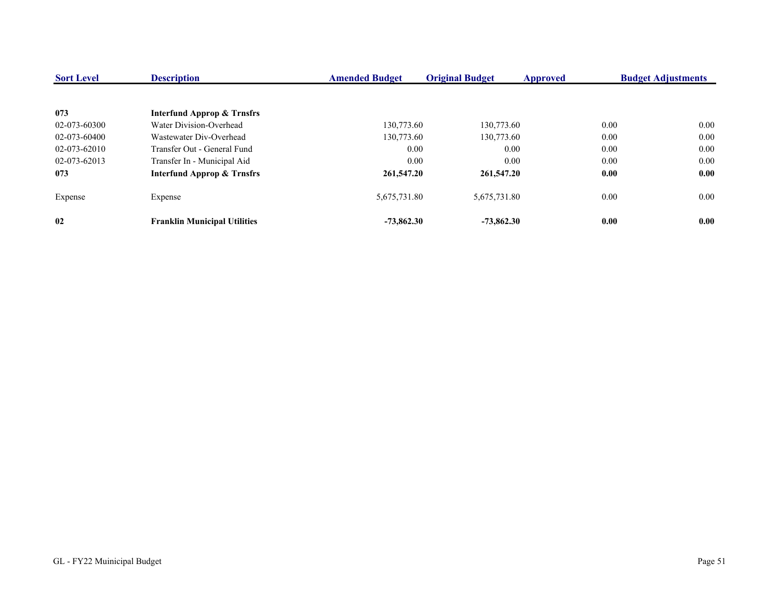| <b>Sort Level</b> | <b>Description</b>                    | <b>Amended Budget</b> | <b>Original Budget</b> | Approved | <b>Budget Adjustments</b> |
|-------------------|---------------------------------------|-----------------------|------------------------|----------|---------------------------|
| 073               | <b>Interfund Approp &amp; Trnsfrs</b> |                       |                        |          |                           |
| 02-073-60300      | Water Division-Overhead               | 130,773.60            | 130,773.60             | 0.00     | 0.00                      |
| 02-073-60400      | Wastewater Div-Overhead               | 130,773.60            | 130,773.60             | 0.00     | 0.00                      |
| 02-073-62010      | Transfer Out - General Fund           | 0.00                  | 0.00                   | 0.00     | 0.00                      |
| 02-073-62013      | Transfer In - Municipal Aid           | 0.00                  | 0.00                   | 0.00     | 0.00                      |
| 073               | <b>Interfund Approp &amp; Trnsfrs</b> | 261,547.20            | 261,547.20             | 0.00     | 0.00                      |
| Expense           | Expense                               | 5,675,731.80          | 5,675,731.80           | 0.00     | 0.00                      |
| 02                | <b>Franklin Municipal Utilities</b>   | $-73.862.30$          | $-73.862.30$           | 0.00     | 0.00                      |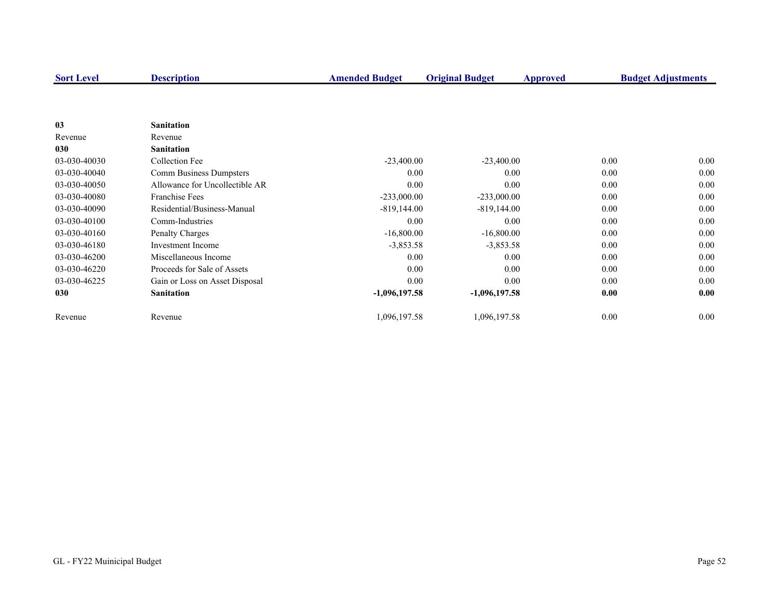| <b>Sort Level</b> | <b>Description</b>             | <b>Amended Budget</b> | <b>Original Budget</b> | <b>Approved</b> | <b>Budget Adjustments</b> |
|-------------------|--------------------------------|-----------------------|------------------------|-----------------|---------------------------|
|                   |                                |                       |                        |                 |                           |
|                   |                                |                       |                        |                 |                           |
| 03                | <b>Sanitation</b>              |                       |                        |                 |                           |
| Revenue           | Revenue                        |                       |                        |                 |                           |
| 030               | <b>Sanitation</b>              |                       |                        |                 |                           |
| 03-030-40030      | Collection Fee                 | $-23,400.00$          | $-23,400.00$           | 0.00            | 0.00                      |
| 03-030-40040      | Comm Business Dumpsters        | 0.00                  | 0.00                   | 0.00            | 0.00                      |
| 03-030-40050      | Allowance for Uncollectible AR | 0.00                  | 0.00                   | 0.00            | 0.00                      |
| 03-030-40080      | <b>Franchise Fees</b>          | $-233,000.00$         | $-233,000.00$          | 0.00            | 0.00                      |
| 03-030-40090      | Residential/Business-Manual    | $-819,144.00$         | $-819,144.00$          | 0.00            | 0.00                      |
| 03-030-40100      | Comm-Industries                | 0.00                  | 0.00                   | 0.00            | 0.00                      |
| 03-030-40160      | Penalty Charges                | $-16,800.00$          | $-16,800.00$           | 0.00            | 0.00                      |
| 03-030-46180      | <b>Investment</b> Income       | $-3,853.58$           | $-3,853.58$            | 0.00            | 0.00                      |
| 03-030-46200      | Miscellaneous Income           | 0.00                  | 0.00                   | 0.00            | 0.00                      |
| 03-030-46220      | Proceeds for Sale of Assets    | 0.00                  | 0.00                   | 0.00            | 0.00                      |
| 03-030-46225      | Gain or Loss on Asset Disposal | 0.00                  | 0.00                   | 0.00            | 0.00                      |
| 030               | <b>Sanitation</b>              | $-1,096,197.58$       | $-1,096,197.58$        | 0.00            | 0.00                      |
|                   |                                |                       |                        |                 |                           |
| Revenue           | Revenue                        | 1,096,197.58          | 1,096,197.58           | 0.00            | 0.00                      |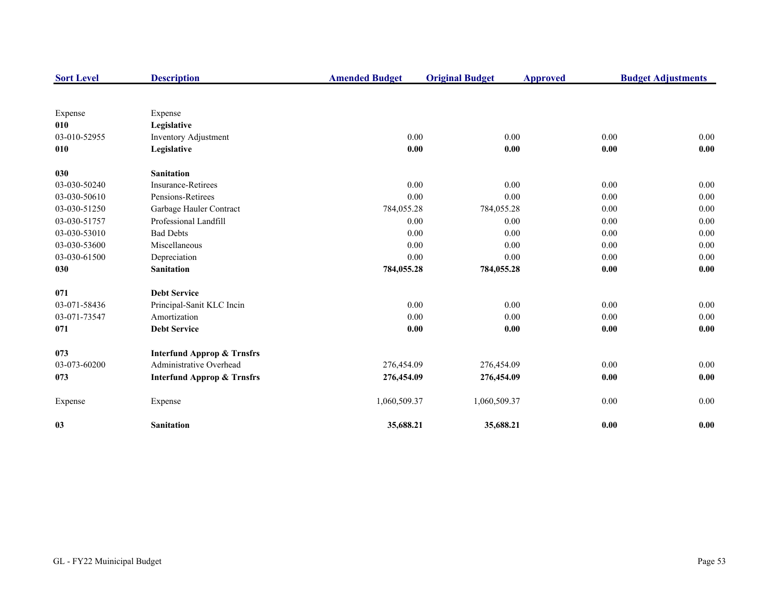| <b>Sort Level</b> | <b>Description</b>                    | <b>Amended Budget</b> | <b>Original Budget</b> | <b>Approved</b>     | <b>Budget Adjustments</b> |
|-------------------|---------------------------------------|-----------------------|------------------------|---------------------|---------------------------|
|                   |                                       |                       |                        |                     |                           |
| Expense           | Expense                               |                       |                        |                     |                           |
| 010               | Legislative                           |                       |                        |                     |                           |
| 03-010-52955      | <b>Inventory Adjustment</b>           | $0.00\,$              | 0.00                   | 0.00                | 0.00                      |
| 010               | Legislative                           | 0.00                  | 0.00                   | 0.00                | 0.00                      |
| 030               | <b>Sanitation</b>                     |                       |                        |                     |                           |
| 03-030-50240      | <b>Insurance-Retirees</b>             | 0.00                  | 0.00                   | 0.00                | 0.00                      |
| 03-030-50610      | Pensions-Retirees                     | 0.00                  | 0.00                   | 0.00                | 0.00                      |
| 03-030-51250      | Garbage Hauler Contract               | 784,055.28            | 784,055.28             | 0.00                | 0.00                      |
| 03-030-51757      | Professional Landfill                 | 0.00                  | 0.00                   | 0.00                | 0.00                      |
| 03-030-53010      | <b>Bad Debts</b>                      | 0.00                  | 0.00                   | 0.00                | 0.00                      |
| 03-030-53600      | Miscellaneous                         | 0.00                  | 0.00                   | 0.00                | 0.00                      |
| 03-030-61500      | Depreciation                          | 0.00                  | 0.00                   | 0.00                | 0.00                      |
| 030               | <b>Sanitation</b>                     | 784,055.28            | 784,055.28             | 0.00                | 0.00                      |
| 071               | <b>Debt Service</b>                   |                       |                        |                     |                           |
| 03-071-58436      | Principal-Sanit KLC Incin             | 0.00                  | 0.00                   | 0.00                | 0.00                      |
| 03-071-73547      | Amortization                          | 0.00                  | 0.00                   | 0.00                | 0.00                      |
| 071               | <b>Debt Service</b>                   | 0.00                  | 0.00                   | 0.00                | 0.00                      |
| 073               | <b>Interfund Approp &amp; Trnsfrs</b> |                       |                        |                     |                           |
| 03-073-60200      | Administrative Overhead               | 276,454.09            | 276,454.09             | 0.00                | 0.00                      |
| 073               | <b>Interfund Approp &amp; Trnsfrs</b> | 276,454.09            | 276,454.09             | $\boldsymbol{0.00}$ | 0.00                      |
| Expense           | Expense                               | 1,060,509.37          | 1,060,509.37           | 0.00                | 0.00                      |
| 03                | <b>Sanitation</b>                     | 35,688.21             | 35,688.21              | 0.00                | 0.00                      |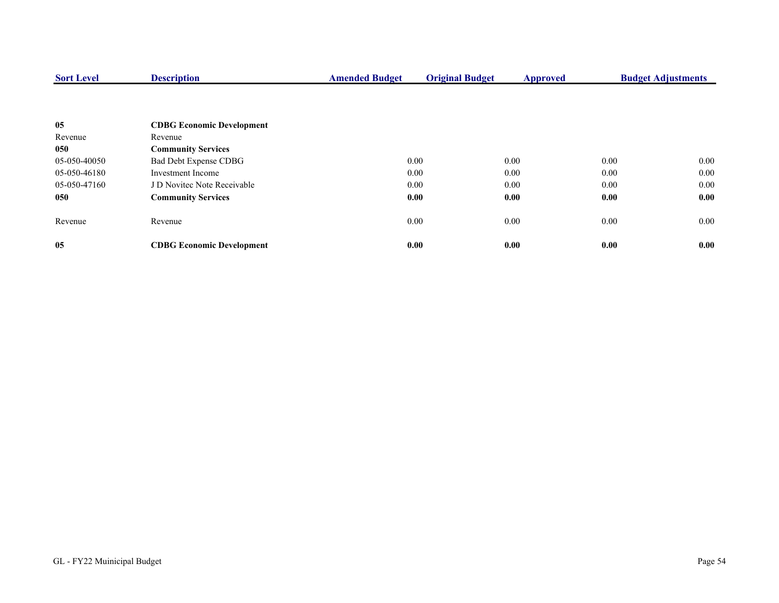| <b>Sort Level</b> | <b>Description</b>               | <b>Amended Budget</b> | <b>Original Budget</b> | <b>Approved</b> |      | <b>Budget Adjustments</b> |  |
|-------------------|----------------------------------|-----------------------|------------------------|-----------------|------|---------------------------|--|
|                   |                                  |                       |                        |                 |      |                           |  |
| 05                | <b>CDBG Economic Development</b> |                       |                        |                 |      |                           |  |
| Revenue           | Revenue                          |                       |                        |                 |      |                           |  |
| 050               | <b>Community Services</b>        |                       |                        |                 |      |                           |  |
| 05-050-40050      | Bad Debt Expense CDBG            |                       | 0.00                   | 0.00            | 0.00 | $0.00\,$                  |  |
| 05-050-46180      | Investment Income                |                       | 0.00                   | 0.00            | 0.00 | $0.00\,$                  |  |
| 05-050-47160      | J D Novitec Note Receivable      |                       | 0.00                   | 0.00            | 0.00 | $0.00\,$                  |  |
| 050               | <b>Community Services</b>        |                       | 0.00                   | 0.00            | 0.00 | 0.00                      |  |
| Revenue           | Revenue                          |                       | 0.00                   | 0.00            | 0.00 | 0.00                      |  |
| 05                | <b>CDBG Economic Development</b> |                       | 0.00                   | 0.00            | 0.00 | 0.00                      |  |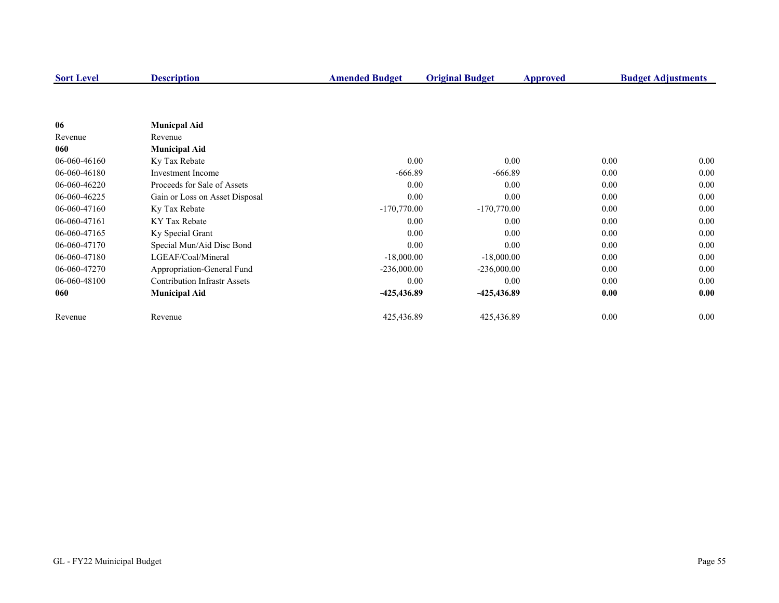| <b>Sort Level</b> | <b>Description</b>                  | <b>Amended Budget</b> | <b>Original Budget</b> | Approved | <b>Budget Adjustments</b> |
|-------------------|-------------------------------------|-----------------------|------------------------|----------|---------------------------|
|                   |                                     |                       |                        |          |                           |
|                   |                                     |                       |                        |          |                           |
| 06                | <b>Municpal Aid</b>                 |                       |                        |          |                           |
| Revenue           | Revenue                             |                       |                        |          |                           |
| 060               | <b>Municipal Aid</b>                |                       |                        |          |                           |
| 06-060-46160      | Ky Tax Rebate                       | 0.00                  | 0.00                   |          | 0.00<br>0.00              |
| 06-060-46180      | <b>Investment Income</b>            | $-666.89$             | $-666.89$              |          | 0.00<br>0.00              |
| 06-060-46220      | Proceeds for Sale of Assets         | 0.00                  | 0.00                   |          | 0.00<br>0.00              |
| 06-060-46225      | Gain or Loss on Asset Disposal      | 0.00                  | 0.00                   |          | 0.00<br>0.00              |
| 06-060-47160      | Ky Tax Rebate                       | $-170,770.00$         | $-170,770.00$          |          | 0.00<br>0.00              |
| 06-060-47161      | KY Tax Rebate                       | 0.00                  | 0.00                   |          | 0.00<br>0.00              |
| 06-060-47165      | Ky Special Grant                    | 0.00                  | 0.00                   |          | 0.00<br>0.00              |
| 06-060-47170      | Special Mun/Aid Disc Bond           | 0.00                  | 0.00                   |          | 0.00<br>0.00              |
| 06-060-47180      | LGEAF/Coal/Mineral                  | $-18,000.00$          | $-18,000.00$           |          | 0.00<br>0.00              |
| 06-060-47270      | Appropriation-General Fund          | $-236,000.00$         | $-236,000.00$          |          | 0.00<br>0.00              |
| 06-060-48100      | <b>Contribution Infrastr Assets</b> | 0.00                  | 0.00                   |          | 0.00<br>0.00              |
| 060               | <b>Municipal Aid</b>                | -425,436.89           | -425,436.89            |          | 0.00<br>0.00              |
| Revenue           | Revenue                             | 425,436.89            | 425,436.89             |          | 0.00<br>0.00              |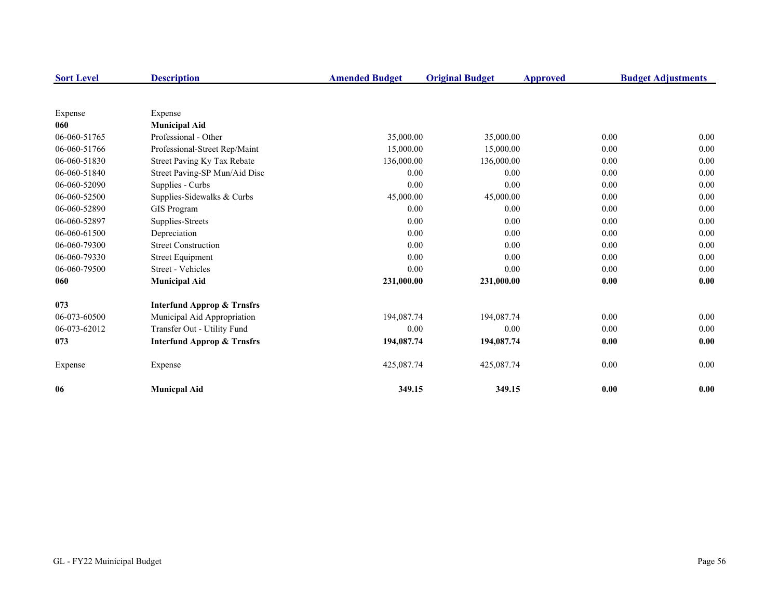| <b>Sort Level</b> | <b>Description</b>                    | <b>Amended Budget</b> | <b>Original Budget</b> | Approved | <b>Budget Adjustments</b> |  |
|-------------------|---------------------------------------|-----------------------|------------------------|----------|---------------------------|--|
|                   |                                       |                       |                        |          |                           |  |
| Expense           | Expense                               |                       |                        |          |                           |  |
| 060               | <b>Municipal Aid</b>                  |                       |                        |          |                           |  |
| 06-060-51765      | Professional - Other                  | 35,000.00             | 35,000.00              | 0.00     | 0.00                      |  |
| 06-060-51766      | Professional-Street Rep/Maint         | 15,000.00             | 15,000.00              | 0.00     | 0.00                      |  |
| 06-060-51830      | Street Paving Ky Tax Rebate           | 136,000.00            | 136,000.00             | 0.00     | 0.00                      |  |
| 06-060-51840      | Street Paving-SP Mun/Aid Disc         | 0.00                  | 0.00                   | 0.00     | 0.00                      |  |
| 06-060-52090      | Supplies - Curbs                      | 0.00                  | 0.00                   | 0.00     | 0.00                      |  |
| 06-060-52500      | Supplies-Sidewalks & Curbs            | 45,000.00             | 45,000.00              | 0.00     | 0.00                      |  |
| 06-060-52890      | <b>GIS</b> Program                    | 0.00                  | 0.00                   | 0.00     | 0.00                      |  |
| 06-060-52897      | Supplies-Streets                      | 0.00                  | 0.00                   | 0.00     | 0.00                      |  |
| 06-060-61500      | Depreciation                          | 0.00                  | 0.00                   | 0.00     | 0.00                      |  |
| 06-060-79300      | <b>Street Construction</b>            | 0.00                  | 0.00                   | 0.00     | 0.00                      |  |
| 06-060-79330      | <b>Street Equipment</b>               | 0.00                  | 0.00                   | 0.00     | 0.00                      |  |
| 06-060-79500      | Street - Vehicles                     | 0.00                  | 0.00                   | 0.00     | 0.00                      |  |
| 060               | <b>Municipal Aid</b>                  | 231,000.00            | 231,000.00             | 0.00     | 0.00                      |  |
| 073               | <b>Interfund Approp &amp; Trnsfrs</b> |                       |                        |          |                           |  |
| 06-073-60500      | Municipal Aid Appropriation           | 194,087.74            | 194,087.74             | 0.00     | 0.00                      |  |
| 06-073-62012      | Transfer Out - Utility Fund           | 0.00                  | 0.00                   | 0.00     | 0.00                      |  |
| 073               | <b>Interfund Approp &amp; Trnsfrs</b> | 194,087.74            | 194,087.74             | 0.00     | 0.00                      |  |
| Expense           | Expense                               | 425,087.74            | 425,087.74             | 0.00     | 0.00                      |  |
| 06                | <b>Municpal Aid</b>                   | 349.15                | 349.15                 | 0.00     | 0.00                      |  |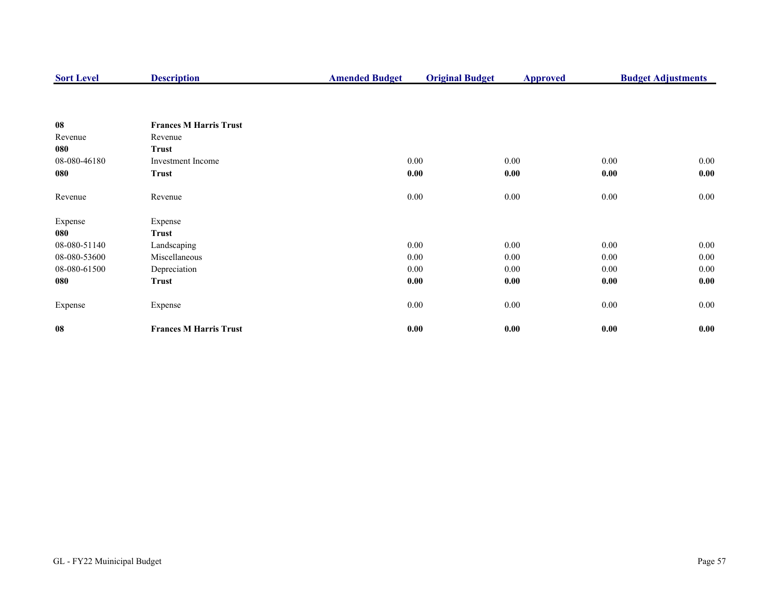| <b>Sort Level</b> | <b>Description</b>            | <b>Amended Budget</b> | <b>Original Budget</b> | <b>Approved</b> |          | <b>Budget Adjustments</b> |
|-------------------|-------------------------------|-----------------------|------------------------|-----------------|----------|---------------------------|
|                   |                               |                       |                        |                 |          |                           |
| 08                | <b>Frances M Harris Trust</b> |                       |                        |                 |          |                           |
| Revenue           | Revenue                       |                       |                        |                 |          |                           |
| 080               | <b>Trust</b>                  |                       |                        |                 |          |                           |
| 08-080-46180      | Investment Income             | 0.00                  |                        | 0.00            | 0.00     | $0.00\,$                  |
| 080               | <b>Trust</b>                  | 0.00                  |                        | 0.00            | 0.00     | 0.00                      |
| Revenue           | Revenue                       | $0.00\,$              |                        | 0.00            | $0.00\,$ | $0.00\,$                  |
| Expense           | Expense                       |                       |                        |                 |          |                           |
| 080               | <b>Trust</b>                  |                       |                        |                 |          |                           |
| 08-080-51140      | Landscaping                   | 0.00                  |                        | 0.00            | 0.00     | $0.00\,$                  |
| 08-080-53600      | Miscellaneous                 | 0.00                  |                        | 0.00            | 0.00     | 0.00                      |
| 08-080-61500      | Depreciation                  | 0.00                  |                        | 0.00            | 0.00     | 0.00                      |
| 080               | <b>Trust</b>                  | 0.00                  |                        | 0.00            | 0.00     | 0.00                      |
| Expense           | Expense                       | $0.00\,$              |                        | 0.00            | $0.00\,$ | $0.00\,$                  |
| 08                | <b>Frances M Harris Trust</b> | 0.00                  |                        | 0.00            | 0.00     | 0.00                      |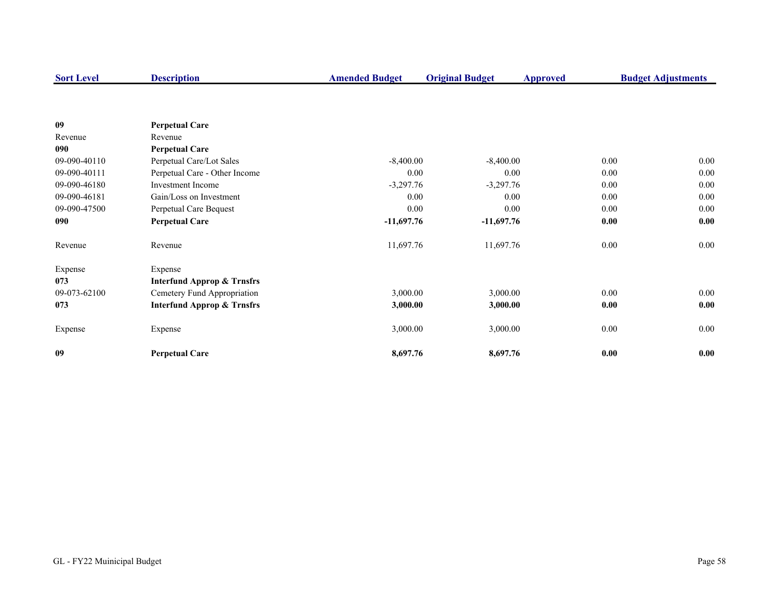| <b>Sort Level</b> | <b>Description</b>                    | <b>Amended Budget</b> | <b>Original Budget</b> | <b>Approved</b> | <b>Budget Adjustments</b> |
|-------------------|---------------------------------------|-----------------------|------------------------|-----------------|---------------------------|
|                   |                                       |                       |                        |                 |                           |
| 09                | <b>Perpetual Care</b>                 |                       |                        |                 |                           |
| Revenue           | Revenue                               |                       |                        |                 |                           |
| 090               | <b>Perpetual Care</b>                 |                       |                        |                 |                           |
| 09-090-40110      | Perpetual Care/Lot Sales              | $-8,400.00$           | $-8,400.00$            | 0.00            | $0.00\,$                  |
| 09-090-40111      | Perpetual Care - Other Income         | 0.00                  | 0.00                   | 0.00            | 0.00                      |
| 09-090-46180      | <b>Investment Income</b>              | $-3,297.76$           | $-3,297.76$            | 0.00            | 0.00                      |
| 09-090-46181      | Gain/Loss on Investment               | 0.00                  | 0.00                   | 0.00            | 0.00                      |
| 09-090-47500      | Perpetual Care Bequest                | 0.00                  | 0.00                   | 0.00            | 0.00                      |
| 090               | <b>Perpetual Care</b>                 | $-11,697.76$          | $-11,697.76$           | 0.00            | 0.00                      |
| Revenue           | Revenue                               | 11,697.76             | 11,697.76              | 0.00            | $0.00\,$                  |
| Expense           | Expense                               |                       |                        |                 |                           |
| 073               | <b>Interfund Approp &amp; Trnsfrs</b> |                       |                        |                 |                           |
| 09-073-62100      | Cemetery Fund Appropriation           | 3,000.00              | 3,000.00               | 0.00            | $0.00\,$                  |
| 073               | <b>Interfund Approp &amp; Trnsfrs</b> | 3,000.00              | 3,000.00               | 0.00            | 0.00                      |
| Expense           | Expense                               | 3,000.00              | 3,000.00               | $0.00\,$        | 0.00                      |
| 09                | <b>Perpetual Care</b>                 | 8,697.76              | 8,697.76               | 0.00            | 0.00                      |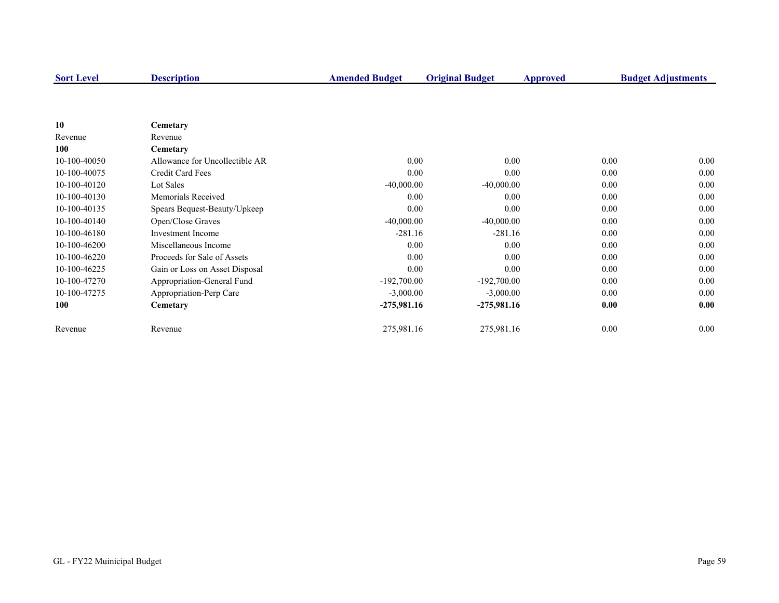| <b>Sort Level</b> | <b>Description</b>             | <b>Amended Budget</b> | <b>Original Budget</b> | Approved | <b>Budget Adjustments</b> |
|-------------------|--------------------------------|-----------------------|------------------------|----------|---------------------------|
|                   |                                |                       |                        |          |                           |
| 10                |                                |                       |                        |          |                           |
| Revenue           | Cemetary<br>Revenue            |                       |                        |          |                           |
| 100               | Cemetary                       |                       |                        |          |                           |
| 10-100-40050      | Allowance for Uncollectible AR | 0.00                  | 0.00                   | 0.00     | 0.00                      |
| 10-100-40075      | Credit Card Fees               | 0.00                  | 0.00                   | 0.00     | 0.00                      |
|                   | Lot Sales                      |                       |                        | 0.00     | 0.00                      |
| 10-100-40120      |                                | $-40,000.00$          | $-40,000.00$           |          |                           |
| 10-100-40130      | Memorials Received             | 0.00                  | 0.00                   | 0.00     | 0.00                      |
| 10-100-40135      | Spears Bequest-Beauty/Upkeep   | 0.00                  | 0.00                   | 0.00     | 0.00                      |
| 10-100-40140      | Open/Close Graves              | $-40,000.00$          | $-40,000.00$           | 0.00     | 0.00                      |
| 10-100-46180      | <b>Investment Income</b>       | $-281.16$             | $-281.16$              | 0.00     | 0.00                      |
| 10-100-46200      | Miscellaneous Income           | 0.00                  | 0.00                   | 0.00     | 0.00                      |
| 10-100-46220      | Proceeds for Sale of Assets    | 0.00                  | 0.00                   | 0.00     | 0.00                      |
| 10-100-46225      | Gain or Loss on Asset Disposal | 0.00                  | 0.00                   | 0.00     | 0.00                      |
| 10-100-47270      | Appropriation-General Fund     | $-192,700.00$         | $-192,700.00$          | 0.00     | 0.00                      |
| 10-100-47275      | Appropriation-Perp Care        | $-3,000.00$           | $-3,000.00$            | 0.00     | 0.00                      |
| 100               | Cemetary                       | $-275,981.16$         | $-275,981.16$          | 0.00     | 0.00                      |
| Revenue           | Revenue                        | 275,981.16            | 275,981.16             | 0.00     | 0.00                      |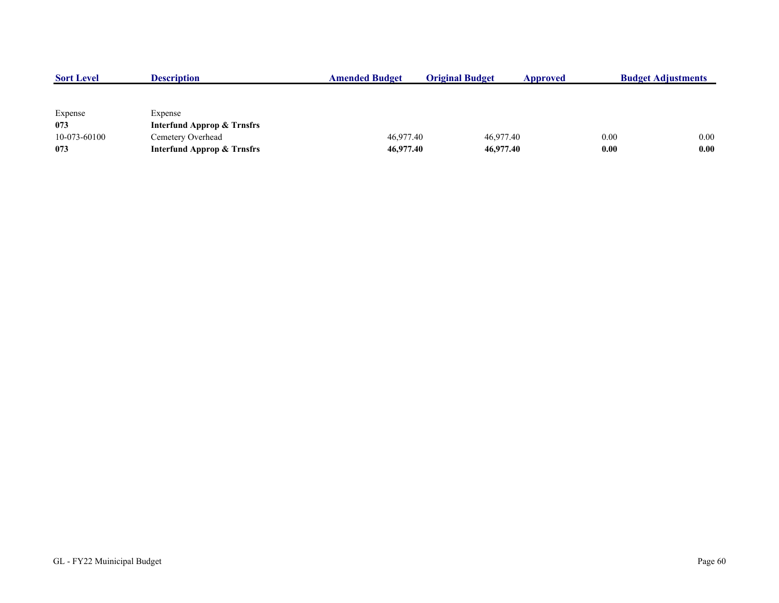| <b>Sort Level</b> | <b>Description</b>                    | <b>Amended Budget</b> | <b>Original Budget</b> | Approved  |      | <b>Budget Adjustments</b> |
|-------------------|---------------------------------------|-----------------------|------------------------|-----------|------|---------------------------|
|                   |                                       |                       |                        |           |      |                           |
|                   |                                       |                       |                        |           |      |                           |
| Expense           | Expense                               |                       |                        |           |      |                           |
| 073               | <b>Interfund Approp &amp; Trnsfrs</b> |                       |                        |           |      |                           |
| 10-073-60100      | Cemetery Overhead                     | 46,977.40             |                        | 46,977.40 | 0.00 | 0.00                      |
| 073               | <b>Interfund Approp &amp; Trnsfrs</b> | 46,977.40             |                        | 46,977.40 | 0.00 | 0.00                      |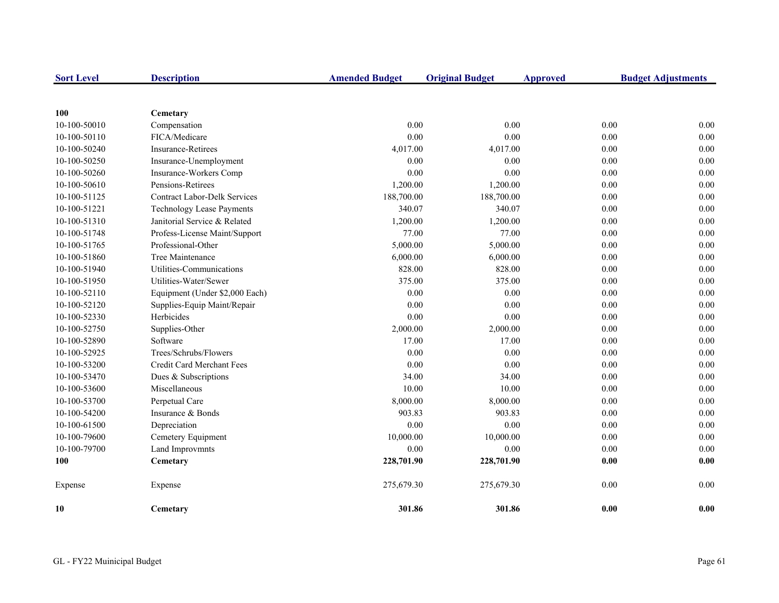| <b>Sort Level</b> | <b>Description</b>                  | <b>Amended Budget</b> | <b>Original Budget</b> | <b>Approved</b> |      | <b>Budget Adjustments</b> |
|-------------------|-------------------------------------|-----------------------|------------------------|-----------------|------|---------------------------|
|                   |                                     |                       |                        |                 |      |                           |
| 100               | Cemetary                            |                       |                        |                 |      |                           |
| 10-100-50010      | Compensation                        | 0.00                  | 0.00                   |                 | 0.00 | 0.00                      |
| 10-100-50110      | FICA/Medicare                       | 0.00                  | 0.00                   |                 | 0.00 | 0.00                      |
| 10-100-50240      | <b>Insurance-Retirees</b>           | 4,017.00              | 4,017.00               |                 | 0.00 | 0.00                      |
| 10-100-50250      | Insurance-Unemployment              | 0.00                  | 0.00                   |                 | 0.00 | 0.00                      |
| 10-100-50260      | Insurance-Workers Comp              | 0.00                  | 0.00                   |                 | 0.00 | 0.00                      |
| 10-100-50610      | Pensions-Retirees                   | 1,200.00              | 1,200.00               |                 | 0.00 | 0.00                      |
| 10-100-51125      | <b>Contract Labor-Delk Services</b> | 188,700.00            | 188,700.00             |                 | 0.00 | 0.00                      |
| 10-100-51221      | <b>Technology Lease Payments</b>    | 340.07                | 340.07                 |                 | 0.00 | 0.00                      |
| 10-100-51310      | Janitorial Service & Related        | 1,200.00              | 1,200.00               |                 | 0.00 | 0.00                      |
| 10-100-51748      | Profess-License Maint/Support       | 77.00                 | 77.00                  |                 | 0.00 | 0.00                      |
| 10-100-51765      | Professional-Other                  | 5,000.00              | 5,000.00               |                 | 0.00 | 0.00                      |
| 10-100-51860      | Tree Maintenance                    | 6,000.00              | 6,000.00               |                 | 0.00 | 0.00                      |
| 10-100-51940      | Utilities-Communications            | 828.00                | 828.00                 |                 | 0.00 | 0.00                      |
| 10-100-51950      | Utilities-Water/Sewer               | 375.00                | 375.00                 |                 | 0.00 | 0.00                      |
| 10-100-52110      | Equipment (Under \$2,000 Each)      | 0.00                  | 0.00                   |                 | 0.00 | 0.00                      |
| 10-100-52120      | Supplies-Equip Maint/Repair         | 0.00                  | 0.00                   |                 | 0.00 | 0.00                      |
| 10-100-52330      | Herbicides                          | 0.00                  | 0.00                   |                 | 0.00 | 0.00                      |
| 10-100-52750      | Supplies-Other                      | 2,000.00              | 2,000.00               |                 | 0.00 | 0.00                      |
| 10-100-52890      | Software                            | 17.00                 | 17.00                  |                 | 0.00 | 0.00                      |
| 10-100-52925      | Trees/Schrubs/Flowers               | 0.00                  | 0.00                   |                 | 0.00 | 0.00                      |
| 10-100-53200      | Credit Card Merchant Fees           | 0.00                  | 0.00                   |                 | 0.00 | 0.00                      |
| 10-100-53470      | Dues & Subscriptions                | 34.00                 | 34.00                  |                 | 0.00 | 0.00                      |
| 10-100-53600      | Miscellaneous                       | 10.00                 | 10.00                  |                 | 0.00 | 0.00                      |
| 10-100-53700      | Perpetual Care                      | 8,000.00              | 8,000.00               |                 | 0.00 | 0.00                      |
| 10-100-54200      | Insurance & Bonds                   | 903.83                | 903.83                 |                 | 0.00 | 0.00                      |
| 10-100-61500      | Depreciation                        | 0.00                  | 0.00                   |                 | 0.00 | 0.00                      |
| 10-100-79600      | Cemetery Equipment                  | 10,000.00             | 10,000.00              |                 | 0.00 | 0.00                      |
| 10-100-79700      | Land Improvmnts                     | 0.00                  | 0.00                   |                 | 0.00 | 0.00                      |
| 100               | Cemetary                            | 228,701.90            | 228,701.90             |                 | 0.00 | 0.00                      |
| Expense           | Expense                             | 275,679.30            | 275,679.30             |                 | 0.00 | 0.00                      |
| 10                | Cemetary                            | 301.86                | 301.86                 |                 | 0.00 | 0.00                      |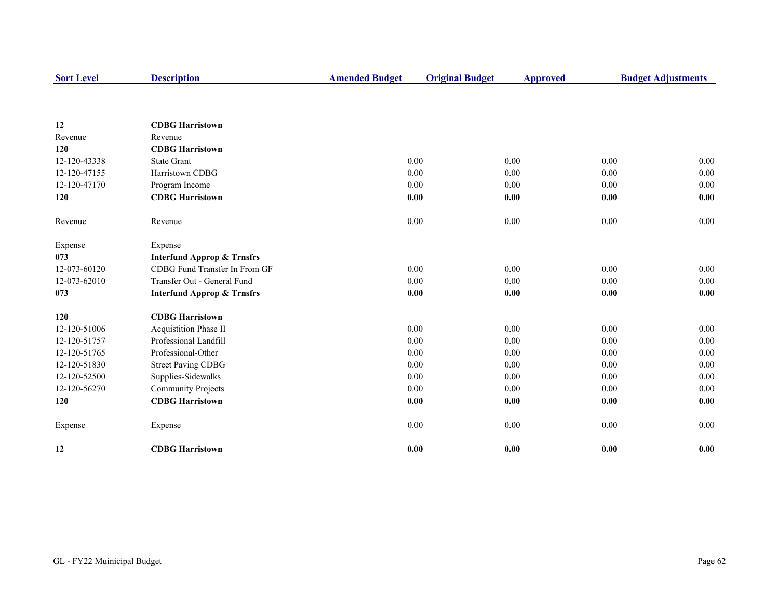| <b>Sort Level</b> | <b>Description</b>                    | <b>Amended Budget</b> | <b>Original Budget</b> | <b>Approved</b> |      | <b>Budget Adjustments</b> |
|-------------------|---------------------------------------|-----------------------|------------------------|-----------------|------|---------------------------|
|                   |                                       |                       |                        |                 |      |                           |
| 12                | <b>CDBG Harristown</b>                |                       |                        |                 |      |                           |
| Revenue           | Revenue                               |                       |                        |                 |      |                           |
| 120               | <b>CDBG Harristown</b>                |                       |                        |                 |      |                           |
| 12-120-43338      | <b>State Grant</b>                    | 0.00                  |                        | 0.00            | 0.00 | 0.00                      |
| 12-120-47155      | Harristown CDBG                       | 0.00                  |                        | 0.00            | 0.00 | 0.00                      |
| 12-120-47170      | Program Income                        | 0.00                  |                        | 0.00            | 0.00 | 0.00                      |
| 120               | <b>CDBG Harristown</b>                | 0.00                  |                        | 0.00            | 0.00 | 0.00                      |
| Revenue           | Revenue                               | $0.00\,$              |                        | 0.00            | 0.00 | 0.00                      |
| Expense           | Expense                               |                       |                        |                 |      |                           |
| 073               | <b>Interfund Approp &amp; Trnsfrs</b> |                       |                        |                 |      |                           |
| 12-073-60120      | CDBG Fund Transfer In From GF         | 0.00                  |                        | 0.00            | 0.00 | 0.00                      |
| 12-073-62010      | Transfer Out - General Fund           | 0.00                  |                        | 0.00            | 0.00 | 0.00                      |
| 073               | <b>Interfund Approp &amp; Trnsfrs</b> | 0.00                  |                        | 0.00            | 0.00 | 0.00                      |
| 120               | <b>CDBG Harristown</b>                |                       |                        |                 |      |                           |
| 12-120-51006      | <b>Acquistition Phase II</b>          | 0.00                  |                        | 0.00            | 0.00 | 0.00                      |
| 12-120-51757      | Professional Landfill                 | 0.00                  |                        | 0.00            | 0.00 | 0.00                      |
| 12-120-51765      | Professional-Other                    | 0.00                  |                        | 0.00            | 0.00 | 0.00                      |
| 12-120-51830      | <b>Street Paving CDBG</b>             | 0.00                  |                        | 0.00            | 0.00 | 0.00                      |
| 12-120-52500      | Supplies-Sidewalks                    | 0.00                  |                        | 0.00            | 0.00 | 0.00                      |
| 12-120-56270      | <b>Community Projects</b>             | 0.00                  |                        | 0.00            | 0.00 | 0.00                      |
| 120               | <b>CDBG Harristown</b>                | 0.00                  |                        | 0.00            | 0.00 | 0.00                      |
| Expense           | Expense                               | 0.00                  |                        | 0.00            | 0.00 | 0.00                      |
| 12                | <b>CDBG Harristown</b>                | 0.00                  |                        | 0.00            | 0.00 | 0.00                      |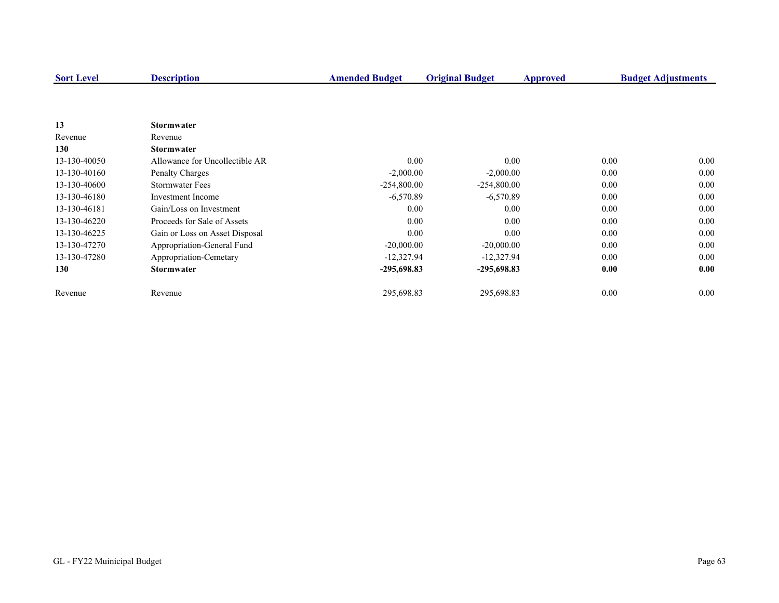| <b>Sort Level</b> | <b>Description</b>             | <b>Amended Budget</b> | <b>Original Budget</b> | Approved |      | <b>Budget Adjustments</b> |
|-------------------|--------------------------------|-----------------------|------------------------|----------|------|---------------------------|
|                   |                                |                       |                        |          |      |                           |
|                   |                                |                       |                        |          |      |                           |
| 13                | <b>Stormwater</b>              |                       |                        |          |      |                           |
| Revenue           | Revenue                        |                       |                        |          |      |                           |
| 130               | <b>Stormwater</b>              |                       |                        |          |      |                           |
| 13-130-40050      | Allowance for Uncollectible AR | 0.00                  |                        | 0.00     | 0.00 | 0.00                      |
| 13-130-40160      | Penalty Charges                | $-2,000.00$           | $-2,000.00$            |          | 0.00 | 0.00                      |
| 13-130-40600      | <b>Stormwater Fees</b>         | $-254,800.00$         | $-254,800.00$          |          | 0.00 | 0.00                      |
| 13-130-46180      | Investment Income              | $-6,570.89$           | $-6,570.89$            |          | 0.00 | 0.00                      |
| 13-130-46181      | Gain/Loss on Investment        | 0.00                  |                        | 0.00     | 0.00 | 0.00                      |
| 13-130-46220      | Proceeds for Sale of Assets    | 0.00                  |                        | 0.00     | 0.00 | 0.00                      |
| 13-130-46225      | Gain or Loss on Asset Disposal | 0.00                  |                        | 0.00     | 0.00 | 0.00                      |
| 13-130-47270      | Appropriation-General Fund     | $-20,000.00$          | $-20,000.00$           |          | 0.00 | 0.00                      |
| 13-130-47280      | Appropriation-Cemetary         | $-12,327.94$          | $-12,327.94$           |          | 0.00 | 0.00                      |
| 130               | <b>Stormwater</b>              | $-295,698.83$         | $-295,698.83$          |          | 0.00 | 0.00                      |
| Revenue           | Revenue                        | 295,698.83            | 295,698.83             |          | 0.00 | $0.00\,$                  |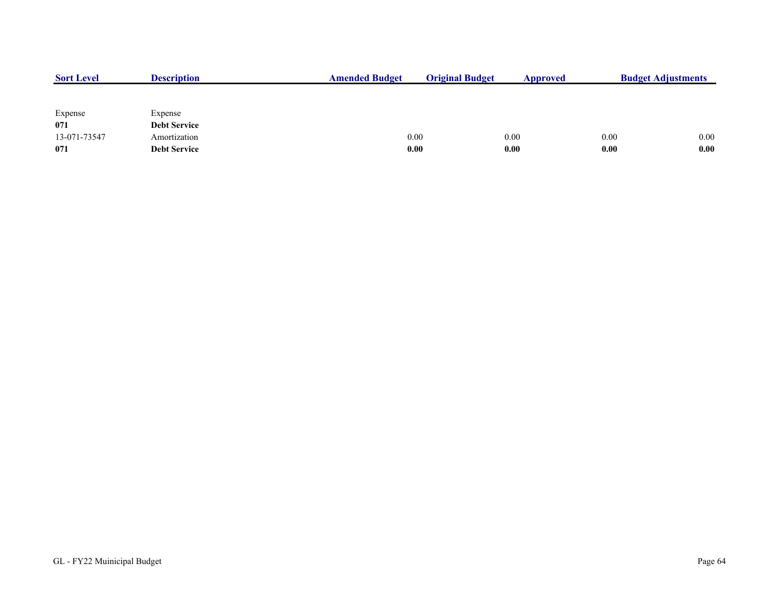| <b>Sort Level</b> | <b>Description</b>  | <b>Amended Budget</b> | <b>Original Budget</b> | Approved | <b>Budget Adjustments</b> |      |
|-------------------|---------------------|-----------------------|------------------------|----------|---------------------------|------|
|                   |                     |                       |                        |          |                           |      |
| Expense           | Expense             |                       |                        |          |                           |      |
| 071               | <b>Debt Service</b> |                       |                        |          |                           |      |
| 13-071-73547      | Amortization        | 0.00                  |                        | 0.00     | 0.00                      | 0.00 |
| 071               | <b>Debt Service</b> | 0.00                  |                        | 0.00     | 0.00                      | 0.00 |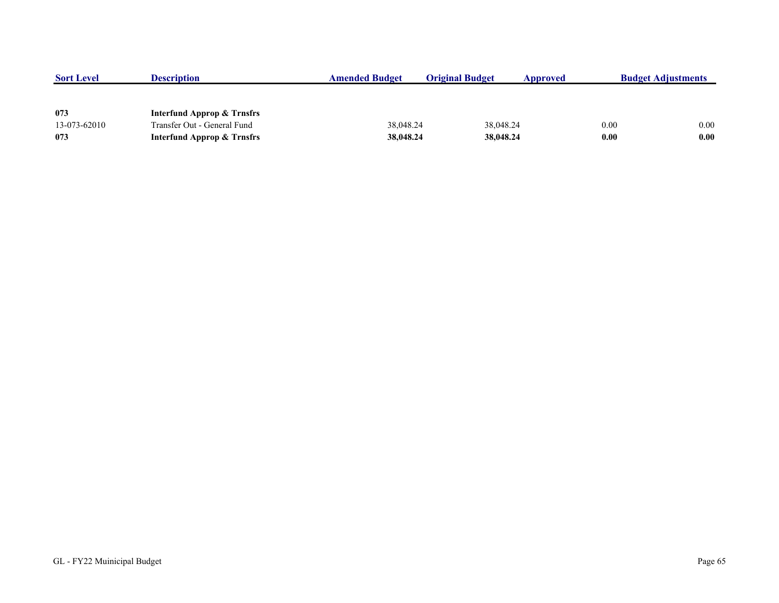| <b>Sort Level</b> | <b>Description</b>                    | <b>Amended Budget</b> | <b>Original Budget</b> | Approved  |      | <b>Budget Adjustments</b> |
|-------------------|---------------------------------------|-----------------------|------------------------|-----------|------|---------------------------|
|                   |                                       |                       |                        |           |      |                           |
| 073               | <b>Interfund Approp &amp; Trnsfrs</b> |                       |                        |           |      |                           |
| 13-073-62010      | Transfer Out - General Fund           | 38,048.24             |                        | 38,048.24 | 0.00 | 0.00                      |
| 073               | <b>Interfund Approp &amp; Trnsfrs</b> | 38,048.24             |                        | 38,048.24 | 0.00 | 0.00                      |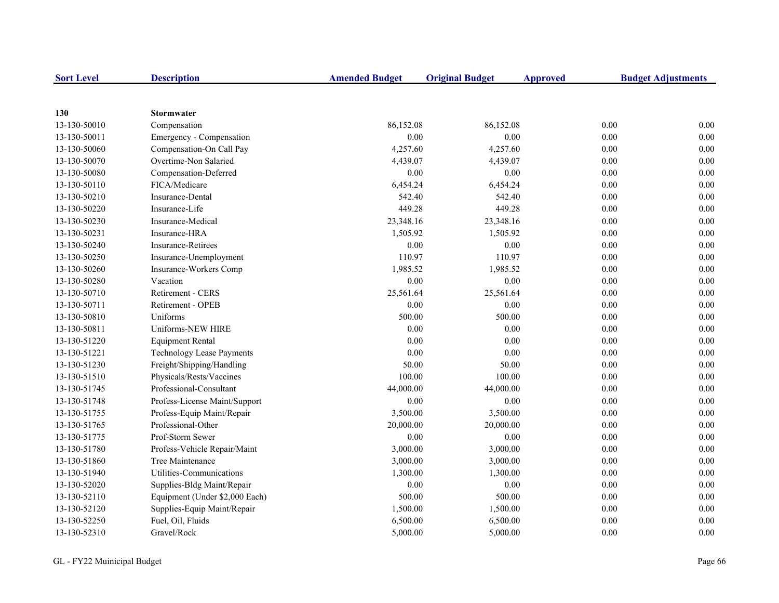| <b>Sort Level</b> | <b>Description</b>               | <b>Amended Budget</b> | <b>Original Budget</b> | <b>Approved</b> | <b>Budget Adjustments</b> |
|-------------------|----------------------------------|-----------------------|------------------------|-----------------|---------------------------|
|                   |                                  |                       |                        |                 |                           |
| 130               | <b>Stormwater</b>                |                       |                        |                 |                           |
| 13-130-50010      | Compensation                     | 86,152.08             | 86,152.08              |                 | 0.00<br>0.00              |
| 13-130-50011      | Emergency - Compensation         | 0.00                  | 0.00                   |                 | 0.00<br>0.00              |
| 13-130-50060      | Compensation-On Call Pay         | 4,257.60              | 4,257.60               |                 | $0.00\,$<br>0.00          |
| 13-130-50070      | Overtime-Non Salaried            | 4,439.07              | 4,439.07               |                 | 0.00<br>0.00              |
| 13-130-50080      | Compensation-Deferred            | 0.00                  | 0.00                   |                 | 0.00<br>0.00              |
| 13-130-50110      | FICA/Medicare                    | 6,454.24              | 6,454.24               |                 | 0.00<br>0.00              |
| 13-130-50210      | Insurance-Dental                 | 542.40                | 542.40                 |                 | 0.00<br>0.00              |
| 13-130-50220      | Insurance-Life                   | 449.28                | 449.28                 |                 | 0.00<br>0.00              |
| 13-130-50230      | Insurance-Medical                | 23,348.16             | 23,348.16              |                 | 0.00<br>0.00              |
| 13-130-50231      | Insurance-HRA                    | 1,505.92              | 1,505.92               |                 | 0.00<br>0.00              |
| 13-130-50240      | <b>Insurance-Retirees</b>        | 0.00                  | 0.00                   |                 | 0.00<br>0.00              |
| 13-130-50250      | Insurance-Unemployment           | 110.97                | 110.97                 |                 | 0.00<br>0.00              |
| 13-130-50260      | Insurance-Workers Comp           | 1,985.52              | 1,985.52               |                 | 0.00<br>0.00              |
| 13-130-50280      | Vacation                         | 0.00                  | 0.00                   |                 | 0.00<br>0.00              |
| 13-130-50710      | Retirement - CERS                | 25,561.64             | 25,561.64              |                 | 0.00<br>0.00              |
| 13-130-50711      | Retirement - OPEB                | 0.00                  | 0.00                   |                 | 0.00<br>0.00              |
| 13-130-50810      | Uniforms                         | 500.00                | 500.00                 |                 | 0.00<br>0.00              |
| 13-130-50811      | Uniforms-NEW HIRE                | 0.00                  | 0.00                   |                 | 0.00<br>0.00              |
| 13-130-51220      | <b>Equipment Rental</b>          | 0.00                  | 0.00                   |                 | 0.00<br>0.00              |
| 13-130-51221      | <b>Technology Lease Payments</b> | 0.00                  | 0.00                   |                 | 0.00<br>0.00              |
| 13-130-51230      | Freight/Shipping/Handling        | 50.00                 | 50.00                  |                 | 0.00<br>0.00              |
| 13-130-51510      | Physicals/Rests/Vaccines         | 100.00                | 100.00                 |                 | 0.00<br>0.00              |
| 13-130-51745      | Professional-Consultant          | 44,000.00             | 44,000.00              |                 | 0.00<br>0.00              |
| 13-130-51748      | Profess-License Maint/Support    | 0.00                  | 0.00                   |                 | 0.00<br>0.00              |
| 13-130-51755      | Profess-Equip Maint/Repair       | 3,500.00              | 3,500.00               |                 | 0.00<br>0.00              |
| 13-130-51765      | Professional-Other               | 20,000.00             | 20,000.00              |                 | 0.00<br>0.00              |
| 13-130-51775      | Prof-Storm Sewer                 | 0.00                  | $0.00\,$               |                 | 0.00<br>0.00              |
| 13-130-51780      | Profess-Vehicle Repair/Maint     | 3,000.00              | 3,000.00               |                 | 0.00<br>0.00              |
| 13-130-51860      | Tree Maintenance                 | 3,000.00              | 3,000.00               |                 | 0.00<br>0.00              |
| 13-130-51940      | Utilities-Communications         | 1,300.00              | 1,300.00               |                 | 0.00<br>0.00              |
| 13-130-52020      | Supplies-Bldg Maint/Repair       | 0.00                  | $0.00\,$               |                 | 0.00<br>0.00              |
| 13-130-52110      | Equipment (Under \$2,000 Each)   | 500.00                | 500.00                 |                 | 0.00<br>0.00              |
| 13-130-52120      | Supplies-Equip Maint/Repair      | 1,500.00              | 1,500.00               |                 | $0.00\,$<br>0.00          |
| 13-130-52250      | Fuel, Oil, Fluids                | 6,500.00              | 6,500.00               |                 | 0.00<br>0.00              |
| 13-130-52310      | Gravel/Rock                      | 5,000.00              | 5,000.00               |                 | 0.00<br>0.00              |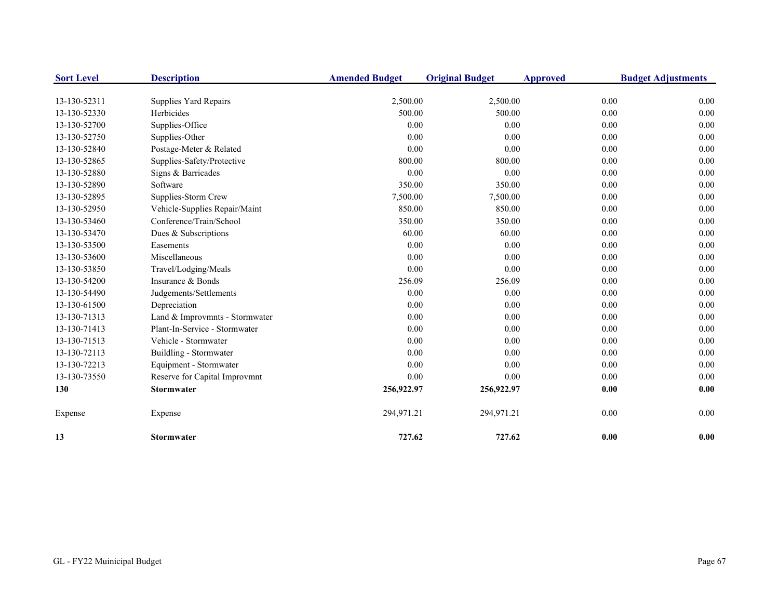| <b>Sort Level</b> | <b>Description</b>             | <b>Amended Budget</b> | <b>Original Budget</b> | <b>Approved</b> | <b>Budget Adjustments</b> |
|-------------------|--------------------------------|-----------------------|------------------------|-----------------|---------------------------|
| 13-130-52311      | Supplies Yard Repairs          | 2,500.00              | 2,500.00               | 0.00            | 0.00                      |
| 13-130-52330      | Herbicides                     | 500.00                | 500.00                 | 0.00            | $0.00\,$                  |
| 13-130-52700      | Supplies-Office                | 0.00                  | 0.00                   | 0.00            | 0.00                      |
| 13-130-52750      | Supplies-Other                 | 0.00                  | 0.00                   | 0.00            | 0.00                      |
| 13-130-52840      | Postage-Meter & Related        | 0.00                  | 0.00                   | 0.00            | 0.00                      |
| 13-130-52865      | Supplies-Safety/Protective     | 800.00                | 800.00                 | 0.00            | 0.00                      |
| 13-130-52880      | Signs & Barricades             | 0.00                  | 0.00                   | 0.00            | 0.00                      |
| 13-130-52890      | Software                       | 350.00                | 350.00                 | 0.00            | 0.00                      |
| 13-130-52895      | Supplies-Storm Crew            | 7,500.00              | 7,500.00               | 0.00            | 0.00                      |
| 13-130-52950      | Vehicle-Supplies Repair/Maint  | 850.00                | 850.00                 | 0.00            | 0.00                      |
| 13-130-53460      | Conference/Train/School        | 350.00                | 350.00                 | 0.00            | 0.00                      |
| 13-130-53470      | Dues & Subscriptions           | 60.00                 | 60.00                  | 0.00            | 0.00                      |
| 13-130-53500      | Easements                      | 0.00                  | 0.00                   | 0.00            | 0.00                      |
| 13-130-53600      | Miscellaneous                  | 0.00                  | 0.00                   | 0.00            | 0.00                      |
| 13-130-53850      | Travel/Lodging/Meals           | 0.00                  | 0.00                   | 0.00            | 0.00                      |
| 13-130-54200      | Insurance & Bonds              | 256.09                | 256.09                 | 0.00            | 0.00                      |
| 13-130-54490      | Judgements/Settlements         | 0.00                  | 0.00                   | 0.00            | 0.00                      |
| 13-130-61500      | Depreciation                   | 0.00                  | 0.00                   | 0.00            | 0.00                      |
| 13-130-71313      | Land & Improvmnts - Stormwater | 0.00                  | 0.00                   | 0.00            | 0.00                      |
| 13-130-71413      | Plant-In-Service - Stormwater  | 0.00                  | 0.00                   | 0.00            | 0.00                      |
| 13-130-71513      | Vehicle - Stormwater           | 0.00                  | 0.00                   | 0.00            | 0.00                      |
| 13-130-72113      | Buildling - Stormwater         | 0.00                  | 0.00                   | 0.00            | 0.00                      |
| 13-130-72213      | Equipment - Stormwater         | 0.00                  | 0.00                   | 0.00            | 0.00                      |
| 13-130-73550      | Reserve for Capital Improvmnt  | 0.00                  | 0.00                   | 0.00            | 0.00                      |
| 130               | <b>Stormwater</b>              | 256,922.97            | 256,922.97             | 0.00            | 0.00                      |
| Expense           | Expense                        | 294,971.21            | 294,971.21             | 0.00            | 0.00                      |
| 13                | Stormwater                     | 727.62                | 727.62                 | 0.00            | 0.00                      |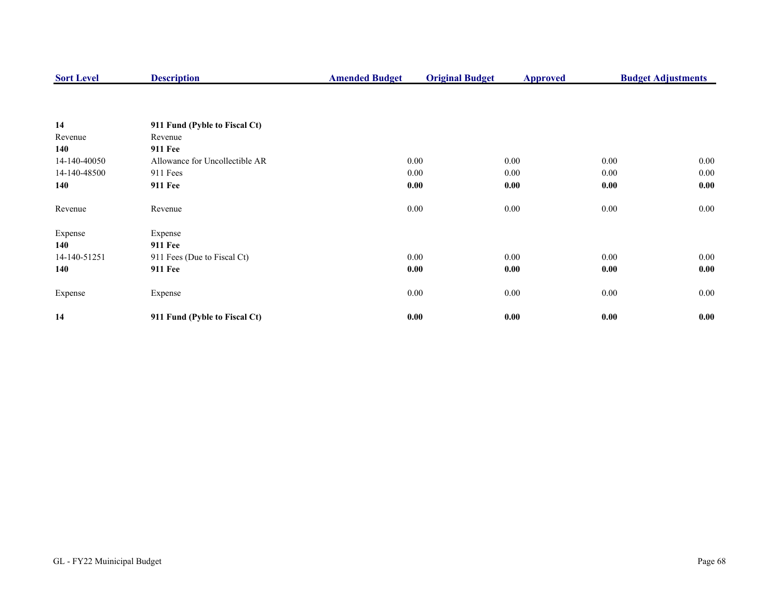| <b>Sort Level</b> | <b>Description</b>             | <b>Amended Budget</b> | <b>Original Budget</b> | <b>Approved</b> |          | <b>Budget Adjustments</b> |
|-------------------|--------------------------------|-----------------------|------------------------|-----------------|----------|---------------------------|
|                   |                                |                       |                        |                 |          |                           |
| 14                | 911 Fund (Pyble to Fiscal Ct)  |                       |                        |                 |          |                           |
| Revenue           | Revenue                        |                       |                        |                 |          |                           |
| 140               | <b>911 Fee</b>                 |                       |                        |                 |          |                           |
| 14-140-40050      | Allowance for Uncollectible AR |                       | 0.00                   | 0.00            | $0.00\,$ | $0.00\,$                  |
| 14-140-48500      | 911 Fees                       |                       | 0.00                   | 0.00            | $0.00\,$ | 0.00                      |
| 140               | <b>911 Fee</b>                 |                       | 0.00                   | 0.00            | 0.00     | 0.00                      |
| Revenue           | Revenue                        |                       | 0.00                   | 0.00            | $0.00\,$ | $0.00\,$                  |
| Expense           | Expense                        |                       |                        |                 |          |                           |
| 140               | <b>911 Fee</b>                 |                       |                        |                 |          |                           |
| 14-140-51251      | 911 Fees (Due to Fiscal Ct)    |                       | 0.00                   | 0.00            | 0.00     | $0.00\,$                  |
| 140               | <b>911 Fee</b>                 |                       | 0.00                   | 0.00            | 0.00     | 0.00                      |
| Expense           | Expense                        |                       | $0.00\,$               | 0.00            | $0.00\,$ | $0.00\,$                  |
| 14                | 911 Fund (Pyble to Fiscal Ct)  |                       | 0.00                   | 0.00            | 0.00     | 0.00                      |